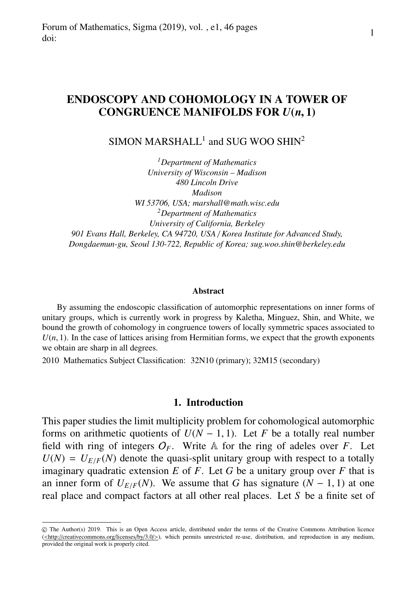# ENDOSCOPY AND COHOMOLOGY IN A TOWER OF CONGRUENCE MANIFOLDS FOR *<sup>U</sup>*(*n*, 1)

# $SIMON MARSHALL<sup>1</sup>$  and SUG WOO SHIN<sup>2</sup>

*<sup>1</sup>Department of Mathematics University of Wisconsin – Madison 480 Lincoln Drive Madison WI 53706, USA; marshall@math.wisc.edu <sup>2</sup>Department of Mathematics University of California, Berkeley 901 Evans Hall, Berkeley, CA 94720, USA* / *Korea Institute for Advanced Study, Dongdaemun-gu, Seoul 130-722, Republic of Korea; sug.woo.shin@berkeley.edu*

#### **Abstract**

By assuming the endoscopic classification of automorphic representations on inner forms of unitary groups, which is currently work in progress by Kaletha, Minguez, Shin, and White, we bound the growth of cohomology in congruence towers of locally symmetric spaces associated to  $U(n, 1)$ . In the case of lattices arising from Hermitian forms, we expect that the growth exponents we obtain are sharp in all degrees.

2010 Mathematics Subject Classification: 32N10 (primary); 32M15 (secondary)

## 1. Introduction

This paper studies the limit multiplicity problem for cohomological automorphic forms on arithmetic quotients of  $U(N - 1, 1)$ . Let *F* be a totally real number field with ring of integers  $O_F$ . Write  $\mathbb A$  for the ring of adeles over *F*. Let  $U(N) = U_{E/F}(N)$  denote the quasi-split unitary group with respect to a totally imaginary quadratic extension  $E$  of  $F$ . Let  $G$  be a unitary group over  $F$  that is an inner form of  $U_{E/F}(N)$ . We assume that *G* has signature  $(N - 1, 1)$  at one real place and compact factors at all other real places. Let *S* be a finite set of

c The Author(s) 2019. This is an Open Access article, distributed under the terms of the Creative Commons Attribution licence (<http://creativecommons.org/licenses/by/3.0/>), which permits unrestricted re-use, distribution, and reproduction in any medium, provided the original work is properly cited.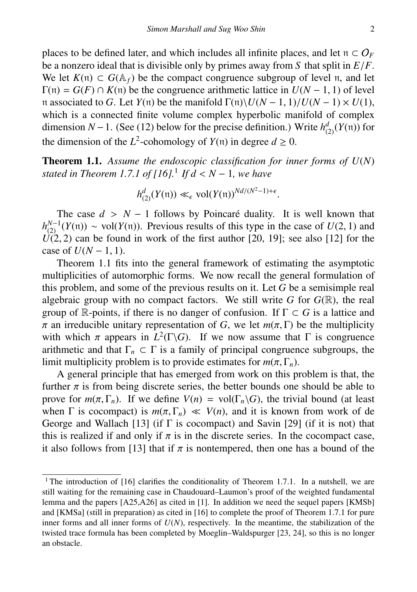places to be defined later, and which includes all infinite places, and let  $n \subset O_F$  be a nonzero ideal that is divisible only by primes away from S that split in  $E/F$ . be a nonzero ideal that is divisible only by primes away from *S* that split in *E*/*F*. We let *K*(n) ⊂ *G*( $\mathbb{A}_f$ ) be the compact congruence subgroup of level n, and let  $\Gamma(\mathfrak{n}) = G(F) \cap K(\mathfrak{n})$  be the congruence arithmetic lattice in  $U(N - 1, 1)$  of level <sup>n</sup> associated to *<sup>G</sup>*. Let *<sup>Y</sup>*(n) be the manifold <sup>Γ</sup>(n)\*U*(*<sup>N</sup>* <sup>−</sup> <sup>1</sup>, 1)/*U*(*<sup>N</sup>* <sup>−</sup> 1) <sup>×</sup> *<sup>U</sup>*(1), which is a connected finite volume complex hyperbolic manifold of complex dimension *N* − 1. (See (12) below for the precise definition.) Write  $h_{(2)}^d(Y(\mathfrak{n}))$  for the dimension of the  $L^2$ -cohomology of  $Y(\pi)$  in degree  $d \ge 0$ .

Theorem 1.1. *Assume the endoscopic classification for inner forms of U*(*N*) *stated in Theorem 1.7.1 of [16].*<sup>1</sup> *If d* < *<sup>N</sup>* <sup>−</sup> <sup>1</sup>*, we have*

$$
h_{(2)}^d(Y(\mathfrak{n})) \ll_{\epsilon} \text{vol}(Y(\mathfrak{n}))^{Nd/(N^2-1)+\epsilon}.
$$

The case  $d > N - 1$  follows by Poincaré duality. It is well known that The case *d* > *N* − 1 follows by Poincaré duality. It is well known that  $h_{(2)}^{N-1}(Y(\pi)) \sim \text{vol}(Y(\pi))$ . Previous results of this type in the case of *U*(2, 1) and *I*(2, 2) can be found in work of the first author [20, 19]  $U(2, 2)$  can be found in work of the first author [20, 19]; see also [12] for the case of  $U(N - 1, 1)$ case of  $U(N-1, 1)$ .

Theorem 1.1 fits into the general framework of estimating the asymptotic multiplicities of automorphic forms. We now recall the general formulation of this problem, and some of the previous results on it. Let *G* be a semisimple real algebraic group with no compact factors. We still write  $G$  for  $G(\mathbb{R})$ , the real group of R-points, if there is no danger of confusion. If  $\Gamma \subset G$  is a lattice and  $\pi$  an irreducible unitary representation of *G*, we let  $m(\pi, \Gamma)$  be the multiplicity π an irreducible unitary representation of *G*, we let  $m(\pi, \Gamma)$  be the multiplicity with which π appears in  $L^2(\Gamma \backslash G)$ . If we now assume that  $\Gamma$  is congruence with which  $\pi$  appears in  $L^2(\Gamma \backslash G)$ . If we now assume that  $\Gamma$  is congruence<br>arithmetic and that  $\Gamma \subset \Gamma$  is a family of principal congruence subgroups the arithmetic and that  $\Gamma_n \subset \Gamma$  is a family of principal congruence subgroups, the limit multiplicity problem is to provide estimates for  $m(\pi, \Gamma_n)$ .

A general principle that has emerged from work on this problem is that, the further  $\pi$  is from being discrete series, the better bounds one should be able to prove for  $m(\pi, \Gamma_n)$ . If we define  $V(n) = \text{vol}(\Gamma_n \backslash G)$ , the trivial bound (at least when  $\Gamma$  is cocompact) is  $m(\pi, \Gamma_n) \ll V(n)$ , and it is known from work of de George and Wallach [13] (if  $\Gamma$  is cocompact) and Savin [29] (if it is not) that this is realized if and only if  $\pi$  is in the discrete series. In the cocompact case, it also follows from [13] that if  $\pi$  is nontempered, then one has a bound of the

<sup>&</sup>lt;sup>1</sup> The introduction of [16] clarifies the conditionality of Theorem 1.7.1. In a nutshell, we are still waiting for the remaining case in Chaudouard–Laumon's proof of the weighted fundamental lemma and the papers [A25,A26] as cited in [1]. In addition we need the sequel papers [KMSb] and [KMSa] (still in preparation) as cited in [16] to complete the proof of Theorem 1.7.1 for pure inner forms and all inner forms of  $U(N)$ , respectively. In the meantime, the stabilization of the twisted trace formula has been completed by Moeglin–Waldspurger [23, 24], so this is no longer an obstacle.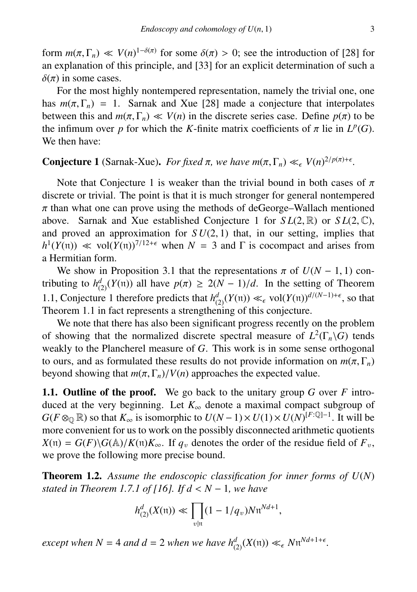form  $m(\pi, \Gamma_n) \ll V(n)^{1-\delta(\pi)}$  for some  $\delta(\pi) > 0$ ; see the introduction of [28] for an explanation of this principle, and [33] for an explicit determination of such a an explanation of this principle, and [33] for an explicit determination of such a  $\delta(\pi)$  in some cases.

For the most highly nontempered representation, namely the trivial one, one has  $m(\pi, \Gamma_n) = 1$ . Sarnak and Xue [28] made a conjecture that interpolates between this and  $m(\pi, \Gamma_n) \ll V(n)$  in the discrete series case. Define  $p(\pi)$  to be the infimum over *p* for which the *K*-finite matrix coefficients of  $\pi$  lie in  $L^p(G)$ .<br>We then have: We then have:

# **Conjecture 1** (Sarnak-Xue). *For fixed*  $\pi$ , we have  $m(\pi, \Gamma_n) \ll_{\epsilon} V(n)^{2/p(\pi)+\epsilon}$ .

Note that Conjecture 1 is weaker than the trivial bound in both cases of  $\pi$ discrete or trivial. The point is that it is much stronger for general nontempered  $\pi$  than what one can prove using the methods of deGeorge–Wallach mentioned above. Sarnak and Xue established Conjecture 1 for  $SL(2, \mathbb{R})$  or  $SL(2, \mathbb{C})$ , and proved an approximation for  $SU(2, 1)$  that, in our setting, implies that and proved an approximation for  $SU(2, 1)$  that, in our setting, implies that  $h^1(Y(\mathfrak{n})) \ll \text{vol}(Y(\mathfrak{n}))^{7/12+\epsilon}$  when  $N = 3$  and  $\Gamma$  is cocompact and arises from a Hermitian form.

We show in Proposition 3.1 that the representations  $\pi$  of  $U(N - 1, 1)$  contributing to  $h_{(2)}^d(Y(n))$  all have  $p(\pi) \ge 2(N-1)/d$ . In the setting of Theorem 1.1, Conjecture 1 therefore predicts that  $h_{(2)}^d(Y(\pi)) \ll_{\epsilon} \text{vol}(Y(\pi))^{d/(N-1)+\epsilon}$ , so that Theorem 1.1 in fact represents a strengthening of this conjecture.

We note that there has also been significant progress recently on the problem of showing that the normalized discrete spectral measure of  $L^2(\Gamma_n\backslash G)$  tends weakly to the Plancherel measure of *G*. This work is in some sense orthogonal to ours, and as formulated these results do not provide information on  $m(\pi, \Gamma_n)$ beyond showing that  $m(\pi, \Gamma_n)/V(n)$  approaches the expected value.

1.1. Outline of the proof. We go back to the unitary group *G* over *F* introduced at the very beginning. Let  $K_{\infty}$  denote a maximal compact subgroup of  $G(F \otimes_{\mathbb{Q}} \mathbb{R})$  so that  $K_{\infty}$  is isomorphic to  $U(N-1) \times U(1) \times U(N)^{[F:\mathbb{Q}]-1}$ . It will be more convenient for us to work on the possibly disconnected arithmetic quotients  $X(\mathfrak{n}) = G(F) \backslash G(\mathbb{A}) / K(\mathfrak{n}) K_{\infty}$ . If  $q_v$  denotes the order of the residue field of  $F_v$ , we prove the following more precise bound.

Theorem 1.2. *Assume the endoscopic classification for inner forms of U*(*N*) *stated in Theorem 1.7.1 of [16]. If d* < *<sup>N</sup>* <sup>−</sup> <sup>1</sup>*, we have*

$$
h_{(2)}^{d}(X(\mathfrak{n})) \ll \prod_{v \mid \mathfrak{n}} (1 - 1/q_v) N \mathfrak{n}^{Nd+1},
$$

*except when*  $N = 4$  *and*  $d = 2$  *when we have*  $h_{(2)}^d(X(\mathfrak{n})) \ll_{\epsilon} N \mathfrak{n}^{Nd+1+\epsilon}$ .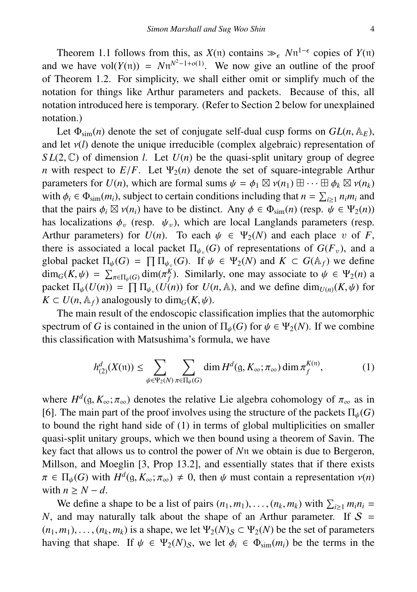Theorem 1.1 follows from this, as  $X(n)$  contains  $\gg_{\epsilon} Nn^{1-\epsilon}$  copies of  $Y(n)$ <br>we have  $vol(Y(n)) = Nu^{N^2-1+o(1)}$ . We now give an outline of the proof and we have vol $(Y(n)) = Nn^{N^2-1+o(1)}$ . We now give an outline of the proof of Theorem 1.2. For simplicity, we shall either omit or simplify much of the notation for things like Arthur parameters and packets. Because of this, all notation introduced here is temporary. (Refer to Section 2 below for unexplained notation.)

Let  $\Phi_{\text{sim}}(n)$  denote the set of conjugate self-dual cusp forms on  $GL(n, \mathbb{A}_F)$ , and let  $v(l)$  denote the unique irreducible (complex algebraic) representation of  $SL(2, \mathbb{C})$  of dimension *l*. Let  $U(n)$  be the quasi-split unitary group of degree *n* with respect to  $E/F$ . Let  $\Psi_2(n)$  denote the set of square-integrable Arthur parameters for  $U(n)$ , which are formal sums  $\psi = \phi_1 \boxtimes \nu(n_1) \boxplus \cdots \boxplus \phi_k \boxtimes \nu(n_k)$ <br>with  $\phi_1 \in \Phi_1$ . (*m*<sub>i</sub>) subject to certain conditions including that  $n = \sum_{i=1}^k n_i m_i$  and with  $\phi_i \in \Phi_{\text{sim}}(m_i)$ , subject to certain conditions including that  $n = \sum_{i \geq 1} n_i m_i$  and that the pairs  $\phi_i \boxtimes v(n_i)$  have to be distinct. Any  $\phi \in \Phi_{\geq 0}(n)$  (resp.  $\psi \in \Psi_2(n)$ ) that the pairs  $\phi_i \boxtimes v(n_i)$  have to be distinct. Any  $\phi \in \Phi_{\text{sim}}(n)$  (resp.  $\psi \in \Psi_2(n)$ )<br>has localizations  $\phi$  (resp.  $\psi$ ), which are local Langlands parameters (resp. has localizations  $\phi_n$  (resp.  $\psi_n$ ), which are local Langlands parameters (resp. Arthur parameters) for  $U(n)$ . To each  $\psi \in \Psi_2(N)$  and each place v of *F*, there is associated a local packet  $\Pi_{\psi_{v}}(G)$  of representations of  $G(F_{v})$ , and a closel posited  $\Pi_{v}(G) = \Pi \Pi_{v}(G)$ . If  $\psi_{v} \in W(M)$  and  $K \subset G(A)$ , we define global packet  $\Pi_{\psi}(G) = \prod \Pi_{\psi_{\psi}}(G)$ . If  $\psi \in \Psi_2(N)$  and  $K \subset G(\mathbb{A}_f)$  we define  $\dim_G(K, \psi) = \sum_{\psi} \dim(\pi^K)$ . Similarly, one may associate to  $\psi \in \Psi_2(n)$  and  $\dim_G(K, \psi) = \sum_{\pi \in \Pi_{\psi}(G)} \dim(\pi_K^K)$ . Similarly, one may associate to  $\psi \in \Psi_2(n)$  as packet  $\Pi_{\psi}(U(n)) = \prod_{\mu} \Pi_{\psi_{\psi}}(U(n))$  for  $U(n, \mathbb{A})$ , and we define  $\dim_{U(n)}(K, \psi)$  for  $K \subset U(n, \mathbb{A})$  analogously to  $\dim_{U}(K, \psi)$  $K \subset U(n, \mathbb{A}_f)$  analogously to dim<sub>*G*</sub>(*K*,  $\psi$ ).

The main result of the endoscopic classification implies that the automorphic spectrum of *G* is contained in the union of  $\Pi_{\psi}(G)$  for  $\psi \in \Psi_2(N)$ . If we combine this classification with Matsushima's formula, we have

$$
h_{(2)}^d(X(\mathfrak{n})) \le \sum_{\psi \in \Psi_2(N)} \sum_{\pi \in \Pi_{\psi}(G)} \dim H^d(\mathfrak{g}, K_{\infty}; \pi_{\infty}) \dim \pi_f^{K(\mathfrak{n})},\tag{1}
$$

where  $H^d(g, K_\infty; \pi_\infty)$  denotes the relative Lie algebra cohomology of  $\pi_\infty$  as in<br>[6] The main part of the proof involves using the structure of the packets  $\Pi_a(G)$ [6]. The main part of the proof involves using the structure of the packets  $\Pi_{\psi}(G)$ to bound the right hand side of (1) in terms of global multiplicities on smaller quasi-split unitary groups, which we then bound using a theorem of Savin. The key fact that allows us to control the power of *N*n we obtain is due to Bergeron, Millson, and Moeglin [3, Prop 13.2], and essentially states that if there exists  $\pi \in \Pi_{\psi}(G)$  with  $H^{d}(\mathfrak{g}, K_{\infty}; \pi_{\infty}) \neq 0$ , then  $\psi$  must contain a representation  $v(n)$ <br>with  $n > N - d$ with  $n > N - d$ .

We define a shape to be a list of pairs  $(n_1, m_1), \ldots, (n_k, m_k)$  with  $\sum_{i \geq 1} m_i n_i$  = and may naturally talk about the shape of an Arthur narameter. If  $S =$ *N*, and may naturally talk about the shape of an Arthur parameter. If  $S =$  $(n_1, m_1), \ldots, (n_k, m_k)$  is a shape, we let  $\Psi_2(N)$ <sub>S</sub>  $\subset \Psi_2(N)$  be the set of parameters having that shape. If  $\psi \in \Psi_2(N)_S$ , we let  $\phi_i \in \Phi_{\text{sim}}(m_i)$  be the terms in the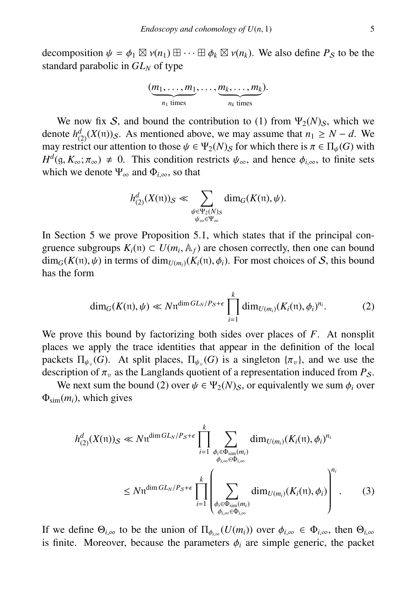decomposition  $\psi = \phi_1 \boxtimes \nu(n_1) \boxplus \cdots \boxplus \phi_k \boxtimes \nu(n_k)$ . We also define  $P_S$  to be the standard parabolic in  $GL_N$  of type standard parabolic in *GL<sup>N</sup>* of type

$$
(\underbrace{m_1,\ldots,m_1}_{n_1 \text{ times}},\ldots,\underbrace{m_k,\ldots,m_k}_{n_k \text{ times}}).
$$

We now fix S, and bound the contribution to (1) from  $\Psi_2(N)_S$ , which we denote  $h_{(2)}^d(X(\mathfrak{n}))$ <sub>S</sub>. As mentioned above, we may assume that  $n_1 \geq N - d$ . We may restrict our attention to those  $\psi \in \Psi_2(N)$  for which there is  $\pi \in \Pi_{\psi}(G)$  with  $H^d$ (g,  $K_\infty$ ;  $\pi_\infty$ )  $\neq$  0. This condition restricts  $\psi_\infty$ , and hence  $\phi_{i,\infty}$ , to finite sets which we denote  $\Psi$  and  $\Phi$ . so that which we denote  $\Psi_{\infty}$  and  $\Phi_{i,\infty}$ , so that

$$
h_{(2)}^d(X(\mathfrak{n}))_S \ll \sum_{\substack{\psi \in \Psi_2(N)_S \\ \psi_\infty \in \Psi_\infty}} \dim_G(K(\mathfrak{n}), \psi).
$$

In Section 5 we prove Proposition 5.1, which states that if the principal congruence subgroups  $K_i(\mathfrak{n}) \subset U(m_i, \mathbb{A}_f)$  are chosen correctly, then one can bound<br> $\dim_{\mathcal{O}}(K(\mathfrak{n}) \cdot \mu)$  in terms of dim $\mu_i \cdot (K(\mathfrak{n}) \cdot \mu)$ . For most choices of S, this bound  $\dim_G(K(\mathfrak{n}), \psi)$  in terms of  $\dim_{U(m_i)}(K_i(\mathfrak{n}), \phi_i)$ . For most choices of S, this bound has the form

$$
\dim_G(K(\mathfrak{n}),\psi) \ll N \mathfrak{n}^{\dim GL_N/P_{S}+\epsilon} \prod_{i=1}^k \dim_{U(m_i)}(K_i(\mathfrak{n}),\phi_i)^{n_i}.
$$
 (2)

We prove this bound by factorizing both sides over places of *F*. At nonsplit places we apply the trace identities that appear in the definition of the local packets  $\Pi_{\psi_v}(G)$ . At split places,  $\Pi_{\psi_v}(G)$  is a singleton  $\{\pi_v\}$ , and we use the description of  $\pi$  as the Langlands quotient of a representation induced from  $P_0$ description of  $\pi_v$  as the Langlands quotient of a representation induced from  $P_S$ .

We next sum the bound (2) over  $\psi \in \Psi_2(N)_S$ , or equivalently we sum  $\phi_i$  over  $\Phi_{\text{sim}}(m_i)$ , which gives

$$
h_{(2)}^d(X(\mathfrak{n}))_S \ll N\mathfrak{n}^{\dim GL_N/P_S + \epsilon} \prod_{i=1}^k \sum_{\substack{\phi_i \in \Phi_{\text{sim}}(m_i) \\ \phi_{i,\infty} \in \Phi_{i,\infty}}} \dim_{U(m_i)} (K_i(\mathfrak{n}), \phi_i)^{n_i}
$$
  

$$
\leq N\mathfrak{n}^{\dim GL_N/P_S + \epsilon} \prod_{i=1}^k \left( \sum_{\substack{\phi_i \in \Phi_{\text{sim}}(m_i) \\ \phi_{i,\infty} \in \Phi_{i,\infty}}} \dim_{U(m_i)} (K_i(\mathfrak{n}), \phi_i) \right)^{n_i}.
$$
 (3)

If we define  $\Theta_{i,\infty}$  to be the union of  $\Pi_{\phi_{i,\infty}}(U(m_i))$  over  $\phi_{i,\infty} \in \Phi_{i,\infty}$ , then  $\Theta_{i,\infty}$ <br>is finite. Moreover, because the parameters  $\phi$ , are simple generic, the packet is finite. Moreover, because the parameters  $\phi_i$  are simple generic, the packet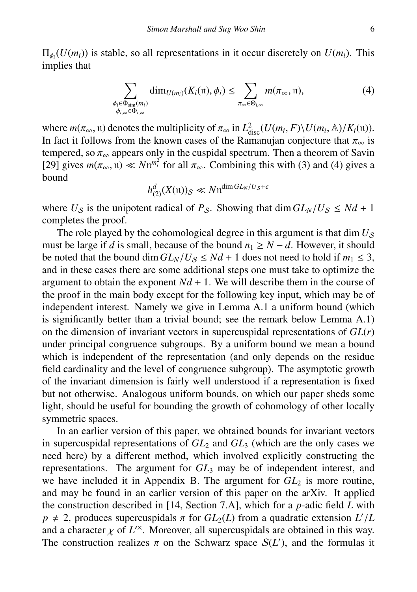$\Pi_{\phi_i}(U(m_i))$  is stable, so all representations in it occur discretely on  $U(m_i)$ . This implies that implies that

$$
\sum_{\substack{\phi_i \in \Phi_{\text{sim}}(m_i) \\ \phi_{i,\infty} \in \Phi_{i,\infty}}} \dim_{U(m_i)}(K_i(\mathfrak{n}), \phi_i) \leq \sum_{\pi_{\infty} \in \Theta_{i,\infty}} m(\pi_{\infty}, \mathfrak{n}),
$$
\n(4)

where  $m(\pi_{\infty}, \pi)$  denotes the multiplicity of  $\pi_{\infty}$  in  $L_{disc}^2(U(m_i, F) \setminus U(m_i, \mathbb{A})/K_i(\pi))$ .<br>In fact it follows from the known cases of the Ramanuian conjecture that  $\pi$  is In fact it follows from the known cases of the Ramanujan conjecture that  $\pi_{\infty}$  is tempered, so  $\pi_{\infty}$  appears only in the cuspidal spectrum. Then a theorem of Savin tempered, so  $\pi_{\infty}$  appears only in the cuspidal spectrum. Then a theorem of Savin [29] gives  $m(\pi - \mu) \ll N \mu^{m_f^2}$  for all  $\pi$ . Combining this with (3) and (4) gives a [29] gives  $m(\pi_\infty, \mathfrak{n}) \ll N\mathfrak{n}^{m_i^2}$  for all  $\pi_\infty$ . Combining this with (3) and (4) gives a bound bound

$$
h_{(2)}^d(X(\mathfrak{n}))_{\mathcal{S}} \ll N \mathfrak{n}^{\dim GL_N/U_{\mathcal{S}}+\epsilon}
$$

where  $U_S$  is the unipotent radical of  $P_S$ . Showing that dim  $GL_N/U_S \leq Nd + 1$ completes the proof.

The role played by the cohomological degree in this argument is that  $\dim U_s$ must be large if *d* is small, because of the bound  $n_1 \ge N - d$ . However, it should be noted that the bound dim  $GL_N/U_S \leq Nd + 1$  does not need to hold if  $m_1 \leq 3$ , and in these cases there are some additional steps one must take to optimize the argument to obtain the exponent  $Nd + 1$ . We will describe them in the course of the proof in the main body except for the following key input, which may be of independent interest. Namely we give in Lemma A.1 a uniform bound (which is significantly better than a trivial bound; see the remark below Lemma A.1) on the dimension of invariant vectors in supercuspidal representations of *GL*(*r*) under principal congruence subgroups. By a uniform bound we mean a bound which is independent of the representation (and only depends on the residue field cardinality and the level of congruence subgroup). The asymptotic growth of the invariant dimension is fairly well understood if a representation is fixed but not otherwise. Analogous uniform bounds, on which our paper sheds some light, should be useful for bounding the growth of cohomology of other locally symmetric spaces.

In an earlier version of this paper, we obtained bounds for invariant vectors in supercuspidal representations of  $GL_2$  and  $GL_3$  (which are the only cases we need here) by a different method, which involved explicitly constructing the representations. The argument for *GL*<sup>3</sup> may be of independent interest, and we have included it in Appendix B. The argument for  $GL_2$  is more routine, and may be found in an earlier version of this paper on the arXiv. It applied the construction described in [14, Section 7.A], which for a *p*-adic field *L* with  $p \neq 2$ , produces supercuspidals  $\pi$  for  $GL_2(L)$  from a quadratic extension  $L'/L$ <br>and a character  $\nu$  of  $L'^{\times}$ . Moreover, all supercuspidals are obtained in this way and a character  $\chi$  of  $L^{\prime\prime}$ . Moreover, all supercuspidals are obtained in this way.<br>The construction realizes  $\pi$  on the Schwarz space  $S(L^{\prime})$  and the formulas it The construction realizes  $\pi$  on the Schwarz space  $S(L')$ , and the formulas it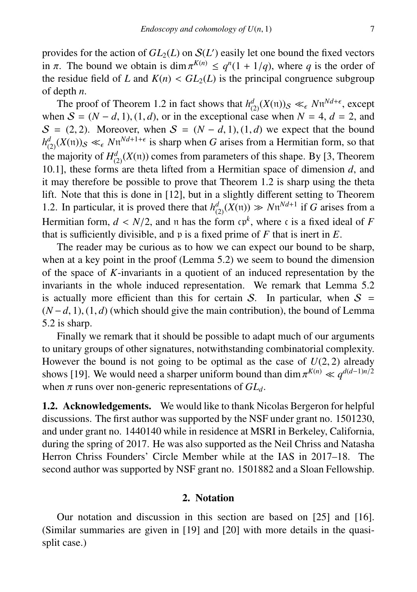provides for the action of  $GL_2(L)$  on  $\mathcal{S}(L')$  easily let one bound the fixed vectors in  $\pi$ . The bound we obtain is dim  $\pi^{K(n)} \leq q^n(1 + 1/q)$ , where q is the order of the residue field of L and  $K(n) \leq GL_2(L)$  is the principal congruence subgroup the residue field of *L* and  $K(n) < GL_2(L)$  is the principal congruence subgroup of depth *n*.

The proof of Theorem 1.2 in fact shows that  $h_{(2)}^d(X(\pi))_S \ll_{\epsilon} N \pi^{Nd+\epsilon}$ , except<br>on  $S = (M_d, d, 1), (1, d)$  or in the exceptional association  $M_d = 1$ ,  $d = 2$ , and when  $S = (N - d, 1), (1, d)$ , or in the exceptional case when  $N = 4$ ,  $d = 2$ , and  $S = (2, 2)$ . Moreover, when  $S = (N - d, 1), (1, d)$  we expect that the bound  $h_{(2)}^d(X(\mathfrak{n}))_S \ll_{\epsilon} N^{\mathfrak{n}^d+1+\epsilon}$  is sharp when *G* arises from a Hermitian form, so that the majority of  $H^d_{(2)}(X(\mathfrak{n}))$  comes from parameters of this shape. By [3, Theorem 10.1], these forms are theta lifted from a Hermitian space of dimension *d*, and it may therefore be possible to prove that Theorem 1.2 is sharp using the theta lift. Note that this is done in [12], but in a slightly different setting to Theorem 1.2. In particular, it is proved there that  $h_{(2)}^d(X(\mathfrak{n})) \gg N\mathfrak{n}^{Nd+1}$  if *G* arises from a Hermitian form,  $d < N/2$ , and n has the form  $\epsilon p^k$ , where c is a fixed ideal of *F* that is sufficiently divisible and n is a fixed prime of *F* that is inert in *F* that is sufficiently divisible, and p is a fixed prime of *F* that is inert in *E*.

The reader may be curious as to how we can expect our bound to be sharp, when at a key point in the proof (Lemma 5.2) we seem to bound the dimension of the space of *K*-invariants in a quotient of an induced representation by the invariants in the whole induced representation. We remark that Lemma 5.2 is actually more efficient than this for certain S. In particular, when  $S =$ (*<sup>N</sup>* <sup>−</sup>*d*, 1), (1, *<sup>d</sup>*) (which should give the main contribution), the bound of Lemma 5.2 is sharp.

Finally we remark that it should be possible to adapt much of our arguments to unitary groups of other signatures, notwithstanding combinatorial complexity. However the bound is not going to be optimal as the case of  $U(2, 2)$  already shows [19]. We would need a sharper uniform bound than dim  $\pi^{K(n)} \ll q^{d(d-1)n/2}$ <br>when  $\pi$  runs over non-generic representations of  $GI$ . when  $\pi$  runs over non-generic representations of  $GL_d$ .

1.2. Acknowledgements. We would like to thank Nicolas Bergeron for helpful discussions. The first author was supported by the NSF under grant no. 1501230, and under grant no. 1440140 while in residence at MSRI in Berkeley, California, during the spring of 2017. He was also supported as the Neil Chriss and Natasha Herron Chriss Founders' Circle Member while at the IAS in 2017–18. The second author was supported by NSF grant no. 1501882 and a Sloan Fellowship.

## 2. Notation

Our notation and discussion in this section are based on [25] and [16]. (Similar summaries are given in [19] and [20] with more details in the quasisplit case.)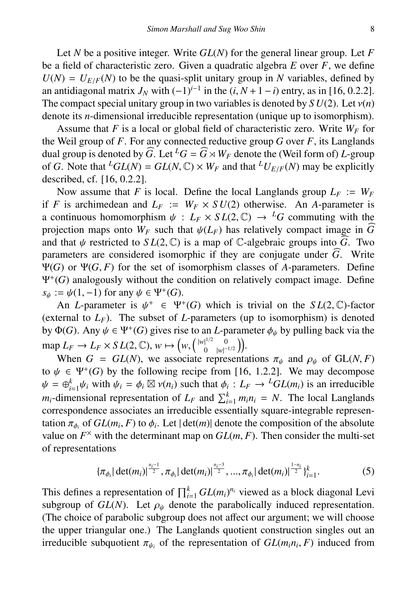Let *N* be a positive integer. Write *GL*(*N*) for the general linear group. Let *F* be a field of characteristic zero. Given a quadratic algebra *E* over *F*, we define  $U(N) = U_{E/F}(N)$  to be the quasi-split unitary group in *N* variables, defined by an antidiagonal matrix  $J_N$  with  $(-1)^{i-1}$  in the  $(i, N+1-i)$  entry, as in [16, 0.2.2].<br>The compact special unitary group in two variables is denoted by  $SU(2)$ . Let  $v(n)$ The compact special unitary group in two variables is denoted by  $SU(2)$ . Let  $v(n)$ denote its *n*-dimensional irreducible representation (unique up to isomorphism).

Assume that *F* is a local or global field of characteristic zero. Write  $W_F$  for the Weil group of *F*. For any connected reductive group *G* over *F*, its Langlands dual group is denoted by  $\widehat{G}$ . Let  ${}^L G = \widehat{G} \rtimes W_F$  denote the (Weil form of) *L*-group of *G*. Note that  ${}^LGL(N) = GL(N, \mathbb{C}) \times W_F$  and that  ${}^LU_{E/F}(N)$  may be explicitly described, cf. [16, 0.2.2].

Now assume that *F* is local. Define the local Langlands group  $L_F := W_F$ if *F* is archimedean and  $L_F := W_F \times SU(2)$  otherwise. An *A*-parameter is a continuous homomorphism  $\psi : L_F \times SL(2, \mathbb{C}) \rightarrow L_G$  commuting with the projection maps onto  $W_F$  such that  $\psi(L_F)$  has relatively compact image in  $\widehat{G}$ and that  $\psi$  restricted to  $SL(2,\mathbb{C})$  is a map of  $\mathbb{C}$ -algebraic groups into  $\overline{\hat{G}}$ . Two parameters are considered isomorphic if they are conjugate under  $\widehat{G}$ . Write  $Ψ(G)$  or  $Ψ(G, F)$  for the set of isomorphism classes of *A*-parameters. Define Ψ<sup>+</sup> (*G*) analogously without the condition on relatively compact image. Define  $s_{\psi} := \psi(1,-1)$  for any  $\psi \in \Psi^+(G)$ .<br>An *I*-parameter is  $\psi^+ \in \Psi^+$ 

An *L*-parameter is  $\psi^+ \in \Psi^+(G)$  which is trivial on the *SL*(2, C)-factor<br>ternal to *L*<sub>D</sub>). The subset of *L*-parameters (up to isomorphism) is denoted (external to  $L_F$ ). The subset of *L*-parameters (up to isomorphism) is denoted by  $\Phi(G)$ . Any  $\psi \in \Psi^+(G)$  gives rise to an *L*-parameter  $\phi_{\psi}$  by pulling back via the  $\text{map } L_F \to L_F \times SL(2, \mathbb{C}), w \mapsto \left(w, \begin{pmatrix} |w|^{1/2} & 0 \\ 0 & |w| \end{pmatrix} \right)$ <br>When  $C = CL(N)$  we associate range  $\bigg| \begin{array}{cc} 1^{1/2} & 0 \\ 0 & |w|^{-1/2} \end{array} \bigg) \bigg).$ 

When  $G = GL(N)$ , we associate representations  $\pi_{\psi}$  and  $\rho_{\psi}$  of  $GL(N, F)$ to  $\psi \in \Psi^+(G)$  by the following recipe from [16, 1.2.2]. We may decompose  $\psi = \Phi^k$ ,  $\psi$  with  $\psi = \Phi^k$   $\mathbb{Z}$  w(n) such that  $\Phi: L_{\mathbb{Z}} \to L_{\mathbb{Z}}(I(m))$  is an irreducible  $\psi = \bigoplus_{i=1}^k \psi_i$  with  $\psi_i = \phi_i \boxtimes \psi(n_i)$  such that  $\phi_i : L_F \to {}^LGL(m_i)$  is an irreducible<br>we dimensional representation of *L*, and  $\Sigma^k$ , w.w. = *N*. The local Langlands *m*<sub>*i*</sub>-dimensional representation of  $L_F$  and  $\sum_{i=1}^{k} m_i n_i = N$ . The local Langlands correspondence associates an irreducible essentially square-integrable representation  $\pi_{\phi_i}$  of  $GL(m_i, F)$  to  $\phi_i$ . Let  $|\det(m)|$  denote the composition of the absolute value on  $F^{\times}$  with the determinant map on  $GL(m, F)$ . Then consider the multi-set value on  $F^{\times}$  with the determinant map on  $GL(m, F)$ . Then consider the multi-set of representations of representations

$$
\{\pi_{\phi_i}|\det(m_i)|^{\frac{n_i-1}{2}}, \pi_{\phi_i}|\det(m_i)|^{\frac{n_i-3}{2}}, ..., \pi_{\phi_i}|\det(m_i)|^{\frac{1-n_i}{2}}\}_{i=1}^k.
$$
 (5)

This defines a representation of  $\prod_{i=1}^{k} GL(m_i)^{n_i}$  viewed as a block diagonal Levi subgroup of  $GL(N)$ . Let  $\rho_{\psi}$  denote the parabolically induced representation. (The choice of parabolic subgroup does not affect our argument; we will choose the upper triangular one.) The Langlands quotient construction singles out an irreducible subquotient  $\pi_{\psi_i}$  of the representation of  $GL(m_i n_i, F)$  induced from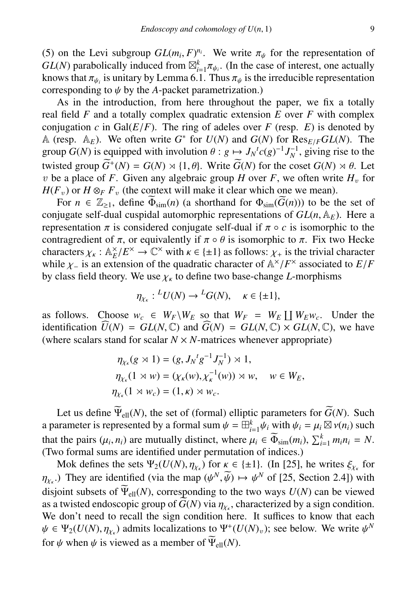(5) on the Levi subgroup  $GL(m_i, F)^{n_i}$ . We write  $\pi_{\psi}$  for the representation of  $GL(N)$  parabolically induced from  $\mathbb{R}^k \pi_{\psi}$ . (In the case of interest, one actually  $GL(N)$  parabolically induced from  $\mathbb{Z}_{i=1}^k \pi_{\psi_i}$ . (In the case of interest, one actually knows that  $\pi_{\psi_i}$  is unitary by Lemma 6.1. Thus  $\pi_{\psi}$  is the irreducible representation corresponding to  $\psi$  by the A-packet parametrization) corresponding to  $\psi$  by the *A*-packet parametrization.)

As in the introduction, from here throughout the paper, we fix a totally real field *F* and a totally complex quadratic extension *E* over *F* with complex conjugation *c* in Gal( $E/F$ ). The ring of adeles over *F* (resp. *E*) is denoted by conjugation c in Gal( $E/F$ ). The ring of adeles over F (resp. E) is denoted by<br>A (resp.  $A_E$ ). We often write  $G^*$  for  $U(N)$  and  $G(N)$  for  $\text{Res}_{E/F}GL(N)$ . The<br>group  $G(N)$  is equipped with involution  $\theta : a \mapsto L^T G(a)^{-1} L^{-1}$  group  $G(N)$  is equipped with involution  $\theta : g \mapsto J_N{}^t c(g)^{-1} J_N^{-1}$ , giving rise to the twisted group  $\widetilde{C}^t (N) = C(N) \times (1, \theta)$ . Write  $\widetilde{C}(N)$  for the goost  $C(N) \times (0, \theta)$ . Let twisted group  $\widetilde{G}^+(N) = G(N) \rtimes \{1, \theta\}$ . Write  $\widetilde{G}(N)$  for the coset  $G(N) \rtimes \theta$ . Let <br>*n* be a place of *F*. Given any algebraic group *H* over *F*, we often write *H* for v be a place of *F*. Given any algebraic group *H* over *F*, we often write  $H<sub>v</sub>$  for  $H(F_v)$  or  $H \otimes_F F_v$  (the context will make it clear which one we mean).

For  $n \in \mathbb{Z}_{\geq 1}$ , define  $\widetilde{\Phi}_{\text{sim}}(n)$  (a shorthand for  $\Phi_{\text{sim}}(\widetilde{G}(n))$ ) to be the set of conjugate self-dual cuspidal automorphic representations of  $GL(n, \mathbb{A}_E)$ . Here a representation  $\pi$  is considered conjugate self-dual if  $\pi \circ c$  is isomorphic to the contragredient of  $\pi$ , or equivalently if  $\pi \circ \theta$  is isomorphic to  $\pi$ . Fix two Hecke characters  $\chi_k$ :  $\mathbb{A}_E^{\times}/E^{\times} \to \mathbb{C}^{\times}$  with  $\kappa \in \{\pm 1\}$  as follows:  $\chi_+$  is the trivial character while  $\chi_+$  is an extension of the quadratic character of  $\mathbb{A}^{\times}/F^{\times}$  associated to  $F/F$ while  $\chi$ <sub>−</sub> is an extension of the quadratic character of  $\mathbb{A}^{\times}/F^{\times}$  associated to *E*/*F* by class field theory. We use  $\chi$  to define two base-change *I*-morphisms by class field theory. We use  $\chi_k$  to define two base-change *L*-morphisms

$$
\eta_{\chi_{\kappa}}: {}^L U(N) \to {}^L G(N), \quad \kappa \in \{\pm 1\},\
$$

as follows. Choose  $w_c \in W_F \backslash W_E$  so that  $W_F = W_E \coprod W_E w_c$ . Under the identification  $\widehat{U}(N) = GL(N, \mathbb{C})$  and  $\widehat{G}(N) = GL(N, \mathbb{C}) \times GL(N, \mathbb{C})$ , we have (where scalars stand for scalar  $N \times N$ -matrices whenever appropriate)

$$
\eta_{\chi_{\kappa}}(g \rtimes 1) = (g, J_N{}^t g^{-1} J_N^{-1}) \rtimes 1,
$$
  

$$
\eta_{\chi_{\kappa}}(1 \rtimes w) = (\chi_{\kappa}(w), \chi_{\kappa}^{-1}(w)) \rtimes w, \quad w \in W_E,
$$
  

$$
\eta_{\chi_{\kappa}}(1 \rtimes w_c) = (1, \kappa) \rtimes w_c.
$$

Let us define  $\widetilde{\Psi}_{ell}(N)$ , the set of (formal) elliptic parameters for  $\widetilde{G}(N)$ . Such a parameter is represented by a formal sum  $\psi = \overline{\mathbb{H}}_{i=1}^k \overline{\psi}_i$  with  $\psi_i = \mu_i \boxtimes \nu(n_i)$  such that the going  $(\mu, n_i)$  are mutually distinct, where  $\overline{\psi}_i \in \widetilde{\mathbb{H}}_{i=1}^k$  ( $\overline{\psi}_i \otimes \overline{\psi}_i$ )  $\overline{\Sigma}^k$  ( $\overline{\$ that the pairs  $(\mu_i, n_i)$  are mutually distinct, where  $\mu_i \in \widetilde{\Phi}_{\text{sim}}(m_i)$ ,  $\sum_{i=1}^k m_i n_i = N$ .<br>(Two formal sums are identified under permutation of indices) (Two formal sums are identified under permutation of indices.)

Mok defines the sets  $\Psi_2(U(N), \eta_{X_k})$  for  $\kappa \in \{\pm 1\}$ . (In [25], he writes  $\xi_{\chi_k}$  for They are identified (via the man  $(U^N, \widetilde{W}) \mapsto U^N$  of [25] Section 2.41) with disjoint subsets of  $\widetilde{\Psi}_{ell}(N)$ , corresponding to the two ways  $U(N)$  can be viewed .) They are identified (via the map  $(\psi^N, \widetilde{\psi}) \mapsto \psi^N$  of [25, Section 2.4]) with initial explosion of  $\widetilde{M}$ ,  $(N)$  corresponding to the two wave  $U(N)$  can be viewed as a twisted endoscopic group of  $G(N)$  via  $\eta_{\chi_{\kappa}}$ , characterized by a sign condition.<br>We don't need to recall the sign condition here. It suffices to know that each We don't need to recall the sign condition here. It suffices to know that each  $\psi \in \Psi_2(U(N), \eta_{\chi_k})$  admits localizations to  $\Psi^+(U(N)_v)$ ; see below. We write  $\psi^N$ for  $\psi$  when  $\psi$  is viewed as a member of  $\widetilde{\Psi}_{ell}(N)$ .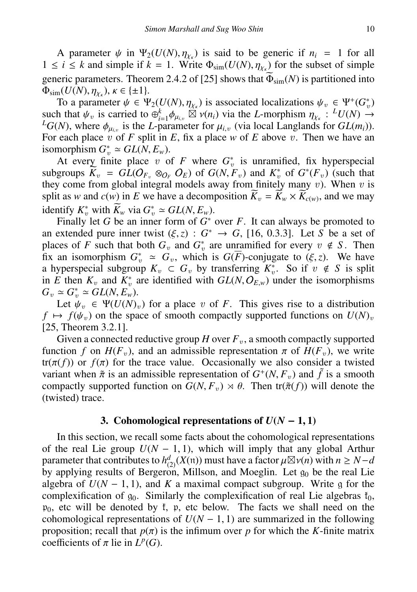A parameter  $\psi$  in  $\Psi_2(U(N), \eta_{\chi_k})$  is said to be generic if  $n_i = 1$  for all  $i \leq k$  and simple if  $k = 1$  Write  $\Phi_{\text{min}}(U(N), n_{\chi_k})$  for the subset of simple 1 ≤ *i* ≤ *k* and simple if *k* = 1. Write  $Φ_{sim}(U(N), η_{χ_κ})$  for the subset of simple generic parameters. Theorem 2.4.2 of [25] shows that  $\widetilde{Φ}_k$ . (*N*) is partitioned into generic parameters. Theorem 2.4.2 of [25] shows that  $\widetilde{\Phi}_{sim}(N)$  is partitioned into  $\Phi_{\text{sim}}(U(N), \eta_{\chi_{\kappa}}), \kappa \in \{\pm 1\}.$ <br>To a parameter  $\psi \in \Psi$ 

To a parameter  $\psi \in \Psi_2(U(N), \eta_{\chi_k})$  is associated localizations  $\psi_v \in \Psi^+(G_v^*)$ <br>h that  $\psi_v$  is carried to  $\oplus^k_{\chi}$ ,  $\phi_v \boxtimes \chi(n_i)$  via the *L*-morphism  $n_v \to L^2 U(N) \to$ such that  $\psi_v$  is carried to  $\bigoplus_{i=1}^k \phi_{\mu_i,v} \overset{\text{(i)}}{\otimes} \nu(n_i)$  via the *L*-morphism  $\eta_{\chi_k}: L^L U(N) \to L^2 G(N)$ , where  $\phi_v$  is the *L*-parameter for  $\mu_i$ , (via local Langlands for  $GL(m_i)$ ).  $L_G(N)$ , where  $\phi_{\mu_{i,v}}$  is the *L*-parameter for  $\mu_{i,v}$  (via local Langlands for  $GL(m_i)$ ).<br>For each place *n* of *F* split in *F* fix a place *w* of *E* above *n*. Then we have an For each place v of *F* split in *E*, fix a place *w* of *E* above v. Then we have an isomorphism  $G_v^* \simeq GL(N, E_w)$ .<br>At every finite place *n* o

At every finite place v of  $F$  where  $G_v^*$  is unramified, fix hyperspecial subgroups  $\overline{K}_v = GL(O_{F_v} \otimes_{O_F} O_E)$  of  $G(N, F_v)$  and  $K_v^*$  of  $G^*(F_v)$  (such that they come from plobal integral models away from finitely many v). When v is they come from global integral models away from finitely many  $v$ ). When  $v$  is split as *w* and  $c(w)$  in *E* we have a decomposition  $K_v = K_w \times K_{c(w)}$ , and we may identify  $K_v^*$  with  $\widetilde{K}_w$  via  $G_v^* \simeq GL(N, E_w)$ .<br>Finally let G be an inner form of  $G^*$ 

Finally let *G* be an inner form of  $G^*$  over *F*. It can always be promoted to an extended pure inner twist  $(\xi, z) : G^* \to G$ , [16, 0.3.3]. Let *S* be a set of places of *F* such that both  $G_v$  and  $G_v^*$  are unramified for every  $v \notin S$ . Then an extended pure inner twist  $(\xi, z) : G^* \to G$ , [16, 0.3.3]. Let *S* be a set of fix an isomorphism  $G^*_v \simeq G_v$ , which is  $G(\overline{F})$ -conjugate to  $(\xi, z)$ . We have<br>a hyperspecial subgroup  $K_v \subset G_v$  by transferring  $K^*$ . So if  $v \notin S$  is split a hyperspecial subgroup  $K_v \subset G_v$  by transferring  $K_v^*$ . So if  $v \notin S$  is split in *E* then  $K_v$  and  $K_v^*$  are identified with  $GL(N, O_{E,w})$  under the isomorphisms  $G_v \cong G^* \cong GL(N, E_v)$  $G_v \simeq G_v^* \simeq GL(N, E_w).$ <br>Let  $\psi_w \in \Psi(U(N))$ .

Let  $\psi_v \in \Psi(U(N)_v)$  for a place v of *F*. This gives rise to a distribution  $f \mapsto f(\psi_v)$  on the space of smooth compactly supported functions on  $U(N)_v$ [25, Theorem 3.2.1].

Given a connected reductive group  $H$  over  $F_v$ , a smooth compactly supported function *f* on  $H(F_v)$ , and an admissible representation  $\pi$  of  $H(F_v)$ , we write  $tr(\pi(f))$  or  $f(\pi)$  for the trace value. Occasionally we also consider a twisted variant when  $\tilde{\pi}$  is an admissible representation of  $G^+(N, F_v)$  and  $\tilde{f}$  is a smooth compactly supported function on  $G(N, F_v) \rtimes \theta$ . Then  $tr(\tilde{\pi}(f))$  will denote the compactly supported function on  $G(N, F_v) \rtimes \theta$ . Then tr( $\tilde{\pi}(f)$ ) will denote the (twisted) trace.

## 3. Cohomological representations of  $U(N-1,1)$

In this section, we recall some facts about the cohomological representations of the real Lie group  $U(N - 1, 1)$ , which will imply that any global Arthur parameter that contributes to  $h_d^d(x(\pi))$  must have a factor  $\mu \boxtimes \nu(n)$  with  $n \ge N-d$ <br>by applying results of Bergeron, Millson, and Moeglin. Let  $g_0$  be the real Lie by applying results of Bergeron, Millson, and Moeglin. Let  $g_0$  be the real Lie algebra of  $U(N - 1, 1)$ , and K a maximal compact subgroup. Write g for the complexification of  $q_0$ . Similarly the complexification of real Lie algebras  $t_0$ ,  $p_0$ , etc will be denoted by  $f$ , p, etc below. The facts we shall need on the cohomological representations of  $U(N - 1, 1)$  are summarized in the following proposition; recall that  $p(\pi)$  is the infimum over *p* for which the *K*-finite matrix coefficients of  $\pi$  lie in  $L^p(G)$ .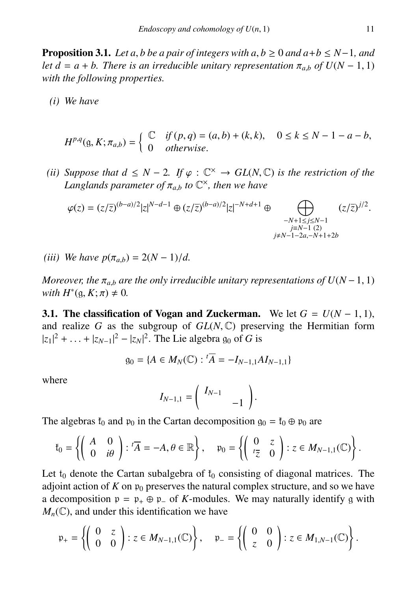**Proposition 3.1.** *Let a, b be a pair of integers with a, b*  $\geq 0$  *and a+b*  $\leq N-1$ *, and let d* =  $a + b$ . There is an irreducible unitary representation  $\pi_{a,b}$  of  $U(N - 1, 1)$ *with the following properties.*

*(i) We have*

$$
H^{p,q}(g, K; \pi_{a,b}) = \begin{cases} \mathbb{C} & \text{if } (p, q) = (a, b) + (k, k), & 0 \le k \le N - 1 - a - b, \\ 0 & \text{otherwise.} \end{cases}
$$

*(ii) Suppose that*  $d \leq N - 2$ *. If*  $\varphi : \mathbb{C}^{\times} \to GL(N, \mathbb{C})$  *is the restriction of the Langlands parameter of*  $\pi$  *, to*  $\mathbb{C}^{\times}$  *then we have* Langlands parameter of  $\pi_{a,b}$  to  $\mathbb{C}^{\times}$ , then we have

$$
\varphi(z) = (z/\overline{z})^{(b-a)/2} |z|^{N-d-1} \oplus (z/\overline{z})^{(b-a)/2} |z|^{-N+d+1} \oplus \bigoplus_{\substack{-N+1 \leq j \leq N-1 \\ j \neq N-1-2a, -N+1+2b}} (z/\overline{z})^{j/2}.
$$

*(iii) We have*  $p(\pi_{a,b}) = 2(N-1)/d$ .

*Moreover, the*  $\pi_{a,b}$  *are the only irreducible unitary representations of*  $U(N-1, 1)$ *with*  $H^*(\mathfrak{g}, K; \pi) \neq 0$ *.* 

**3.1.** The classification of Vogan and Zuckerman. We let  $G = U(N - 1, 1)$ , and realize *<sup>G</sup>* as the subgroup of *GL*(*N*, <sup>C</sup>) preserving the Hermitian form  $|z_1|^2 + ... + |z_{N-1}|^2 - |z_N|^2$ . The Lie algebra  $g_0$  of *G* is

$$
g_0 = \{ A \in M_N(\mathbb{C}) : {}^t \overline{A} = -I_{N-1,1} A I_{N-1,1} \}
$$

where

$$
I_{N-1,1} = \left(\begin{array}{cc} I_{N-1} & \\ & -1 \end{array}\right)
$$

The algebras  $\mathfrak{k}_0$  and  $\mathfrak{p}_0$  in the Cartan decomposition  $\mathfrak{g}_0 = \mathfrak{k}_0 \oplus \mathfrak{p}_0$  are

$$
\mathfrak{k}_0 = \left\{ \left( \begin{array}{cc} A & 0 \\ 0 & i\theta \end{array} \right) : \, {}^{t}\overline{A} = -A, \theta \in \mathbb{R} \right\}, \quad \mathfrak{p}_0 = \left\{ \left( \begin{array}{cc} 0 & z \\ {}^{t}\overline{z} & 0 \end{array} \right) : z \in M_{N-1,1}(\mathbb{C}) \right\}.
$$

Let  $t_0$  denote the Cartan subalgebra of  $t_0$  consisting of diagonal matrices. The adjoint action of  $K$  on  $\mathfrak{p}_0$  preserves the natural complex structure, and so we have a decomposition  $p = p_+ \oplus p_-$  of *K*-modules. We may naturally identify g with  $M_n(\mathbb{C})$ , and under this identification we have

$$
\mathfrak{p}_{+} = \left\{ \left( \begin{array}{cc} 0 & z \\ 0 & 0 \end{array} \right) : z \in M_{N-1,1}(\mathbb{C}) \right\}, \quad \mathfrak{p}_{-} = \left\{ \left( \begin{array}{cc} 0 & 0 \\ z & 0 \end{array} \right) : z \in M_{1,N-1}(\mathbb{C}) \right\}.
$$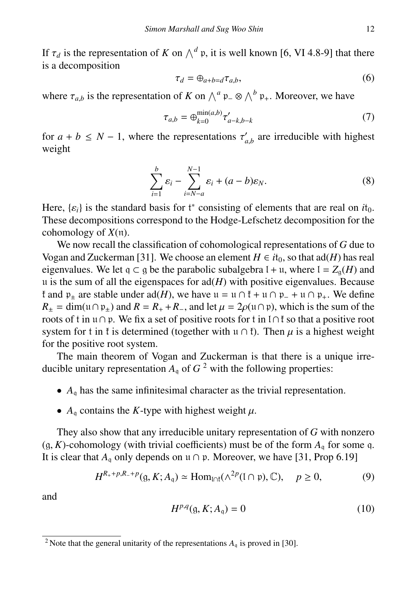If  $\tau_d$  is the representation of *K* on  $\wedge^d$  p, it is well known [6, VI 4.8-9] that there is a decomposition is a decomposition

$$
\tau_d = \bigoplus_{a+b=d} \tau_{a,b},\tag{6}
$$

where  $\tau_{a,b}$  is the representation of *K* on  $\wedge^a$  p<sub>−</sub> ⊗  $\wedge^b$  p<sub>+</sub>. Moreover, we have

$$
\tau_{a,b} = \bigoplus_{k=0}^{\min(a,b)} \tau'_{a-k,b-k} \tag{7}
$$

for  $a + b \le N - 1$ , where the representations  $\tau'_{a,b}$  are irreducible with highest weight weight

$$
\sum_{i=1}^{b} \varepsilon_i - \sum_{i=N-a}^{N-1} \varepsilon_i + (a-b)\varepsilon_N.
$$
 (8)

Here,  $\{\varepsilon_i\}$  is the standard basis for  $t^*$  consisting of elements that are real on  $it_0$ .<br>These decompositions correspond to the Hodge-I efschetz decomposition for the These decompositions correspond to the Hodge-Lefschetz decomposition for the cohomology of *X*(n).

We now recall the classification of cohomological representations of *G* due to Vogan and Zuckerman [31]. We choose an element  $H \in it_0$ , so that ad(*H*) has real eigenvalues. We let  $q \subset q$  be the parabolic subalgebra  $l + u$ , where  $l = Z_q(H)$  and u is the sum of all the eigenspaces for  $\text{ad}(H)$  with positive eigenvalues. Because  $\mathfrak k$  and  $\mathfrak p_+$  are stable under ad(*H*), we have  $\mathfrak u = \mathfrak u \cap \mathfrak k + \mathfrak u \cap \mathfrak p_+ + \mathfrak u \cap \mathfrak p_+$ . We define  $R_{\pm}$  = dim( $\mu \cap \mathfrak{p}_{\pm}$ ) and  $R = R_{+} + R_{-}$ , and let  $\mu = 2\rho(\mu \cap \mathfrak{p})$ , which is the sum of the roots of t in u∩p. We fix a set of positive roots for t in l∩t so that a positive root system for t in t is determined (together with u ∩ t). Then  $\mu$  is a highest weight for the positive root system.

The main theorem of Vogan and Zuckerman is that there is a unique irreducible unitary representation  $A_q$  of  $G^2$  with the following properties:

- $\bullet$  *A*<sub>q</sub> has the same infinitesimal character as the trivial representation.
- $A_q$  contains the *K*-type with highest weight  $\mu$ .

They also show that any irreducible unitary representation of *G* with nonzero  $(g, K)$ -cohomology (with trivial coefficients) must be of the form  $A<sub>a</sub>$  for some q. It is clear that  $A_0$  only depends on  $\mathfrak{u} \cap \mathfrak{p}$ . Moreover, we have [31, Prop 6.19]

$$
H^{R_+ + p, R_- + p}(\mathfrak{g}, K; A_{\mathfrak{q}}) \simeq \text{Hom}_{\text{Infl}}(\wedge^{2p}(\text{I} \cap \mathfrak{p}), \mathbb{C}), \quad p \ge 0,
$$
 (9)

and

$$
H^{p,q}(\mathfrak{g}, K; A_{\mathfrak{q}}) = 0 \tag{10}
$$

<sup>&</sup>lt;sup>2</sup> Note that the general unitarity of the representations  $A_q$  is proved in [30].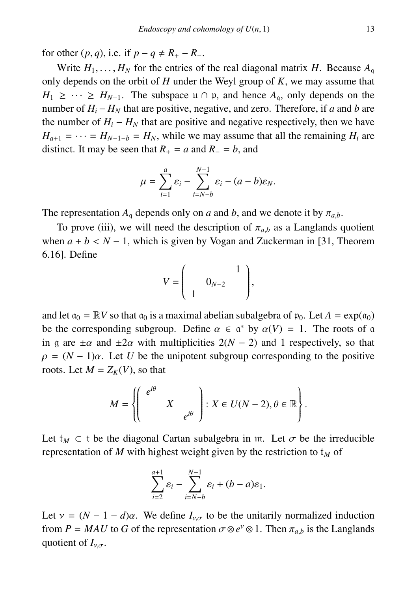for other  $(p, q)$ , i.e. if  $p - q \neq R_+ - R_-$ .

Write  $H_1, \ldots, H_N$  for the entries of the real diagonal matrix *H*. Because  $A_0$ only depends on the orbit of *H* under the Weyl group of *K*, we may assume that  $H_1 \geq \cdots \geq H_{N-1}$ . The subspace  $\mathfrak{u} \cap \mathfrak{p}$ , and hence  $A_{\mathfrak{g}}$ , only depends on the number of  $H_i - H_N$  that are positive, negative, and zero. Therefore, if *a* and *b* are the number of  $H_i - H_N$  that are positive and negative respectively, then we have  $H_{a+1} = \cdots = H_{N-1-b} = H_N$ , while we may assume that all the remaining  $H_i$  are distinct. It may be seen that  $R_+ = a$  and  $R_ - = b$ , and

$$
\mu = \sum_{i=1}^a \varepsilon_i - \sum_{i=N-b}^{N-1} \varepsilon_i - (a-b)\varepsilon_N.
$$

The representation  $A_q$  depends only on *a* and *b*, and we denote it by  $\pi_{a,b}$ .

To prove (iii), we will need the description of  $\pi_{a,b}$  as a Langlands quotient when  $a + b < N - 1$ , which is given by Vogan and Zuckerman in [31, Theorem 6.16]. Define

$$
V = \left(\begin{array}{cc} 1 \\ 0_{N-2} \end{array}\right),
$$

and let  $a_0 = \mathbb{R}V$  so that  $a_0$  is a maximal abelian subalgebra of  $p_0$ . Let  $A = \exp(a_0)$ be the corresponding subgroup. Define  $\alpha \in \mathfrak{a}^*$  by  $\alpha(V) = 1$ . The roots of a<br>in a are  $\pm \alpha$  and  $\pm 2\alpha$  with multiplicities  $2(N-2)$  and 1 respectively, so that in g are  $\pm \alpha$  and  $\pm 2\alpha$  with multiplicities  $2(N - 2)$  and 1 respectively, so that  $\rho = (N-1)\alpha$ . Let *U* be the unipotent subgroup corresponding to the positive roots. Let  $M = Z_K(V)$ , so that

$$
M = \left\{ \left( \begin{array}{ccc} e^{i\theta} & & \\ & X & \\ & & e^{i\theta} \end{array} \right) : X \in U(N-2), \theta \in \mathbb{R} \right\}.
$$

Let  $t_M \subset t$  be the diagonal Cartan subalgebra in m. Let  $\sigma$  be the irreducible representation of *M* with highest weight given by the restriction to  $t_M$  of

$$
\sum_{i=2}^{a+1} \varepsilon_i - \sum_{i=N-b}^{N-1} \varepsilon_i + (b-a)\varepsilon_1.
$$

Let  $v = (N - 1 - d)\alpha$ . We define  $I_{v,\sigma}$  to be the unitarily normalized induction from *P* = *MAU* to *G* of the representation  $\sigma \otimes e^{\nu} \otimes 1$ . Then  $\pi_{a,b}$  is the Langlands quotient of *I* quotient of  $I_{\nu,\sigma}$ .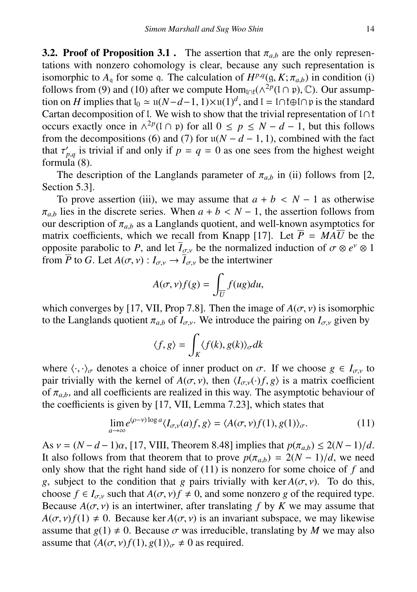**3.2. Proof of Proposition 3.1**. The assertion that  $\pi_{ab}$  are the only representations with nonzero cohomology is clear, because any such representation is isomorphic to  $A_q$  for some q. The calculation of  $H^{p,q}(\mathfrak{g}, K; \pi_{a,b})$  in condition (i) follows from (9) and (10) after we compute  $\text{Hom}_{\mathcal{O}}(\Lambda^{2p}(\Gamma \cap \mathfrak{v})$ . Our assumpfollows from (9) and (10) after we compute  $\text{Hom}_{\text{Inf}}(\wedge^{2p}(I \cap \mathfrak{p}), \mathbb{C})$ . Our assumption on *H* implies that  $I_0 \cong \mathfrak{U}(N-d-1) \times \mathfrak{U}(1)^d$  and  $I = \text{Inf} \oplus \text{Ing}$  is the standard tion on *H* implies that  $I_0 \simeq u(N-d-1, 1) \times u(1)^d$ , and  $I = I \cap I \oplus I \cap p$  is the standard<br>Cartan decomposition of I. We wish to show that the trivial representation of  $I \cap I$ Cartan decomposition of l. We wish to show that the trivial representation of  $I \cap \mathfrak{k}$ occurs exactly once in  $\wedge^{2p}$ (1 ∩ p) for all  $0 \le p \le N - d - 1$ , but this follows from the decompositions (6) and (7) for  $u(N - d - 1, 1)$ , combined with the fact that  $\tau'_{p,q}$  is trivial if and only if  $p = q = 0$  as one sees from the highest weight formula (8) that  $\iota_{p,q}$  is the formula (8).

The description of the Langlands parameter of  $\pi_{a,b}$  in (ii) follows from [2, Section 5.3].

To prove assertion (iii), we may assume that  $a + b < N - 1$  as otherwise  $\pi_{a,b}$  lies in the discrete series. When  $a + b < N - 1$ , the assertion follows from our description of  $\pi_{a,b}$  as a Langlands quotient, and well-known asymptotics for our description of  $\pi_{a,b}$  as a Langlands quotient, and well-known asymptotics for matrix coefficients, which we recall from Knapp [17]. Let  $\overline{P} = MA\overline{U}$  be the opposite parabolic to *P*, and let *I*<sub>σ,ν</sub> be the normalized induction of  $\sigma \otimes e^{\gamma} \otimes 1$ <br>from *P* to *G* I et *A*(*σ* ν) : *I*<sub>σ</sub>, → *I*<sub>σ</sub>, be the intertwiner from  $\overline{P}$  to *G*. Let  $A(\sigma, v) : I_{\sigma, v} \to \overline{I}_{\sigma, v}$  be the intertwiner

$$
A(\sigma, v)f(g) = \int_{\overline{U}} f(ug) du,
$$

which converges by [17, VII, Prop 7.8]. Then the image of  $A(\sigma, v)$  is isomorphic to the Langlands quotient  $\pi_{a,b}$  of  $I_{\sigma,v}$ . We introduce the pairing on  $I_{\sigma,v}$  given by

$$
\langle f, g \rangle = \int_K \langle f(k), g(k) \rangle_{\sigma} dk
$$

where  $\langle \cdot, \cdot \rangle_{\sigma}$  denotes a choice of inner product on  $\sigma$ . If we choose  $g \in I_{\sigma v}$  to pair trivially with the kernel of  $A(\sigma, v)$ , then  $\langle I_{\sigma, v}(\cdot) f, g \rangle$  is a matrix coefficient of  $\pi_{a,b}$ , and all coefficients are realized in this way. The asymptotic behaviour of the coefficients is given by [17, VII, Lemma 7.23], which states that

$$
\lim_{a \to \infty} e^{(\rho - \nu) \log a} \langle I_{\sigma, \nu}(a) f, g \rangle = \langle A(\sigma, \nu) f(1), g(1) \rangle_{\sigma}.
$$
 (11)

As  $v = (N - d - 1)\alpha$ , [17, VIII, Theorem 8.48] implies that  $p(\pi_{a,b}) \leq 2(N - 1)/d$ . It also follows from that theorem that to prove  $p(\pi_{a,b}) = 2(N-1)/d$ , we need only show that the right hand side of (11) is nonzero for some choice of *f* and *g*, subject to the condition that *g* pairs trivially with ker  $A(\sigma, \nu)$ . To do this, choose  $f \in I_{\sigma,y}$  such that  $A(\sigma, y)f \neq 0$ , and some nonzero *g* of the required type. Because  $A(\sigma, v)$  is an intertwiner, after translating *f* by *K* we may assume that  $A(\sigma, v) f(1) \neq 0$ . Because ker  $A(\sigma, v)$  is an invariant subspace, we may likewise assume that  $g(1) \neq 0$ . Because  $\sigma$  was irreducible, translating by *M* we may also assume that  $\langle A(\sigma, v)f(1), g(1)\rangle_{\sigma} \neq 0$  as required.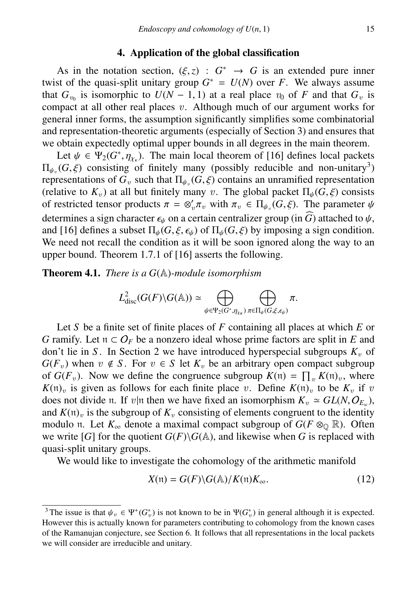## 4. Application of the global classification

As in the notation section,  $(\xi, z) : G^* \to G$  is an extended pure inner twist of the quasi-split unitary group  $G^* = U(N)$  over *F*. We always assume As in the notation section,  $(\xi, z) : G^* \to G$  is an extended pure inner that  $G_{v_0}$  is isomorphic to  $U(N - 1, 1)$  at a real place  $v_0$  of *F* and that  $G_v$  is compact at all other real places v. Although much of our argument works for compact at all other real places  $v$ . Although much of our argument works for general inner forms, the assumption significantly simplifies some combinatorial and representation-theoretic arguments (especially of Section 3) and ensures that we obtain expectedly optimal upper bounds in all degrees in the main theorem.

Let  $\psi \in \Psi_2(G^*, \eta_{\chi_k})$ . The main local theorem of [16] defines local packets  $(G \nleq)$  consisting of finitely many (possibly reducible and non-unitary<sup>3</sup>)  $\Pi_{\psi_v}(G, \xi)$  consisting of finitely many (possibly reducible and non-unitary<sup>3</sup>)<br>representations of G, such that  $\Pi_v$  (G  $\xi$ ) contains an unramified representation representations of  $G_v$  such that  $\Pi_{\psi_v}(G, \xi)$  contains an unramified representation (relative to  $K_v$ ) at all but finitely many  $v$ . The global packet  $\Pi_v(G, \xi)$  consists (relative to  $K_v$ ) at all but finitely many v. The global packet  $\Pi_{\psi}(G,\xi)$  consists of restricted tensor products  $\pi = \otimes_v' \pi_v$  with  $\pi_v \in \Pi_{\psi_v}(G, \xi)$ . The parameter  $\psi$ <br>determines a sign oberactor  $\epsilon$ , on a contain controllizer group (in  $\widehat{G}$ ) attached to  $\psi$ determines a sign character  $\epsilon_{\psi}$  on a certain centralizer group (in  $\widehat{G}$ ) attached to  $\psi$ , and [16] defines a subset  $\Pi_{\psi}(G,\xi,\epsilon_{\psi})$  of  $\Pi_{\psi}(G,\xi)$  by imposing a sign condition. We need not recall the condition as it will be soon ignored along the way to an upper bound. Theorem 1.7.1 of [16] asserts the following.

Theorem 4.1. *There is a G*(A)*-module isomorphism*

$$
L^2_{\mathrm{disc}}(G(F)\backslash G(\mathbb{A})) \simeq \bigoplus_{\psi \in \Psi_2(G^*, \eta_{\chi_K})} \bigoplus_{\pi \in \Pi_{\psi}(G, \xi, \epsilon_{\psi})} \pi.
$$

Let *S* be a finite set of finite places of *F* containing all places at which *E* or *G* ramify. Let  $n \subset O_F$  be a nonzero ideal whose prime factors are split in *E* and don't lie in *S*. In Section 2 we have introduced hyperspecial subgroups  $K<sub>v</sub>$  of  $G(F_v)$  when  $v \notin S$ . For  $v \in S$  let  $K_v$  be an arbitrary open compact subgroup of  $G(F_v)$ . Now we define the congruence subgroup  $K(\mathfrak{n}) = \prod_v K(\mathfrak{n})_v$ , where  $K(\mathfrak{n})$ <sub>v</sub> is given as follows for each finite place v. Define  $K(\mathfrak{n})$ <sub>v</sub> to be  $K_v$  if v does not divide n. If  $v|\mathfrak{n}$  then we have fixed an isomorphism  $K_v \simeq GL(N, O_{E_v})$ ,<br>and  $K(\mathfrak{n})$  is the subgroup of K, consisting of elements congruent to the identity and  $K(\mathfrak{n})_v$  is the subgroup of  $K_v$  consisting of elements congruent to the identity modulo n. Let  $K_{\infty}$  denote a maximal compact subgroup of  $G(F \otimes_{\mathbb{Q}} \mathbb{R})$ . Often we write [*G*] for the quotient  $G(F)\G(\mathbb{A})$ , and likewise when *G* is replaced with quasi-split unitary groups.

We would like to investigate the cohomology of the arithmetic manifold

$$
X(\mathfrak{n}) = G(F) \backslash G(\mathbb{A}) / K(\mathfrak{n}) K_{\infty}.
$$
 (12)

<sup>&</sup>lt;sup>3</sup>The issue is that  $\psi_v \in \Psi^+(G_v^*)$  is not known to be in  $\Psi(G_v^*)$  in general although it is expected.<br>Jowever this is actually known for parameters contributing to cohomology from the known cases However this is actually known for parameters contributing to cohomology from the known cases of the Ramanujan conjecture, see Section 6. It follows that all representations in the local packets we will consider are irreducible and unitary.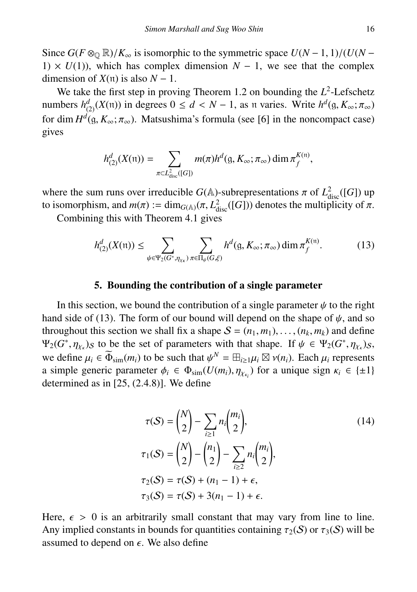Since  $G(F \otimes_{\mathbb{Q}} \mathbb{R})/K_{\infty}$  is isomorphic to the symmetric space  $U(N-1, 1)/(U(N-1))$ 1)  $\times U(1)$ , which has complex dimension  $N-1$ , we see that the complex dimension of  $X(\pi)$  is also  $N-1$ .

We take the first step in proving Theorem 1.2 on bounding the  $L^2$ -Lefschetz numbers  $h_{(2)}^d(X(\mathfrak{n}))$  in degrees  $0 \leq d < N - 1$ , as n varies. Write  $h^d(\mathfrak{g}, K_\infty; \pi_\infty)$ <br>for dim  $H^d(\mathfrak{g}, K \to \pi)$ . Mataughima's formula (see 161 in the noncompact case) for dim  $H^d$ (g,  $K_\infty$ ;  $\pi_\infty$ ). Matsushima's formula (see [6] in the noncompact case) gives

$$
h_{(2)}^d(X(\mathfrak{n})) = \sum_{\pi \subset L^2_{\text{disc}}([G])} m(\pi) h^d(\mathfrak{g}, K_\infty; \pi_\infty) \dim \pi_f^{K(\mathfrak{n})},
$$

where the sum runs over irreducible *G*( $\mathbb{A}$ )-subrepresentations  $\pi$  of  $L^2_{\text{disc}}([G])$  up<br>to isomorphism and  $m(\pi) := \dim_{G(\mathbb{A})}(\pi, L^2 - (IG))$  denotes the multiplicity of  $\pi$ to isomorphism, and  $m(\pi) := \dim_{G(\mathbb{A})} (\pi, L^2_{\text{disc}}([G]))$  denotes the multiplicity of  $\pi$ .<br>Combining this with Theorem 4.1 gives

Combining this with Theorem 4.1 gives

$$
h_{(2)}^d(X(\mathfrak{n})) \le \sum_{\psi \in \Psi_2(G^*, \eta_{\chi_\kappa})} \sum_{\pi \in \Pi_\psi(G, \xi)} h^d(\mathfrak{g}, K_\infty; \pi_\infty) \dim \pi_f^{K(\mathfrak{n})}.
$$
 (13)

### 5. Bounding the contribution of a single parameter

In this section, we bound the contribution of a single parameter  $\psi$  to the right hand side of (13). The form of our bound will depend on the shape of  $\psi$ , and so throughout this section we shall fix a shape  $S = (n_1, m_1), \ldots, (n_k, m_k)$  and define  $\Psi_2(G^*, \eta_{\chi_k})_S$  to be the set of parameters with that shape. If  $\psi \in \Psi_2(G^*, \eta_{\chi_k})_S$ ,<br>we define  $\psi \in \widetilde{\Phi}_k$  (m) to be such that  $\psi^N = \mathbb{E}_{\xi \in \mathbb{E}} \mathbb{E}_{\xi}[\mathbb{E}_{\xi}[\eta_{\chi_k}]]$ . Each  $\psi$  representes we define  $\mu_i \in \Phi_{\text{sim}}(m_i)$  to be such that  $\psi^N = \boxplus_{i \ge 1} \mu_i \boxtimes \nu(n_i)$ . Each  $\mu_i$  represents a simple generic parameter  $\phi_i \in \Phi_{\text{sim}}(U(m_i), \eta_{\chi_{\kappa_i}})$  for a unique sign  $\kappa_i \in \{\pm 1\}$ <br>determined as in [25, (2.4.8)]. We define determined as in [25, (2.4.8)]. We define

$$
\tau(S) = \binom{N}{2} - \sum_{i \ge 1} n_i \binom{m_i}{2},
$$
\n
$$
\tau_1(S) = \binom{N}{2} - \binom{n_1}{2} - \sum_{i \ge 2} n_i \binom{m_i}{2},
$$
\n
$$
\tau_2(S) = \tau(S) + (n_1 - 1) + \epsilon,
$$
\n
$$
\tau_3(S) = \tau(S) + 3(n_1 - 1) + \epsilon.
$$
\n(14)

Here,  $\epsilon > 0$  is an arbitrarily small constant that may vary from line to line. Any implied constants in bounds for quantities containing  $\tau_2(S)$  or  $\tau_3(S)$  will be assumed to depend on  $\epsilon$ . We also define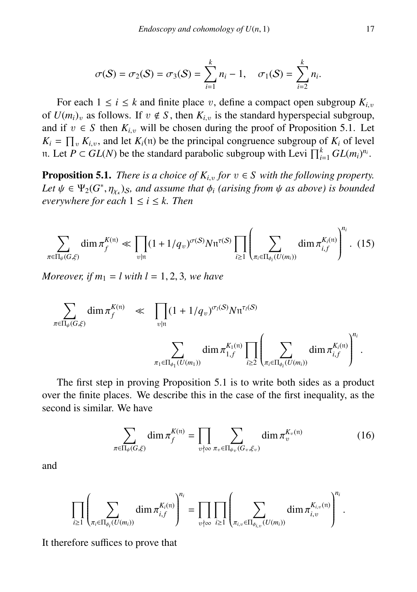$$
\sigma(S)=\sigma_2(S)=\sigma_3(S)=\sum_{i=1}^k n_i-1, \quad \sigma_1(S)=\sum_{i=2}^k n_i.
$$

For each  $1 \le i \le k$  and finite place v, define a compact open subgroup  $K_{i,v}$ of  $U(m_i)_v$  as follows. If  $v \notin S$ , then  $K_{i,v}$  is the standard hyperspecial subgroup, and if  $v \in S$  then  $K_{i,v}$  will be chosen during the proof of Proposition 5.1. Let  $K_i = \prod_v K_{i,v}$ , and let  $K_i(\mathfrak{n})$  be the principal congruence subgroup of  $K_i$  of level *n*. Let *P* ⊂ *GL*(*N*) be the standard parabolic subgroup with Levi  $\prod_{i=1}^{k} GL(m_i)^{n_i}$ .

**Proposition 5.1.** *There is a choice of*  $K_{i,v}$  *for*  $v \in S$  *with the following property.* Let  $\psi \in \Psi_2(G^*, \eta_{\chi_k})$ *s, and assume that*  $\phi_i$  *(arising from*  $\psi$  *as above) is bounded* everywhere for each  $1 \le i \le k$  Then  $everywhere for each  $1 \leq i \leq k$ . Then$ 

$$
\sum_{\pi \in \Pi_{\psi}(G,\xi)} \dim \pi_f^{K(\mathfrak{n})} \ll \prod_{v \mid \mathfrak{n}} (1 + 1/q_v)^{\sigma(S)} N \mathfrak{n}^{\tau(S)} \prod_{i \geq 1} \left( \sum_{\pi_i \in \Pi_{\phi_i}(U(m_i))} \dim \pi_{i,f}^{K_i(\mathfrak{n})} \right)^{n_i} . \tag{15}
$$

*Moreover, if*  $m_1 = l$  with  $l = 1, 2, 3$ *, we have* 

$$
\sum_{\pi \in \Pi_{\psi}(G,\xi)} \dim \pi_f^{K(\mathfrak{n})} \;\;\ll\;\; \prod_{v \mid \mathfrak{n}} (1 + 1/q_v)^{\sigma_i(S)} N \mathfrak{n}^{\tau_i(S)} \newline \sum_{\pi_1 \in \Pi_{\phi_1}(U(m_1))} \dim \pi_{1,f}^{K_1(\mathfrak{n})} \prod_{i \geq 2} \left( \sum_{\pi_i \in \Pi_{\phi_i}(U(m_i))} \dim \pi_{i,f}^{K_i(\mathfrak{n})} \right)^{n_i}.
$$

The first step in proving Proposition 5.1 is to write both sides as a product over the finite places. We describe this in the case of the first inequality, as the second is similar. We have

$$
\sum_{\pi \in \Pi_{\psi}(G,\xi)} \dim \pi_f^{K(\mathfrak{n})} = \prod_{v \nmid \infty} \sum_{\pi_v \in \Pi_{\psi_v}(G_v,\xi_v)} \dim \pi_v^{K_v(\mathfrak{n})}
$$
(16)

and

$$
\prod_{i\geq 1}\left(\sum_{\pi_i\in \Pi_{\phi_i}(U(m_i))}{\rm dim}\,\pi_{i,f}^{K_i(\mathfrak{n})}\right)^{n_i}=\prod_{v\nmid \infty}\prod_{i\geq 1}\left(\sum_{\pi_{i,v}\in \Pi_{\phi_{i,v}}(U(m_i))}{\rm dim}\,\pi_{i,v}^{K_{i,v}(\mathfrak{n})}\right)^{n_i}.
$$

It therefore suffices to prove that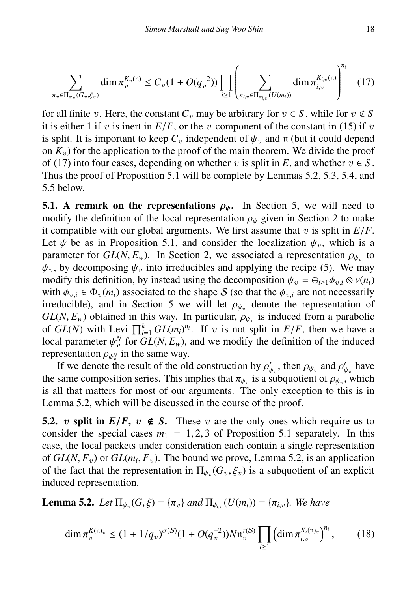$$
\sum_{\pi_v \in \Pi_{\psi_v}(G_v, \xi_v)} \dim \pi_v^{K_v(\mathfrak{n})} \le C_v (1 + O(q_v^{-2})) \prod_{i \ge 1} \left( \sum_{\pi_{i,v} \in \Pi_{\phi_{i,v}}(U(m_i))} \dim \pi_{i,v}^{K_{i,v}(\mathfrak{n})} \right)^{n_i} \tag{17}
$$

for all finite v. Here, the constant  $C_v$  may be arbitrary for  $v \in S$ , while for  $v \notin S$ it is either 1 if v is inert in  $E/F$ , or the v-component of the constant in (15) if v is split. It is important to keep  $C_v$  independent of  $\psi_v$  and n (but it could depend on  $K<sub>v</sub>$ ) for the application to the proof of the main theorem. We divide the proof of (17) into four cases, depending on whether v is split in  $E$ , and whether  $v \in S$ . Thus the proof of Proposition 5.1 will be complete by Lemmas 5.2, 5.3, 5.4, and 5.5 below.

**5.1.** A remark on the representations  $\rho_{\psi}$ . In Section 5, we will need to modify the definition of the local representation  $\rho_{\psi}$  given in Section 2 to make it compatible with our global arguments. We first assume that  $v$  is split in  $E/F$ . Let  $\psi$  be as in Proposition 5.1, and consider the localization  $\psi_{\nu}$ , which is a parameter for  $GL(N, E_w)$ . In Section 2, we associated a representation  $\rho_{\psi_v}$  to  $\psi_w$  to  $\psi_w$  into irreducibles and applying the recipe (5). We may  $\psi_v$ , by decomposing  $\psi_v$  into irreducibles and applying the recipe (5). We may modify this definition, by instead using the decomposition  $\psi_v = \bigoplus_{i \geq 1} \phi_{v,i} \otimes v(n_i)$ with  $\phi_{vi} \in \Phi_v(m_i)$  associated to the shape S (so that the  $\phi_{vi}$  are not necessarily irreducible), and in Section 5 we will let  $\rho_{\psi_v}$  denote the representation of  $GI(N, F)$  obtained in this way. In particular  $\rho_v$  is induced from a parabolic  $GL(N, E_w)$  obtained in this way. In particular,  $\rho_{\psi_v}$  is induced from a parabolic of  $GL(N)$  with Levi  $\prod_{k=0}^{k} GL(m)^{n_i}$ . If *n* is not split in  $E/E$  then we have a of *GL*(*N*) with Levi  $\prod_{i=1}^{k} GL(m_i)^{n_i}$ . If v is not split in  $E/F$ , then we have a local parameter  $u^N$  for  $GL(N, F)$  and we modify the definition of the induced local parameter  $\psi^N$  for  $GL(N, E_w)$ , and we modify the definition of the induced representation  $Q_N$  in the same way representation  $\rho_{\psi_v^N}$  in the same way.<br>If we denote the result of the old

If we denote the result of the old construction by  $\rho'_{\psi_v}$ , then  $\rho_{\psi_v}$  and  $\rho'_{\psi_v}$  have same composition series. This implies that  $\pi_v$  is a subquotient of  $\rho_v$  which the same composition series. This implies that  $\pi_{\psi_v}$  is a subquotient of  $\rho_{\psi_v}$ , which<br>is all that matters for most of our arguments. The only exception to this is in is all that matters for most of our arguments. The only exception to this is in Lemma 5.2, which will be discussed in the course of the proof.

5.2. v split in  $E/F$ ,  $v \notin S$ . These v are the only ones which require us to consider the special cases  $m_1 = 1, 2, 3$  of Proposition 5.1 separately. In this case, the local packets under consideration each contain a single representation of *GL*(*N*,  $F_v$ ) or *GL*( $m_i$ ,  $F_v$ ). The bound we prove, Lemma 5.2, is an application<br>of the fact that the representation in  $\Pi$ ,  $(G, \xi)$  is a subquotient of an explicit of the fact that the representation in  $\Pi_{\psi_v}(G_v, \xi_v)$  is a subquotient of an explicit induced representation induced representation.

**Lemma 5.2.** *Let*  $\Pi_{\psi_v}(G, \xi) = {\pi_v}$  *and*  $\Pi_{\phi_{i,v}}(U(m_i)) = {\pi_{i,v}}$ *. We have* 

$$
\dim \pi_v^{K(\mathfrak{n})_v} \le (1 + 1/q_v)^{\sigma(\mathcal{S})}(1 + O(q_v^{-2}))N\mathfrak{n}_v^{\tau(\mathcal{S})} \prod_{i \ge 1} \left(\dim \pi_{i,v}^{K_i(\mathfrak{n})_v}\right)^{n_i},\qquad(18)
$$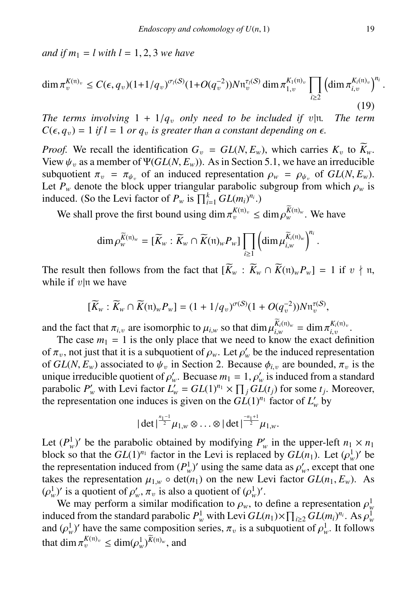*and if*  $m_1 = l$  *with*  $l = 1, 2, 3$  *we have* 

$$
\dim \pi_v^{K(\mathfrak{n})_v} \le C(\epsilon, q_v)(1+1/q_v)^{\sigma_i(S)}(1+O(q_v^{-2}))N\mathfrak{n}_v^{\tau_i(S)}\dim \pi_{1,v}^{K_1(\mathfrak{n})_v}\prod_{i\ge 2}\left(\dim \pi_{i,v}^{K_i(\mathfrak{n})_v}\right)^{n_i}
$$
\n(19)

*The terms involving*  $1 + 1/q_v$  *only need to be included if v|n. The term*  $C(\epsilon, q_v) = 1$  *if l* = 1 *or q<sub>v</sub> is greater than a constant depending on*  $\epsilon$ *.* 

*Proof.* We recall the identification  $G_v = GL(N, E_w)$ , which carries  $K_v$  to  $\widetilde{K}_w$ . View  $\psi_v$  as a member of  $\Psi(GL(N, E_w))$ . As in Section 5.1, we have an irreducible subquotient  $\pi_v = \pi_{\psi_v}$  of an induced representation  $\rho_w = \rho_{\psi_v}$  of  $GL(N, E_w)$ .<br>Let *P* denote the block upper triangular parabolic subgroup from which  $\rho_v$  is Let  $P_w$  denote the block upper triangular parabolic subgroup from which  $\rho_w$  is induced. (So the Levi factor of  $P_w$  is  $\prod_{i=1}^{k} GL(m_i)^{n_i}$ .)

We shall prove the first bound using dim  $\pi_v^{K(\mathfrak{n})_v} \le \dim \rho_w^{K(\mathfrak{n})_w}$ . We have

$$
\dim \rho^{\widetilde{K}(\mathfrak{n})_w}_{w} = [\widetilde{K}_w : \widetilde{K}_w \cap \widetilde{K}(\mathfrak{n})_w P_w] \prod_{i \geq 1} \left( \dim \mu^{\widetilde{K}_i(\mathfrak{n})_w}_{i,w} \right)^{n_i}
$$

The result then follows from the fact that  $[\widetilde{K}_w : \widetilde{K}_w \cap \widetilde{K}(n)_w P_w] = 1$  if  $v \nmid n$ , while if  $v|n$  we have

$$
[\widetilde{K}_w : \widetilde{K}_w \cap \widetilde{K}(\mathfrak{n})_w P_w] = (1 + 1/q_v)^{\sigma(\mathcal{S})}(1 + O(q_v^{-2}))N\mathfrak{n}_v^{\tau(\mathcal{S})},
$$

and the fact that  $\pi_{i,v}$  are isomorphic to  $\mu_{i,w}$  so that dim  $\mu_{i,w}^{K_i(n)_w} = \dim \pi_{i,v}^{K_i(n)_v}$ .<br>The case  $m_1 = 1$  is the only place that we need to know the exact defined

The case  $m_1 = 1$  is the only place that we need to know the exact definition of  $\pi_v$ , not just that it is a subquotient of  $\rho_w$ . Let  $\rho'_w$  be the induced representation<br>of  $GL(N, F)$  associated to  $\nu'_w$  in Section 2. Because  $\phi_w$  are bounded  $\pi$  is the of  $GL(N, E_w)$  associated to  $\psi_v$  in Section 2. Because  $\phi_{i,v}$  are bounded,  $\pi_v$  is the unique irreducible quotient of  $\rho'_w$ . Becuase  $m_1 = 1$ ,  $\rho'_w$  is induced from a standard<br>parabolic P' with Levi factor  $I' = GI(1)^{n_1} \times \Pi$ ,  $GI(t_1)$  for some t. Moreover parabolic  $P'_w$  with Levi factor  $L'_w = GL(1)^{n_1} \times \prod_j GL(t_j)$  for some  $t_j$ . Moreover, the representation one induces is given on the  $GL(1)^{n_1}$  factor of  $L'_w$  by

$$
|\det|^\frac{n_1-1}{2}\mu_{1,w}\otimes\ldots\otimes|\det|^\frac{-n_1+1}{2}\mu_{1,w}.
$$

Let  $(P_w^1)$  be the parabolic obtained by modifying  $P'_w$  in the upper-left  $n_1 \times n_1$ block so that the *GL*(1)<sup>*n*<sub>1</sub></sup> factor in the Levi is replaced by *GL*(*n*<sub>1</sub>). Let  $(\rho_w^1)'$  be the representation induced from  $(P^1)'$  using the same data as  $\rho'$ , except that one the representation induced from  $(P_w^1)'$  using the same data as  $\rho'_w$ , except that one<br>takes the representation  $\mu_w = 0$  det(*n*, ) on the new Levi factor  $GL(n, E)$ . takes the representation  $\mu_{1,w} \circ \det(n_1)$  on the new Levi factor  $GL(n_1, E_w)$ . As  $(\rho_w^1)'$  is a quotient of  $\rho_w^1$ ,  $\pi_v$  is also a quotient of  $(\rho_w^1)'$ .<br>We may perform a similar modification to  $\rho_w$  to

We may perform a similar modification to  $\rho_w$ , to define a representation  $\rho_w^1$ <br>used from the standard parabolic  $P^1$  with Levi  $GI(n_1) \times \Pi_{\alpha} GI(m_1)^{n_i}$ . As  $\rho^1$ induced from the standard parabolic  $P_w^1$  with Levi  $GL(n_1) \times \prod_{i \geq 2} GL(m_i)^{n_i}$ . As  $\rho_w^1$ <br>and  $(\rho^1)$ ' have the same composition series  $\pi$  is a subquotient of  $\rho^1$ . It follows and  $(\rho_w^1)'$  have the same composition series,  $\pi_v$  is a subquotient of  $\rho_w^1$ . It follows that dim  $\pi^{K(v)_v} \leq \dim (\text{cl })^{\widetilde{K}(v)_w}$  and that  $\dim \pi_v^{K(\mathfrak{n})_v} \leq \dim (\rho_w^1)^{\widetilde{K}(\mathfrak{n})_w}$ , and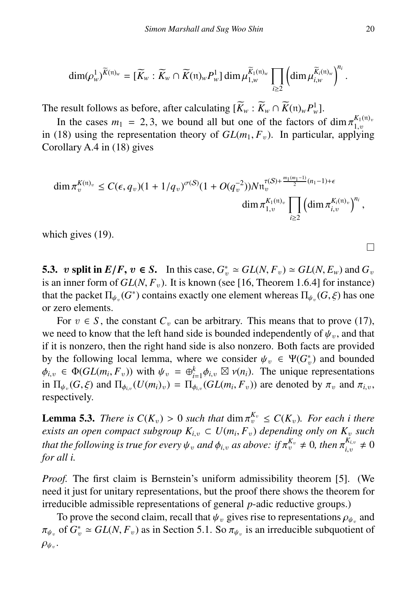$$
\dim(\rho_w^1)^{\widetilde{K}(\mathfrak{n})_w}=[\widetilde{K}_w:\widetilde{K}_w\cap \widetilde{K}(\mathfrak{n})_w P_w^1]\dim\mu_{1,w}^{\widetilde{K}_1(\mathfrak{n})_w}\prod_{i\geq 2}\left(\dim\mu_{i,w}^{\widetilde{K}_i(\mathfrak{n})_w}\right)^{n_i}.
$$

The result follows as before, after calculating  $[\tilde{K}_w : \tilde{K}_w \cap \tilde{K}(\mathfrak{n})_w P_w^1]$ .

In the cases  $m_1 = 2, 3$ , we bound all but one of the factors of dim  $\pi_{1,v}^{K_1(\mathfrak{n})}$ <br>18) using the representation theory of  $GI(m, F)$ . In particular, applying in (18) using the representation theory of  $GL(m_1, F_v)$ . In particular, applying Corollary A 4 in (18) gives Corollary A.4 in (18) gives

$$
\dim \pi_v^{K(\mathfrak{n})_v} \leq C(\epsilon, q_v)(1 + 1/q_v)^{\sigma(S)} (1 + O(q_v^{-2})) N \mathfrak{n}_v^{\tau(S) + \frac{m_1(m_1 - 1)}{2}(n_1 - 1) + \epsilon} \dim \pi_{1,v}^{K_1(\mathfrak{n})_v} \prod_{i \geq 2} \left( \dim \pi_{i,v}^{K_i(\mathfrak{n})_v} \right)^{n_i},
$$

which gives (19).

5.3. v split in  $E/F$ ,  $v \in S$ . In this case,  $G_v^* \simeq GL(N, F_v) \simeq GL(N, E_w)$  and  $G_v$ <br>is an inner form of  $GL(N, F_v)$  It is known (see 116. Theorem 1.6.41 for instance) is an inner form of  $GL(N, F_v)$ . It is known (see [16, Theorem 1.6.4] for instance) that the packet  $\Pi_{\psi_v}(G^*)$  contains exactly one element whereas  $\Pi_{\psi_v}(G,\xi)$  has one or zero elements or zero elements.

For  $v \in S$ , the constant  $C_v$  can be arbitrary. This means that to prove (17), we need to know that the left hand side is bounded independently of  $\psi_n$ , and that if it is nonzero, then the right hand side is also nonzero. Both facts are provided by the following local lemma, where we consider  $\psi_v \in \Psi(G_v^*)$  and bounded  $\phi_v \in \Phi(GI(m, F))$  with  $\psi_v = \Phi^k \phi_v \boxtimes \psi(n)$ . The unique representations  $\phi_{i,v} \in \Phi(GL(m_i, F_v))$  with  $\psi_v = \bigoplus_{i=1}^k \phi_{i,v} \boxtimes \nu(n_i)$ . The unique representations in  $\Pi_{i}$ .  $(G, \xi)$  and  $\Pi_{i}$ .  $(U(m_i)_{i}) = \Pi_{i}$ .  $(G, I(m_i, F_i))$  are denoted by  $\pi$ , and  $\pi_i$ . in  $\Pi_{\psi_v}(G, \xi)$  and  $\Pi_{\phi_{i,v}}(U(m_i)_v) = \Pi_{\phi_{i,v}}(GL(m_i, F_v))$  are denoted by  $\pi_v$  and  $\pi_{i,v}$ , respectively respectively.

**Lemma 5.3.** *There is*  $C(K_v) > 0$  *such that*  $\dim \pi_v^{\overline{K_v}} \leq C(K_v)$ *. For each i there* exists an onen compact subgroup  $K_v \subset U(m, F)$  depending only on K, such *exists an open compact subgroup*  $K_{i,v} \subset U(m_i, F_v)$  *depending only on*  $K_v$  *such* that the following is true for gyaratic and  $\phi$ , as ghouse if  $\pi^{K_v} \neq 0$ , then  $\pi^{K_{i,v}} \neq 0$ *that the following is true for every*  $\psi_v$  *and*  $\phi_{i,v}$  *as above: if*  $\pi_v^{K_v} \neq 0$ *, then*  $\pi_{i,v}^{K_{i,v}}$  *for all i i*,v  $\neq 0$ *for all i.*

*Proof.* The first claim is Bernstein's uniform admissibility theorem [5]. (We need it just for unitary representations, but the proof there shows the theorem for irreducible admissible representations of general *p*-adic reductive groups.)

To prove the second claim, recall that  $\psi_v$  gives rise to representations  $\rho_{\psi_v}$  and of  $G^* \sim GL(N, F)$  as in Section 5.1. So  $\pi_v$ , is an irreducible subquotient of  $\frac{\partial \psi}{\partial x}$ of  $G_v^* \simeq GL(N, F_v)$  as in Section 5.1. So  $\pi_{\psi_v}$  is an irreducible subquotient of  $\rho_{\psi_v}$ .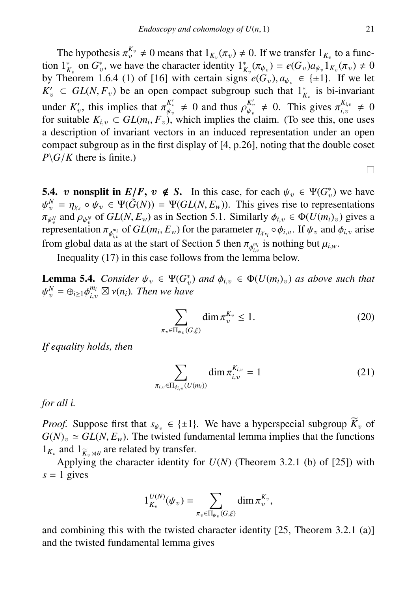The hypothesis  $\pi_v^{K_v} \neq 0$  means that  $1_{K_v}(\pi_v) \neq 0$ . If we transfer  $1_{K_v}$  to a func-<br> $1^*$  on  $G^*$  we have the character identity  $1^*$  ( $\pi_v$ ) = e(G) a,  $1_K(\pi_v) \neq 0$ tion  $1^*_{K_v}$  on  $G_v^*$ , we have the character identity  $1^*_{K_v}(\pi_{\psi_v}) = e(G_v)a_{\psi_v}1_{K_v}(\pi_v) \neq 0$ <br>by Theorem 1.6.4.(1) of [16] with certain signs  $e(G_v)$ ,  $g_v \in \{+1\}$ . If we let by Theorem 1.6.4 (1) of [16] with certain signs  $e(G_v)$ ,  $a_{\psi_v} \in \{\pm 1\}$ . If we let  $K'_v \subset GL(N, F_v)$  be an open compact subgroup such that  $1^*_{K_v}$  is bi-invariant under  $K'_v$ , this implies that  $\pi_{\psi_v}^{K'_v}$ <br>for suitable  $K_v \subset GL(m, F)$  $\begin{array}{l}\nK'_v \\
\psi_v \neq 0 \text{ and thus } \rho_{\psi_v}^{K'_v}\n\end{array}$ <br>  $\phi_v$  which implies the  $\begin{array}{l}\nK_v' \\
\psi_v \neq 0. \quad \text{This gives } \pi_{i,v}^{K_{i,v}} \\
\text{e claim} \quad \text{(To see this one)}\n\end{array}$ *i*,v  $\neq 0$ for suitable  $K_{i,v} \subset GL(m_i, F_v)$ , which implies the claim. (To see this, one uses<br>a description of invariant vectors in an induced representation under an open a description of invariant vectors in an induced representation under an open compact subgroup as in the first display of [4, p.26], noting that the double coset  $P\backslash G/K$  there is finite.)

**5.4.** v nonsplit in  $E/F$ ,  $v \notin S$ . In this case, for each  $\psi_v \in \Psi(G_v^*)$  we have  $\psi_v^N = n$  out  $\in \Psi(\tilde{G}(N)) = \Psi(GI(N, F))$ . This gives rise to representations  $\pi_{\psi_0^N}$  and  $\rho_{\psi_0^N}$  of  $GL(N, E_w)$  as in Section 5.1. Similarly  $\phi_{i,v} \in \Phi(U(m_i)_v)$  gives a representation  $\pi_{w_i}$  of  $GL(m_i, E_i)$  for the parameter  $n_i \circ \phi$ . If  $\psi$  and  $\phi$  arise  $N = \eta_{\chi} \circ \psi_v \in \Psi(\tilde{G}(N)) = \Psi(GL(N, E_w))$ . This gives rise to representations  $\chi_v$  and  $\eta_{\chi}$  of  $GL(N, E_v)$  as in Section 5.1. Similarly  $\phi_v \in \Phi(U(m_v))$  gives a  $\pi_{\psi_v^N}$ ren representation  $\pi_{\phi_{i,v}^{m_i}}$  of *GL*(*m<sub>i</sub>*, *E<sub>w</sub>*) for the parameter  $\eta_{\chi_{\kappa_i}} \circ \phi_{i,v}$ . If  $\psi_v$  and  $\phi_{i,v}$  arise from global data as at the start of Section 5 then  $\pi_{\phi_{i,v}^{m_i}}$  is nothing but  $\mu_{i,w}$ .

Inequality (17) in this case follows from the lemma below.

**Lemma 5.4.** *Consider*  $\psi_v \in \Psi(G_v^*)$  *and*  $\phi_{i,v} \in \Phi(U(m_i)_v)$  *as above such that*  $\psi_v^N = \bigoplus_{v \in \Phi} \phi_{i,v}^{m_i} \boxtimes \psi(v)$ . *Then we have* ψ  $\mathcal{L}_{v}^{N} = \bigoplus_{i \geq 1} \phi_{i,v}^{m_i} \boxtimes \nu(n_i)$ *. Then we have* 

$$
\sum_{\pi_v \in \Pi_{\psi_v}(G,\xi)} \dim \pi_v^{K_v} \le 1.
$$
\n(20)

*If equality holds, then*

$$
\sum_{\pi_{i,v}\in\Pi_{\phi_{i,v}}(U(m_i))} \dim \pi_{i,v}^{K_{i,v}} = 1
$$
 (21)

*for all i.*

*Proof.* Suppose first that  $s_{\psi_n} \in \{\pm 1\}$ . We have a hyperspecial subgroup  $\widetilde{K}_n$  of  $G(N)_v \simeq GL(N, E_w)$ . The twisted fundamental lemma implies that the functions  $1_{K_v}$  and  $1_{\widetilde{K}_v \rtimes \theta}$  are related by transfer.<br>Applying the character identity for

Applying the character identity for *U*(*N*) (Theorem 3.2.1 (b) of [25]) with  $s = 1$  gives

$$
1_{K_v}^{U(N)}(\psi_v) = \sum_{\pi_v \in \Pi_{\psi_v}(G,\xi)} \dim \pi_v^{K_v},
$$

and combining this with the twisted character identity [25, Theorem 3.2.1 (a)] and the twisted fundamental lemma gives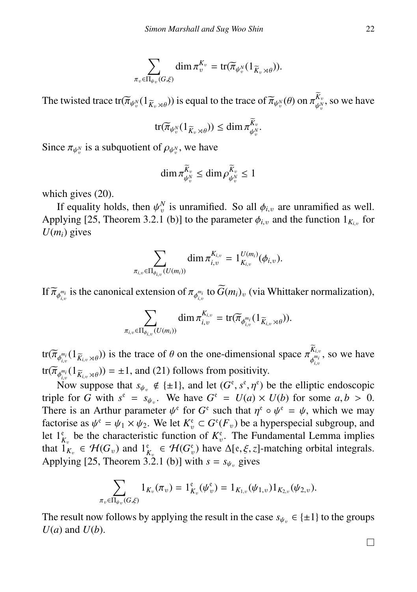$$
\sum_{\pi_v \in \Pi_{\psi_v}(G,\xi)} \dim \pi_v^{K_v} = \text{tr}(\widetilde{\pi}_{\psi_v^N}(1_{\widetilde{K}_v \rtimes \theta})).
$$

The twisted trace  $tr(\widetilde{\pi}_{\psi_v^N}(1_{\widetilde{K}_v\times\theta}))$  is equal to the trace of  $\widetilde{\pi}_{\psi_v^N}(\theta)$  on  $\pi_{\psi_v^N}^{K_v}$  $\psi_v^{N_v}$ , so we have

$$
\operatorname{tr}(\widetilde{\pi}_{\psi^N_v}(1_{\widetilde{K}_v\rtimes\theta}))\leq \dim \pi^{\widetilde{K}_v}_{\psi^N_v}.
$$

Since  $\pi_{\psi_v^N}$  is a subquotient of  $\rho_{\psi_v^N}$ , we have

$$
\dim \pi_{\psi_v^N}^{\widetilde{K}_v} \le \dim \rho_{\psi_v^N}^{\widetilde{K}_v} \le 1
$$

which gives (20).

If equality holds, then  $\psi_v^N$  is unramified. So all  $\phi_{i,v}$  are unramified as well.<br>alving [25] Theorem 3.2.1 (b)] to the parameter  $\phi_{i}$  and the function  $1_{\kappa}$  for Applying [25, Theorem 3.2.1 (b)] to the parameter  $\phi_{i,v}$  and the function  $1_{K_{i,v}}$  for  $U(m)$  gives  $U(m_i)$  gives

$$
\sum_{\pi_{i,v}\in\Pi_{\phi_{i,v}}(U(m_i))} \dim \pi_{i,v}^{K_{i,v}} = 1_{K_{i,v}}^{U(m_i)}(\phi_{i,v}).
$$

If  $\widetilde{\pi}_{\phi_{i,v}^{m_i}}$  is the canonical extension of  $\pi_{\phi_{i,v}^{m_i}}$  to  $G(m_i)_v$  (via Whittaker normalization),

$$
\sum_{\pi_{i,v}\in\Pi_{\phi_{i,v}}(U(m_i))}\dim\pi_{i,v}^{K_{i,v}}=\text{tr}(\widetilde{\pi}_{\phi_{i,v}^{m_i}}(1_{\widetilde{K}_{i,v}\rtimes\theta})).
$$

tr $(\overline{\pi}_{\phi_{i,v}^{m_i}}(1_{\overline{K}_{i,v}\rtimes\theta}))$  is the trace of  $\theta$  on the one-dimensional space  $\pi_{\phi_{i,v}^{m_i}}^{K_{i,v}}$ φ *mi i*,v , so we have tr $(\overline{\pi}_{\phi_{i,v}^{m_i}}(1_{\overline{K}_{i,v}\rtimes\theta})) = \pm 1$ , and (21) follows from positivity.

Now suppose that  $s_{\psi_v} \notin \{\pm 1\}$ , and let  $(G^{\varepsilon}, s^{\varepsilon}, \eta^{\varepsilon})$  be the elliptic endoscopic<br>le for *G* with  $s^{\varepsilon} = s$ . We have  $G^{\varepsilon} = I(a) \times I(b)$  for some *a*  $b > 0$ . triple for *G* with  $s^e = s_{\psi_e}$ . We have  $G^e = U(a) \times U(b)$  for some  $a, b > 0$ .<br>There is an Arthur parameter  $\psi^e$  for  $G^e$  such that  $r^e \circ \psi^e = \psi$  which we may There is an Arthur parameter  $\psi^e$  for  $G^e$  such that  $\eta^e \circ \psi^e = \psi$ , which we may factorise as  $\psi^e = \psi_{\alpha} \times \psi_{\alpha}$ . We let  $K^e \subset G^e(F)$  be a hyperspecial subgroup and factorise as  $\psi^e = \psi_1 \times \psi_2$ . We let  $K_v^e \subset G^e(F_v)$  be a hyperspecial subgroup, and let  $1^e$  be the characteristic function of  $K^e$ . The Eundamental I emma implies let  $1_{K_v}^e$  be the characteristic function of  $K_v^e$ . The Fundamental Lemma implies that  $\hat{\mathbf{I}}_{K_v}^{\mathsf{F}} \in \mathcal{H}(G_v)$  and  $\mathbf{I}_{K_v}^{\mathsf{F}} \in \mathcal{H}(G_v^{\mathsf{F}})$  have  $\Delta[\mathsf{e}, \xi, z]$ -matching orbital integrals. Applying [25, Theorem 3.2.1 (b)] with  $s = s_{\psi_v}$  gives

$$
\sum_{\pi_v \in \Pi_{\psi_v}(G,\xi)} 1_{K_v}(\pi_v) = 1_{K_v}^{\mathfrak{e}}(\psi_v^{\mathfrak{e}}) = 1_{K_{1,v}}(\psi_{1,v}) 1_{K_{2,v}}(\psi_{2,v}).
$$

The result now follows by applying the result in the case  $s_{\psi_n} \in \{\pm 1\}$  to the groups  $U(a)$  and  $U(b)$ .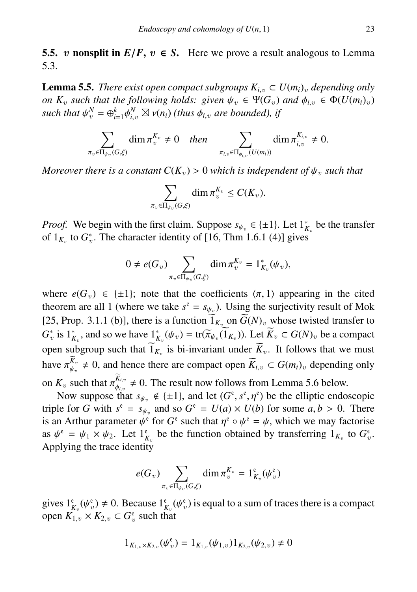5.5. v nonsplit in  $E/F$ ,  $v \in S$ . Here we prove a result analogous to Lemma 5.3.

**Lemma 5.5.** *There exist open compact subgroups*  $K_{i,v} \subset U(m_i)_v$  *depending only on*  $K_v$  *such that the following holds: given*  $\psi_v \in \Psi(G_v)$  *and*  $\phi_{i,v} \in \Phi(U(m_i)_v)$ *such that*  $\psi_v^N = \bigoplus_{i=1}^k \phi$  $\sum_{i,v}^{N} \boxtimes v(n_i)$  *(thus*  $\phi_{i,v}$  *are bounded), if* 

$$
\sum_{\pi_v \in \Pi_{\psi_v}(G,\xi)} \dim \pi_v^{K_v} \neq 0 \quad then \quad \sum_{\pi_{i,v} \in \Pi_{\phi_{i,v}}(U(m_i))} \dim \pi_{i,v}^{K_{i,v}} \neq 0.
$$

*Moreover there is a constant*  $C(K_v) > 0$  *which is independent of*  $\psi_v$  *such that* 

$$
\sum_{\pi_v \in \Pi_{\psi_v}(G,\xi)} \dim \pi_v^{K_v} \le C(K_v).
$$

*Proof.* We begin with the first claim. Suppose  $s_{\psi_v} \in \{\pm 1\}$ . Let  $1^*_{K_v}$  be the transfer of 1 to  $C^*$ . The character identity of 146 Thm 1.6.1.(A) gives of  $1_{K_v}$  to  $G_v^*$ . The character identity of [16, Thm 1.6.1 (4)] gives

$$
0 \neq e(G_v) \sum_{\pi_v \in \Pi_{\psi_v}(G,\xi)} \dim \pi_v^{K_v} = 1_{K_v}^*(\psi_v),
$$

where  $e(G_v) \in \{\pm 1\}$ ; note that the coefficients  $\langle \pi, 1 \rangle$  appearing in the cited theorem are all 1 (where we take  $s^e = s_{\psi_v}$ ). Using the surjectivity result of Mok [25, Prop. 3.1.1 (b)], there is a function  $1_{K_v}$  on  $G(N)_v$  whose twisted transfer to  $G_v^*$  is  $1_{K_v}^*$ , and so we have  $1_{K_v}^*(\psi_v) = \text{tr}(\overline{\pi}_{\psi_v}(\overline{1}_{K_v}))$ . Let  $\overline{K}_v \subset G(N)_v$  be a compact open subgroup such that  $1_{K_v}$  is bi-invariant under  $K_v$ . It follows that we must have  $\pi_{\psi_v}^{K_v} \neq 0$ , and hence there are compact open  $\widetilde{K}_{i,v} \subset G(m_i)_v$  depending only  $\psi$ <sub>v</sub> on  $K_v$  such that  $\pi_{\phi_{i,v}}^{K_{i,v}} \neq 0$ . The result now follows from Lemma 5.6 below.<br>Now suppose that  $s_v = \frac{d}{2} \left( \frac{1}{2} + 1 \right)$  and let  $(G^{\varepsilon} \circ \mathfrak{e}^{\varepsilon})$  be the elliptic endo

Now suppose that  $s_{\psi_v} \notin \{\pm 1\}$ , and let  $(G^e, s^e, \eta^e)$  be the elliptic endoscopic<br>le for *G* with  $s^e = s_{\psi_v}$  and so  $G^e = U(a) \times U(b)$  for some *g*  $b > 0$ . There triple for *G* with  $s^e = s_{\psi_v}$  and so  $G^e = U(a) \times U(b)$  for some  $a, b > 0$ . There is an Arthur parameter  $\psi^e$  for  $G^e$  such that  $\eta^e \circ \psi^e = \psi$ , which we may factorise<br>as  $\psi^e = \psi \times \psi^e$ . Let  $1^e$  be the function obtained by transferring  $1 \times$  to  $G^e$ . as  $\psi^e = \psi_1 \times \psi_2$ . Let  $1^e_{K_v}$  be the function obtained by transferring  $1_{K_v}$  to  $G_v^e$ .<br>Applying the trace identity Applying the trace identity

$$
e(G_v)\sum_{\pi_v\in\Pi_{\psi_v}(G,\xi)}\dim \pi_v^{K_v}=\mathbb{1}_{K_v}^{\mathfrak{e}}(\psi_v^{\mathfrak{e}})
$$

gives  $1_{K_v}^e(\psi_v^e) \neq 0$ . Because  $1_{K_v}^e(\psi_v^e)$  is equal to a sum of traces there is a compact<br>open  $K_v \times K_o \subseteq G^e$  such that open  $K_{1,v} \times K_{2,v} \subset G_v^e$  such that

$$
1_{K_{1,v}\times K_{2,v}}(\psi_v^e) = 1_{K_{1,v}}(\psi_{1,v})1_{K_{2,v}}(\psi_{2,v}) \neq 0
$$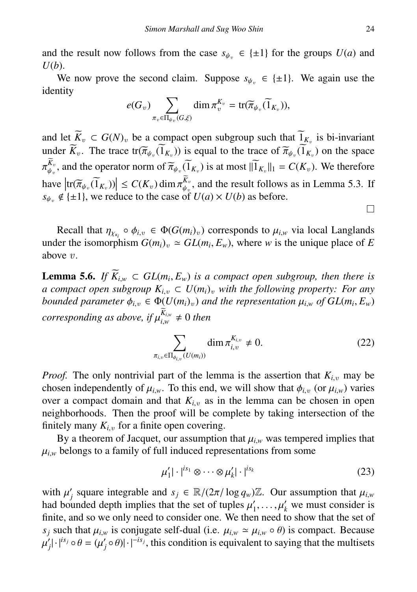and the result now follows from the case  $s_{\psi_n} \in \{\pm 1\}$  for the groups  $U(a)$  and *U*(*b*).

We now prove the second claim. Suppose  $s_{\psi_n} \in \{\pm 1\}$ . We again use the identity

$$
e(G_v)\sum_{\pi_v\in\Pi_{\psi_v}(G,\xi)}\dim\pi_v^{K_v}=\text{tr}(\widetilde{\pi}_{\psi_v}(\widetilde{1}_{K_v})),
$$

and let  $K_v \subset G(N)_v$  be a compact open subgroup such that  $1_{K_v}$  is bi-invariant under  $K_v$ . The trace  $tr(\overline{\pi}_{\psi_v}(1_{K_v}))$  is equal to the trace of  $\overline{\pi}_{\psi_v}(1_{K_v})$  on the space  $\mu_{v}$  $\widetilde{K}_v$ , and the operator norm of  $\widetilde{\pi}_{\psi_v}(\widetilde{1}_{K_v})$  is at most  $\|\widetilde{1}_{K_v}\|_1 = C(K_v)$ . We therefore have  $|\text{tr}(\widetilde{\pi}_{\psi_v}(\widetilde{1}_{K_v}))| \leq C(K_v) \dim \pi_{\psi_v}^{K_v}$ , and the result follows as in Lemma 5.3. If  $s \in \mathcal{A}_{\{+1\}}$  we reduce to the case of  $U(a) \times U(b)$  as before  $s_{\psi_v} \notin \{\pm 1\}$ , we reduce to the case of  $U(a) \times U(b)$  as before.

Recall that  $\eta_{\chi_{\kappa_i}} \circ \phi_{i,v} \in \Phi(G(m_i)_v)$  corresponds to  $\mu_{i,w}$  via local Langlands<br>
let the isomorphism  $G(m_i) \simeq GJ(m_i)$ . Where w is the unique place of F under the isomorphism  $G(m_i)_v \simeq GL(m_i, E_w)$ , where *w* is the unique place of *E* above *v* above v.

**Lemma 5.6.** *If*  $K_{i,w}$  ⊂  $GL(m_i, E_w)$  *is a compact open subgroup, then there is a compact open subgroup*  $K_i$  ⊂  $U(m_i)$ , with the following property: For any *a compact open subgroup*  $K_{i,v} \subset U(m_i)_v$  *with the following property: For any bounded parameter*  $\phi_{i,v} \in \Phi(U(m_i)_v)$  *and the representation*  $\mu_{i,w}$  *of GL*( $m_i, E_w$ )  $corresponding$  as above, if  $\mu_{i,w}^{K_{i,w}}$ *i*,*w*  $\neq 0$  *then* 

$$
\sum_{\pi_{i,v}\in\Pi_{\phi_{i,v}}(U(m_i))} \dim \pi_{i,v}^{K_{i,v}} \neq 0.
$$
 (22)

*Proof.* The only nontrivial part of the lemma is the assertion that  $K_{i,v}$  may be chosen independently of  $\mu_{i,w}$ . To this end, we will show that  $\phi_{i,v}$  (or  $\mu_{i,w}$ ) varies over a compact domain and that  $K_{i,v}$  as in the lemma can be chosen in open neighborhoods. Then the proof will be complete by taking intersection of the finitely many  $K_{i,v}$  for a finite open covering.

By a theorem of Jacquet, our assumption that  $\mu_{i,w}$  was tempered implies that  $\mu_{i,w}$  belongs to a family of full induced representations from some

$$
\mu_1' |\cdot|^{is_1} \otimes \cdots \otimes \mu_k' |\cdot|^{is_k} \tag{23}
$$

with  $\mu'_j$  square integrable and  $s_j \in \mathbb{R}/(2\pi/\log q_w)\mathbb{Z}$ . Our assumption that  $\mu_{i,w}$  had bounded denth implies that the set of tuples  $\mu'$ ,  $\mu'$  we must consider is had bounded depth implies that the set of tuples  $\mu'_1, \ldots, \mu'_k$  we must consider is<br>finite and so we only need to consider one. We then need to show that the set of finite, and so we only need to consider one. We then need to show that the set of *s*<sup>*j*</sup> such that  $\mu_{i,w}$  is conjugate self-dual (i.e.  $\mu_{i,w} \approx \mu_{i,w} \circ \theta$ ) is compact. Because  $\mathbf{r}$  $\int_A |f|^{is_j} \circ \theta = (\mu'_j \circ \theta)| \cdot |^{-is_j}$ , this condition is equivalent to saying that the multisets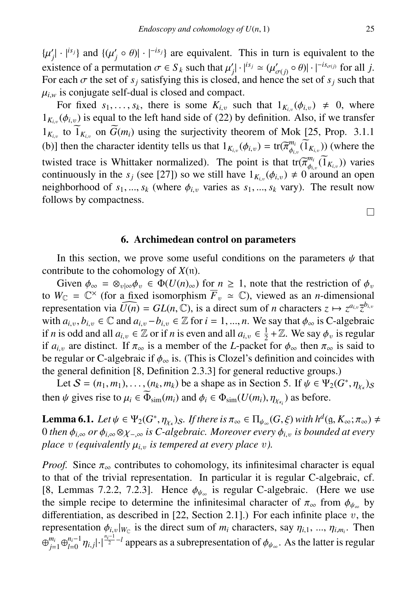$\{\mu'_j | \cdot |^{is_j}\}$  and  $\{(\mu'_j \circ \theta) | \cdot |^{-is_j}\}$  are equivalent. This in turn is equivalent to the existence of a normalitation  $\pi \in S$ , such that  $\mu'_j |^{(i)}_{(i,j)}(u'_j)_{(j)} \in (0, 1]$ existence of a permutation  $\sigma \in S_k$  such that  $\mu'_j | \cdot |^{i s_j} \simeq (\mu'_{\sigma(j)} \circ \theta)| \cdot |^{-i s_{\sigma(j)}}$  for all *j*.<br>For each  $\sigma$  the set of *s* · satisfying this is closed, and hence the set of *s* · such that For each  $\sigma$  the set of  $s_j$  satisfying this is closed, and hence the set of  $s_j$  such that  $u_j$  is conjugate self-dual is closed and compact  $\mu_{i,w}$  is conjugate self-dual is closed and compact.

For fixed  $s_1, \ldots, s_k$ , there is some  $K_{i,v}$  such that  $1_{K_{i,v}}(\phi_{i,v}) \neq 0$ , where  $(\phi_{i,v})$  is equal to the left hand side of (22) by definition. Also if we transfer  $1_{K_{i,v}}(\phi_{i,v})$  is equal to the left hand side of (22) by definition. Also, if we transfer  $1_{K_{i,v}}$  to  $1_{K_{i,v}}$  on  $G(m_i)$  using the surjectivity theorem of Mok [25, Prop. 3.1.1] (b)] then the character identity tells us that  $1_{K_{i,v}}(\phi_{i,v}) = \text{tr}(\overline{\pi}_{\phi_{i,v}}^m(\overline{1}_{K_{i,v}}))$  (where the twisted trace is Whittaker normalized). The point is that  $tr(\overline{\pi}_{\theta_{i,v}}^{n_i}(\overline{1}_{K_{i,v}}))$  varies<br>continuously in the sector [27]) so we still have  $1_K$  ( $\phi_{i,v}$  + 0 around an open continuously in the *s<sub>j</sub>* (see [27]) so we still have  $1_{K_{i,v}}(\phi_{i,v}) \neq 0$  around an open<br>neighborhood of *s<sub>j</sub>* (where  $\phi$ ) varies as *s<sub>j</sub>* (vary). The result now neighborhood of  $s_1, ..., s_k$  (where  $\phi_{i,v}$  varies as  $s_1, ..., s_k$  vary). The result now follows by compactness.

#### 6. Archimedean control on parameters

In this section, we prove some useful conditions on the parameters  $\psi$  that contribute to the cohomology of *X*(n).

Given  $\phi_{\infty} = \otimes_{v|\infty} \phi_v \in \Phi(U(n)_{\infty})$  for  $n \geq 1$ , note that the restriction of  $\phi_v$ to  $W_{\mathbb{C}} = \mathbb{C}^{\times}$  (for a fixed isomorphism  $\overline{F}_v \simeq \mathbb{C}$ ), viewed as an *n*-dimensional representation via  $\widehat{U(n)} = GL(n, \mathbb{C})$ , is a direct sum of *n* characters  $z \mapsto z^{a_{i,v}} \overline{z}^{b_{i,v}}$ <br>with  $a_{i,v}$   $b_{i,v} \in \mathbb{C}$  and  $a_{i,v} - b_{i,v} \in \mathbb{Z}$  for  $i = 1, ..., n$ . We say that  $\phi_{i,v}$  is C-algebraic with  $a_{i,v}, b_{i,v} \in \mathbb{C}$  and  $a_{i,v} - b_{i,v} \in \mathbb{Z}$  for  $i = 1, ..., n$ . We say that  $\phi_{\infty}$  is C-algebraic if *n* is odd and all  $a_{i,v} \in \mathbb{Z}$  or if *n* is even and all  $a_{i,v} \in \frac{1}{2} + \mathbb{Z}$ . We say  $\phi_v$  is regular<br>if *a*<sub>c</sub> are distinct. If  $\pi$  is a member of the *L* packet for  $\phi$ , then  $\pi$  is said to if  $a_{i,v}$  are distinct. If  $\pi_{\infty}$  is a member of the *L*-packet for  $\phi_{\infty}$  then  $\pi_{\infty}$  is said to be regular or C-algebraic if  $\phi_{\infty}$  is. (This is Clozel's definition and coincides with the general definition [8, Definition 2.3.3] for general reductive groups.)

Let  $S = (n_1, m_1), \ldots, (n_k, m_k)$  be a shape as in Section 5. If  $\psi \in \Psi_2(G^*)$ <br>satisfactor is to  $\psi \in \widetilde{\Phi}_2(G^*)$  and  $\phi \in \Phi_2(U(m), m_*)$  as hafare  $, \eta_{\chi_{\kappa}})_{\mathcal{S}}$ then  $\psi$  gives rise to  $\mu_i \in \Phi_{sim}(m_i)$  and  $\phi_i \in \Phi_{sim}(U(m_i), \eta_{\chi_{\kappa_i}})$  as before.

**Lemma 6.1.** *Let*  $\psi \in \Psi_2(G^*, \eta_{\chi_k})_S$ . *If there is*  $\pi_\infty \in \Pi_{\psi_\infty}(G, \xi)$  *with h<sup>d</sup>*(g,  $K_\infty; \pi_\infty) \neq 0$  then  $\phi$ , are  $\phi$ , is *Calgebraic*. Moreover every  $\phi$ , is bounded at every  $\int_0^{\infty}$  or  $\phi_{i,\infty}$   $\partial r \phi_{i,\infty} \otimes \chi_{-\infty}$  *is C-algebraic. Moreover every*  $\phi_{i,v}$  *is bounded at every*<br>place *y* (equivalently *u is tempered at every place y) place v* (equivalently  $\mu_{i,v}$  *is tempered at every place v*).

*Proof.* Since  $\pi_{\infty}$  contributes to cohomology, its infinitesimal character is equal to that of the trivial representation. In particular it is regular C-algebraic, cf. [8, Lemmas 7.2.2, 7.2.3]. Hence  $\phi_{\psi_{\infty}}$  is regular C-algebraic. (Here we use<br>the simple recipe to determine the infinitesimal character of  $\pi$ , from  $\phi_{\infty}$  by the simple recipe to determine the infinitesimal character of  $\pi_{\infty}$  from  $\phi_{\psi_{\infty}}$  by differentiation as described in [22, Section 2.11). For each infinite place  $y$ , the differentiation, as described in  $[22, Section 2.1]$ .) For each infinite place v, the representation  $\phi_{i,v}|_{W_{\mathbb{C}}}$  is the direct sum of  $m_i$  characters, say  $\eta_{i,1}, ..., \eta_{i,m_i}$ . Then  $\bigoplus_{j=1}^{m_i} \bigoplus_{l=0}^{n_i-1} \eta_{i,j} \big] \cdot \big|^{\frac{n_i-1}{2}-l}$  appears as a subrepresentation of  $\phi_{\psi_\infty}$ . As the latter is regular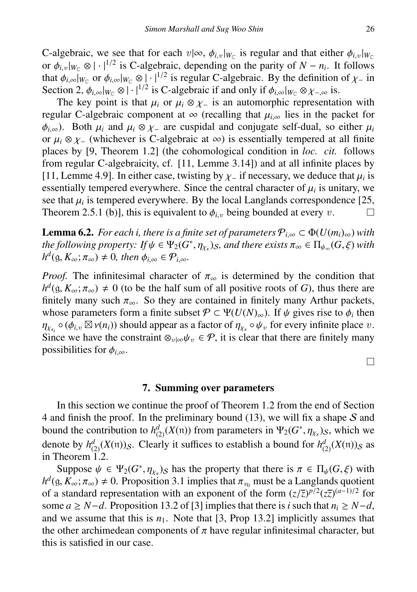C-algebraic, we see that for each  $v | \infty$ ,  $\phi_{i,v} |_{W_{\mathbb{C}}}$  is regular and that either  $\phi_{i,v} |_{W_{\mathbb{C}}}$ <br>or  $\phi_{i,w} |_{W} \otimes | \cdot |^{1/2}$  is C-algebraic, depending on the parity of  $N - n$ . It follows or  $\phi_{i,v}|_{W_{\mathbb{C}}}\otimes |\cdot|^{1/2}$  is C-algebraic, depending on the parity of  $N-n_i$ . It follows<br>that  $\phi_{i\to j|W_{\mathbb{C}}}\circ \phi_{i\to j|W_{\mathbb{C}}}\otimes |\cdot|^{1/2}$  is regular C-algebraic. By the definition of  $\nu$  in that  $\phi_{i,\infty}|_{W_{\mathbb{C}}}$  or  $\phi_{i,\infty}|_{W_{\mathbb{C}}} \otimes | \cdot |^{1/2}$  is regular C-algebraic. By the definition of  $\chi_{-}$  in Section 2.  $\phi_{i,\infty}|_{W_{\mathbb{C}}} \otimes | \cdot |^{1/2}$  is C-algebraic if and only if  $\phi_{i,\infty}|_{W_{\mathbb{C}}} \otimes \chi_{-}$  is Section 2,  $\phi_{i,\infty}|_{W_{\mathbb{C}}}\otimes |\cdot|^{1/2}$  is C-algebraic if and only if  $\phi_{i,\infty}|_{W_{\mathbb{C}}}\otimes \chi_{-\infty}$  is.<br>The key point is that  $\mu_i$  or  $\mu_i \otimes \chi$  is an automorphic representat

The key point is that  $\mu_i$  or  $\mu_i \otimes \chi$ - is an automorphic representation with regular C-algebraic component at  $\infty$  (recalling that  $\mu_{i,\infty}$  lies in the packet for  $\phi$ <sub>*i* $\infty$ </sub>). Both  $\mu$ *i* and  $\mu$ *i* ⊗  $\chi$ <sub>−</sub> are cuspidal and conjugate self-dual, so either  $\mu$ *i* or  $\mu_i \otimes \chi$ <sub>-</sub> (whichever is C-algebraic at  $\infty$ ) is essentially tempered at all finite places by [9, Theorem 1.2] (the cohomological condition in *loc. cit.* follows from regular C-algebraicity, cf. [11, Lemme 3.14]) and at all infinite places by [11, Lemme 4.9]. In either case, twisting by  $\chi$ - if necessary, we deduce that  $\mu_i$  is<br>essentially tempered everywhere. Since the central character of  $\mu_i$  is unitary, we essentially tempered everywhere. Since the central character of  $\mu_i$  is unitary, we<br>see that  $\mu_i$  is tempered everywhere. By the local Langlands correspondence [25] see that  $\mu_i$  is tempered everywhere. By the local Langlands correspondence [25, Theorem 2.5.1 (b)], this is equivalent to  $\phi$ , being bounded at every  $\eta$ Theorem 2.5.1 (b)], this is equivalent to  $\phi_i$ , being bounded at every v.  $\Box$ 

**Lemma 6.2.** *For each i, there is a finite set of parameters*  $P_{i,\infty} \subset \Phi(U(m_i)_{\infty})$  *with the following property: If*  $\psi \in \Psi_2(G^*$ <br>  $h^d$ ( $g \colon K : \pi \to 0$  then  $\phi \in \mathcal{P}$ )  $, \eta_{\chi_{\kappa}}$ )*s*, and there exists  $\pi_{\infty} \in \Pi_{\psi_{\infty}}(G, \xi)$  with  $h^d(g, K_\infty; \pi_\infty) \neq 0$ , then  $\phi_{i,\infty} \in \mathcal{P}_{i,\infty}$ *.* 

*Proof.* The infinitesimal character of  $\pi_{\infty}$  is determined by the condition that  $h^d$ (g,  $K_\infty$ ;  $\pi_\infty$ )  $\neq 0$  (to be the half sum of all positive roots of *G*), thus there are finitely many arch  $\pi$ . So they are contained in finitely many Arthur packets finitely many such  $\pi_{\infty}$ . So they are contained in finitely many Arthur packets, whose parameters form a finite subset  $\mathcal{P} \subset \Psi(U(N)_{\infty})$ . If  $\psi$  gives rise to  $\phi_i$  then  $n = \Omega(\phi \cap \mathbb{N} \cup (n_i))$  should appear as a factor of  $n = \Omega/\psi$  for every infinite place  $v_i$ Since we have the constraint  $\otimes_{v|\infty}\psi_v \in \mathcal{P}$ , it is clear that there are finitely many possibilities for  $\phi$ .  $\circ$  ( $\phi_{i,v} \boxtimes v(n_i)$ ) should appear as a factor of  $\eta_{\chi_k} \circ \psi_v$  for every infinite place v.<br>
See we have the constraint  $\otimes_{\psi \in \mathcal{N}} \in \mathcal{P}$  it is clear that there are finitely many possibilities for  $\phi_i$ <sub>∞</sub>.

 $\Box$ 

#### 7. Summing over parameters

In this section we continue the proof of Theorem 1.2 from the end of Section 4 and finish the proof. In the preliminary bound  $(13)$ , we will fix a shape S and bound the contribution to  $h_{(2)}^d(X(\mathfrak{n}))$  from parameters in  $\Psi_2(G^*, \eta_{\chi_k})_S$ , which we denote by  $h_{(2)}^d(X(\pi))_S$ . Clearly it suffices to establish a bound for  $h_{(2)}^d(X(\pi))_S$  as in Theorem 1.2.

Suppose  $\psi \in \Psi_2(G^*, \eta_{\chi_k})_S$  has the property that there is  $\pi \in \Pi_{\psi}(G, \xi)$  with  $K : \pi \to 0$  Proposition 3.1 implies that  $\pi$  must be a Langlands quotient  $h^d(g, K_\infty; \pi_\infty) \neq 0$ . Proposition 3.1 implies that  $\pi_{v_0}$  must be a Langlands quotient<br>of a standard representation with an exponent of the form  $(\pi/\overline{z})^{p/2}(\pi^2)^{(a-1)/2}$  for of a standard representation with an exponent of the form  $(z/\overline{z})^{p/2}(z\overline{z})^{(a-1)/2}$  for some  $a > N-d$  Proposition 13.2 of [3] implies that there is *i* such that  $p > N-d$ some  $a \ge N - d$ . Proposition 13.2 of [3] implies that there is *i* such that  $n_i \ge N - d$ , and we assume that this is  $n_1$ . Note that [3, Prop 13.2] implicitly assumes that the other archimedean components of  $\pi$  have regular infinitesimal character, but this is satisfied in our case.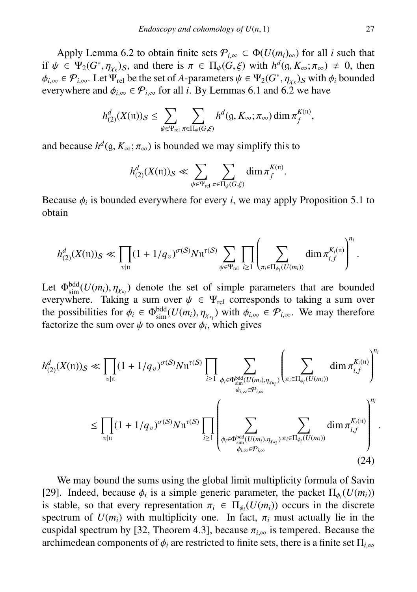Apply Lemma 6.2 to obtain finite sets  $\mathcal{P}_{i,\infty} \subset \Phi(U(m_i)_{\infty})$  for all *i* such that if  $\psi \in \Psi_2(G^*, \eta_{\chi_k})_S$ , and there is  $\pi \in \Pi_{\psi}(G, \xi)$  with  $h^d(g, K_\infty; \pi_\infty) \neq 0$ , then  $\phi_{\psi} \in \mathcal{P}_{\psi}$ . Let  $\Psi_{\psi}$  be the set of *A*-parameters  $\psi \in \Psi_0(G^*, n_{\psi})$  s with  $\phi_{\psi}$  bounded  $\phi_{i,\infty} \in \mathcal{P}_{i,\infty}$ . Let  $\Psi_{rel}$  be the set of *A*-parameters  $\psi \in \Psi_2(G^*, \eta_{\chi})$  with  $\phi_i$  bounded everywhere and  $\phi_i \in \mathcal{P}_i$ . for all *i*. By I emmas 6.1 and 6.2 we have everywhere and  $\phi_{i,\infty} \in \mathcal{P}_{i,\infty}$  for all *i*. By Lemmas 6.1 and 6.2 we have

$$
h^d_{(2)}(X(\mathfrak{n}))_S \leq \sum_{\psi \in \Psi_{\mathrm{rel}}} \sum_{\pi \in \Pi_{\psi}(G,\xi)} h^d(\mathfrak{g},K_\infty;\pi_\infty) \dim \pi_f^{K(\mathfrak{n})},
$$

and because  $h^d$ (g,  $K_\infty$ ;  $\pi_\infty$ ) is bounded we may simplify this to

$$
h_{(2)}^d(X(\mathfrak{n}))_\mathcal{S} \ll \sum_{\psi \in \Psi_{\mathrm{rel}}} \sum_{\pi \in \Pi_{\psi}(G,\xi)} \dim \pi_f^{K(\mathfrak{n})}.
$$

Because  $\phi_i$  is bounded everywhere for every *i*, we may apply Proposition 5.1 to obtain obtain

$$
h_{(2)}^d(X(\mathfrak{n}))_{S} \ll \prod_{v|\mathfrak{n}}(1+1/q_v)^{\sigma(S)}N\mathfrak{n}^{\tau(S)}\sum_{\psi\in\Psi_{\text{rel}}} \prod_{i\geq 1}\left(\sum_{\pi_i\in\Pi_{\phi_i}(U(m_i))}\dim \pi_{i,f}^{K_i(\mathfrak{n})}\right)^{n_i}.
$$

Let  $\Phi_{\text{sim}}^{\text{bdd}}(U(m_i), \eta_{\chi_{\kappa_i}})$  denote the set of simple parameters that are bounded<br>everywhere Taking a sum over  $\psi \in \Psi$ , corresponds to taking a sum over everywhere. Taking a sum over  $\psi \in \Psi_{rel}$  corresponds to taking a sum over the possibilities for  $\phi_i \in \Phi_{\text{sim}}^{\text{bdd}}(U(m_i), \eta_{\chi_{\kappa_i}})$  with  $\phi_{i,\infty} \in \mathcal{P}_{i,\infty}$ . We may therefore factorize the sum over  $\psi$  to ones over  $\phi$ , which gives factorize the sum over  $\psi$  to ones over  $\phi_i$ , which gives

$$
h_{(2)}^d(X(\mathfrak{n}))_{\mathcal{S}} \ll \prod_{v|n} (1 + 1/q_v)^{\sigma(S)} N \mathfrak{n}^{\tau(S)} \prod_{i \geq 1} \sum_{\phi_i \in \Phi_{\text{sim}}^{\text{bdd}}(U(m_i), \eta_{X\kappa_i})} \left( \sum_{\pi_i \in \Pi_{\phi_i}(U(m_i))} \dim \pi_{i,f}^{K_i(\mathfrak{n})} \right)^{n_i}
$$
  

$$
\leq \prod_{v|n} (1 + 1/q_v)^{\sigma(S)} N \mathfrak{n}^{\tau(S)} \prod_{i \geq 1} \left( \sum_{\phi_i \in \Phi_{\text{sim}}^{\text{bdd}}(U(m_i), \eta_{X\kappa_i})} \sum_{\pi_i \in \Pi_{\phi_i}(U(m_i))} \dim \pi_{i,f}^{K_i(\mathfrak{n})} \right)^{n_i}
$$
  

$$
\leq \prod_{v|n} (1 + 1/q_v)^{\sigma(S)} N \mathfrak{n}^{\tau(S)} \prod_{i \geq 1} \left( \sum_{\phi_i \in \Phi_{\text{sim}}^{\text{bdd}}(U(m_i), \eta_{X\kappa_i})} \sum_{\pi_i \in \Pi_{\phi_i}(U(m_i))} \dim \pi_{i,f}^{K_i(\mathfrak{n})} \right)^{n_i}
$$
  
(24)

We may bound the sums using the global limit multiplicity formula of Savin [29]. Indeed, because  $\phi_i$  is a simple generic parameter, the packet  $\Pi_{\phi_i}(U(m_i))$ <br>is stable, so that every representation  $\pi_i \in \Pi_i(U(m_i))$  occurs in the discrete is stable, so that every representation  $\pi_i \in \Pi_{\phi_i}(U(m_i))$  occurs in the discrete<br>spectrum of  $U(m_i)$  with multiplicity one. In fact,  $\pi_i$  must actually lie in the spectrum of  $U(m_i)$  with multiplicity one. In fact,  $\pi_i$  must actually lie in the cuspidal spectrum by [32, Theorem 4.3], because  $\pi$ <sub>i $\infty$ </sub> is tempered. Because the archimedean components of  $\phi_i$  are restricted to finite sets, there is a finite set  $\Pi_{i,\infty}$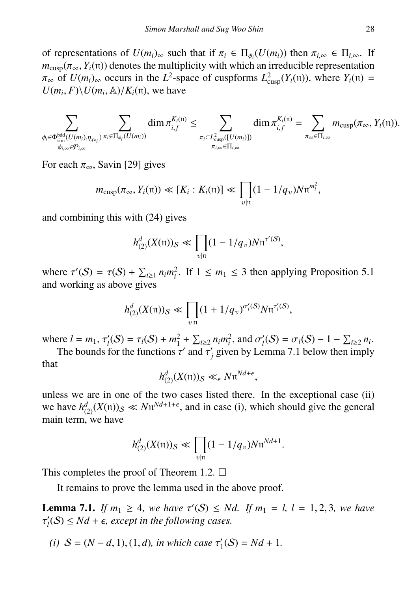of representations of  $U(m_i)_{\infty}$  such that if  $\pi_i \in \Pi_{\phi_i}(U(m_i))$  then  $\pi_{i,\infty} \in \Pi_{i,\infty}$ . If  $m$  (π Y.(n)) denotes the multiplicity with which an irreducible representation  $m_{\text{cusp}}(\pi_{\infty}, Y_i(\mathfrak{n}))$  denotes the multiplicity with which an irreducible representation  $\pi_{\infty}$  of  $U(m_i)_{\infty}$  occurs in the  $L^2$ -space of cuspforms  $L^2_{\text{cusp}}(Y_i(\mathfrak{n}))$ , where  $Y_i(\mathfrak{n}) =$ <br> $U(m_i, E) \setminus U(m_i, \mathbb{A})/K_i(\mathfrak{n})$  we have  $U(m_i, F) \setminus U(m_i, A) / K_i(\mathfrak{n})$ , we have

$$
\sum_{\substack{\phi_i \in \Phi_{\text{sim}}^{\text{bdd}}(U(m_i), \eta_{\chi_{\kappa_i}}) \\ \phi_{i,\infty} \in \mathcal{P}_{i,\infty}}} \sum_{\pi_i \in \Pi_{\phi_i}(U(m_i))} \dim \pi_{i,f}^{K_i(\pi)} \leq \sum_{\substack{\pi_i \subset L_{\text{cusp}}^2([U(m_i)]) \\ \pi_{i,\infty} \in \Pi_{i,\infty}}} \dim \pi_{i,f}^{K_i(\pi)} = \sum_{\pi_{\infty} \in \Pi_{i,\infty}} m_{\text{cusp}}(\pi_{\infty}, Y_i(\pi)).
$$

For each  $\pi_{\infty}$ , Savin [29] gives

$$
m_{\text{cusp}}(\pi_\infty, Y_i(\mathfrak{n})) \ll [K_i: K_i(\mathfrak{n})] \ll \prod_{v|\mathfrak{n}} (1 - 1/q_v) N \mathfrak{n}^{m_i^2},
$$

and combining this with (24) gives

$$
h_{(2)}^{d}(X(\mathfrak{n}))_{\mathcal{S}} \ll \prod_{v|\mathfrak{n}} (1 - 1/q_v) N \mathfrak{n}^{\tau'(\mathcal{S})},
$$

where  $\tau'(S) = \tau(S) + \sum_{i \geq 1} n_i m_i^2$ . If  $1 \leq m_1 \leq 3$  then applying Proposition 5.1 and working as above gives

$$
h_{(2)}^{d}(X(\mathfrak{m}))_{S} \ll \prod_{v|\mathfrak{m}} (1 + 1/q_{v})^{\sigma'_{l}(S)} N \mathfrak{n}^{\tau'_{l}(S)},
$$

where  $l = m_1$ ,  $\tau_l'(S) = \tau_l(S) + m_1^2 + \sum_{i \geq 2} n_i m_i^2$ , and  $\sigma_l'(S) = \sigma_l(S) - 1 - \sum_{i \geq 2} n_i$ .<br>The bounds for the functions  $\tau_l'$  and  $\tau_l'$  given by I emma 7.1 below then imply

The bounds for the functions  $\tau'$  and  $\tau'_j$  given by Lemma 7.1 below then imply that

$$
h_{(2)}^d(X(\mathfrak{n}))_\mathcal{S} \ll_\epsilon N \mathfrak{n}^{Nd+\epsilon},
$$

unless we are in one of the two cases listed there. In the exceptional case (ii) we have  $h_{(2)}^d(X(\pi))_{\mathcal{S}} \ll N \pi^{Nd+1+\epsilon}$ , and in case (i), which should give the general main term, we have

$$
h_{(2)}^{d}(X(\mathfrak{m}))_{S} \ll \prod_{v|\mathfrak{m}} (1 - 1/q_{v}) N \mathfrak{n}^{Nd+1}.
$$

This completes the proof of Theorem 1.2.  $\Box$ 

It remains to prove the lemma used in the above proof.

**Lemma 7.1.** *If*  $m_1 \geq 4$ *, we have*  $\tau'(S) \leq Nd$ *. If*  $m_1 = l$ ,  $l = 1, 2, 3$ *, we have*  $\tau'(S) \leq Nd + \epsilon$  except in the following cases  $\mathcal{C}_l(\mathcal{S}) \leq Nd + \epsilon$ , except in the following cases.

(*i*)  $S = (N - d, 1), (1, d)$ *, in which case*  $\tau'_1(S) = Nd + 1$ *.*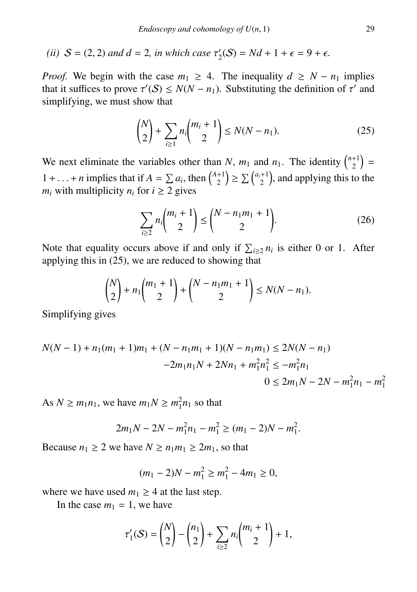(*ii*)  $S = (2, 2)$  *and*  $d = 2$ *, in which case*  $\tau'_2(S) = Nd + 1 + \epsilon = 9 + \epsilon$ *.* 

*Proof.* We begin with the case  $m_1 \geq 4$ . The inequality  $d \geq N - n_1$  implies that it suffices to prove  $\tau'(S) \le N(N - n_1)$ . Substituting the definition of  $\tau'$  and simplifying we must show that simplifying, we must show that

$$
\binom{N}{2} + \sum_{i \ge 1} n_i \binom{m_i + 1}{2} \le N(N - n_1). \tag{25}
$$

We next eliminate the variables other than *N*,  $m_1$  and  $n_1$ . The identity  $\binom{n+1}{2}$  $\binom{+1}{2}$  = 1+...+*n* implies that if  $A = \sum a_i$ , then  $\binom{A+1}{2}$ <br>*m* with multiplicity *n* for  $i > 2$  gives  $\binom{+1}{2}$   $\geq \sum \binom{a_i+1}{2}$ , and applying this to the *m<sub>i</sub>* with multiplicity  $n_i$  for  $i \geq 2$  gives

$$
\sum_{i\geq 2} n_i \binom{m_i+1}{2} \leq \binom{N-n_1m_1+1}{2}.
$$
 (26)

Note that equality occurs above if and only if  $\sum_{i\geq 2} n_i$  is either 0 or 1. After applying this in (25), we are reduced to showing that

$$
\binom{N}{2} + n_1 \binom{m_1 + 1}{2} + \binom{N - n_1 m_1 + 1}{2} \le N(N - n_1).
$$

Simplifying gives

$$
N(N-1) + n_1(m_1 + 1)m_1 + (N - n_1m_1 + 1)(N - n_1m_1) \le 2N(N - n_1)
$$
  
-2m<sub>1</sub>n<sub>1</sub>N + 2Nn<sub>1</sub> + m<sub>1</sub><sup>2</sup>n<sub>1</sub><sup>2</sup> \le -m<sub>1</sub><sup>2</sup>n<sub>1</sub>  
0 \le 2m<sub>1</sub>N - 2N - m<sub>1</sub><sup>2</sup>n<sub>1</sub> - m<sub>1</sub><sup>2</sup>

As  $N \ge m_1 n_1$ , we have  $m_1 N \ge m_1^2 n_1$  so that

$$
2m_1N - 2N - m_1^2n_1 - m_1^2 \ge (m_1 - 2)N - m_1^2
$$

Because  $n_1 \geq 2$  we have  $N \geq n_1 m_1 \geq 2m_1$ , so that

$$
(m_1 - 2)N - m_1^2 \ge m_1^2 - 4m_1 \ge 0,
$$

where we have used  $m_1 \geq 4$  at the last step.

In the case  $m_1 = 1$ , we have

$$
\tau'_{1}(S) = \binom{N}{2} - \binom{n_1}{2} + \sum_{i \geq 2} n_i \binom{m_i + 1}{2} + 1,
$$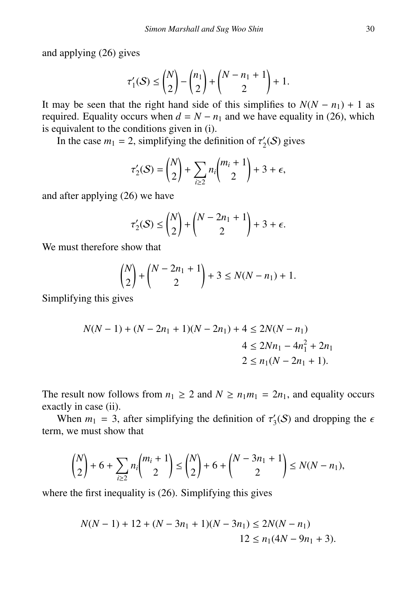and applying (26) gives

$$
\tau'_1(\mathcal{S}) \le \binom{N}{2} - \binom{n_1}{2} + \binom{N - n_1 + 1}{2} + 1.
$$

It may be seen that the right hand side of this simplifies to  $N(N - n_1) + 1$  as required. Equality occurs when  $d = N - n_1$  and we have equality in (26), which is equivalent to the conditions given in (i).

In the case  $m_1 = 2$ , simplifying the definition of  $\tau'_2(S)$  gives

$$
\tau_2'(S) = \binom{N}{2} + \sum_{i \ge 2} n_i \binom{m_i + 1}{2} + 3 + \epsilon,
$$

and after applying (26) we have

$$
\tau_2'(S) \le \binom{N}{2} + \binom{N-2n_1+1}{2} + 3 + \epsilon.
$$

We must therefore show that

$$
\binom{N}{2} + \binom{N-2n_1+1}{2} + 3 \le N(N-n_1) + 1.
$$

Simplifying this gives

$$
N(N-1) + (N-2n_1 + 1)(N-2n_1) + 4 \le 2N(N - n_1)
$$
  
 
$$
4 \le 2Nn_1 - 4n_1^2 + 2n_1
$$
  
 
$$
2 \le n_1(N - 2n_1 + 1).
$$

The result now follows from  $n_1 \geq 2$  and  $N \geq n_1 m_1 = 2n_1$ , and equality occurs exactly in case (ii).

When  $m_1 = 3$ , after simplifying the definition of  $\tau'_3(\mathcal{S})$  and dropping the  $\epsilon$ term, we must show that

$$
\binom{N}{2} + 6 + \sum_{i \ge 2} n_i \binom{m_i + 1}{2} \le \binom{N}{2} + 6 + \binom{N - 3n_1 + 1}{2} \le N(N - n_1),
$$

where the first inequality is (26). Simplifying this gives

$$
N(N-1) + 12 + (N - 3n_1 + 1)(N - 3n_1) \le 2N(N - n_1)
$$
  

$$
12 \le n_1(4N - 9n_1 + 3).
$$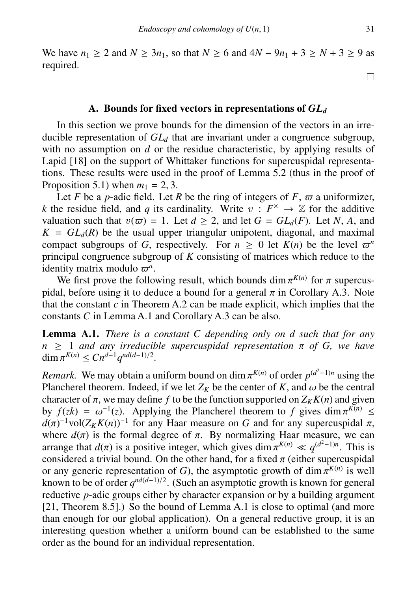We have *n*<sub>1</sub> ≥ 2 and *N* ≥ 3*n*<sub>1</sub>, so that *N* ≥ 6 and 4*N* − 9*n*<sub>1</sub> + 3 ≥ *N* + 3 ≥ 9 as required.

### A. Bounds for fixed vectors in representations of *GL<sup>d</sup>*

In this section we prove bounds for the dimension of the vectors in an irreducible representation of *GL<sup>d</sup>* that are invariant under a congruence subgroup, with no assumption on *d* or the residue characteristic, by applying results of Lapid [18] on the support of Whittaker functions for supercuspidal representations. These results were used in the proof of Lemma 5.2 (thus in the proof of Proposition 5.1) when  $m_1 = 2, 3$ .

Let *F* be a *p*-adic field. Let *R* be the ring of integers of *F*,  $\varpi$  a uniformizer, *k* the residue field, and *q* its cardinality. Write  $v : F^{\times} \to \mathbb{Z}$  for the additive valuation such that  $v(\varpi) = 1$ . Let  $d \ge 2$ , and let  $G = GL_d(F)$ . Let N, A, and  $K = GL_d(R)$  be the usual upper triangular unipotent, diagonal, and maximal compact subgroups of *G*, respectively. For  $n \geq 0$  let  $K(n)$  be the level  $\varpi^n$ principal congruence subgroup of *K* consisting of matrices which reduce to the identity matrix modulo  $\varpi^n$ .<br>We first prove the follo

We first prove the following result, which bounds dim  $\pi^{K(n)}$  for  $\pi$  supercus-<br>al before using it to deduce a bound for a general  $\pi$  in Corollary A 3. Note pidal, before using it to deduce a bound for a general  $\pi$  in Corollary A.3. Note that the constant  $c$  in Theorem A.2 can be made explicit, which implies that the constants *C* in Lemma A.1 and Corollary A.3 can be also.

Lemma A.1. *There is a constant C depending only on d such that for any <sup>n</sup>* <sup>≥</sup> <sup>1</sup> *and any irreducible supercuspidal representation* π *of G, we have* dim  $\pi^{K(n)} \leq C n^{d-1} q^{nd(d-1)/2}$ .

*Remark.* We may obtain a uniform bound on dim  $\pi^{K(n)}$  of order  $p^{(d^2-1)n}$  using the Plancherel theorem. Indeed, if we let  $Z_{\kappa}$  be the center of  $K$  and  $\omega$  be the central Plancherel theorem. Indeed, if we let  $Z_K$  be the center of *K*, and  $\omega$  be the central character of  $\pi$  we may define *f* to be the function supported on  $Z_K K(n)$  and given character of  $\pi$ , we may define *f* to be the function supported on  $Z_K K(n)$  and given<br>by  $f(zk) = \omega^{-1}(z)$ . Applying the Plancherel theorem to f gives dim  $\pi^{K(n)}$ by  $f(zk) = \omega^{-1}(z)$ . Applying the Plancherel theorem to *f* gives dim  $\pi d(\pi)^{-1}vol(Z_KK(n))^{-1}$  for any Haar measure on *G* and for any supercusp  $\tau^{-1}(z)$ . Applying the Plancherel theorem to f gives dim  $\pi^{K(n)} \leq$  $d(\pi)^{-1}$ vol $(Z_K K(n))^{-1}$  for any Haar measure on *G* and for any supercuspidal  $\pi$ , where  $d(\pi)$  is the formal degree of  $\pi$ . By normalizing Haar measure, we can where  $d(\pi)$  is the formal degree of  $\pi$ . By normalizing Haar measure, we can<br>arrange that  $d(\pi)$  is a positive integer which gives dim  $\pi^{K(n)} \ll d^{(d^2-1)n}$ . This is arrange that  $d(\pi)$  is a positive integer, which gives dim  $\pi^{K(n)} \ll q^{(d^2-1)n}$ . This is considered a trivial bound. On the other hand, for a fixed  $\pi$  (either supercuspidal considered a trivial bound. On the other hand, for a fixed  $\pi$  (either supercuspidal<br>or any generic representation of G) the asymptotic growth of dim  $\pi^{K(n)}$  is well or any generic representation of *G*), the asymptotic growth of dim  $\pi^{K(n)}$  is well<br>known to be of order  $q^{nd(d-1)/2}$ . (Such an asymptotic growth is known for general known to be of order  $q^{nd(d-1)/2}$ . (Such an asymptotic growth is known for general reductive *p*-adic groups either by character expansion or by a building argument [21, Theorem 8.5].) So the bound of Lemma A.1 is close to optimal (and more than enough for our global application). On a general reductive group, it is an interesting question whether a uniform bound can be established to the same order as the bound for an individual representation.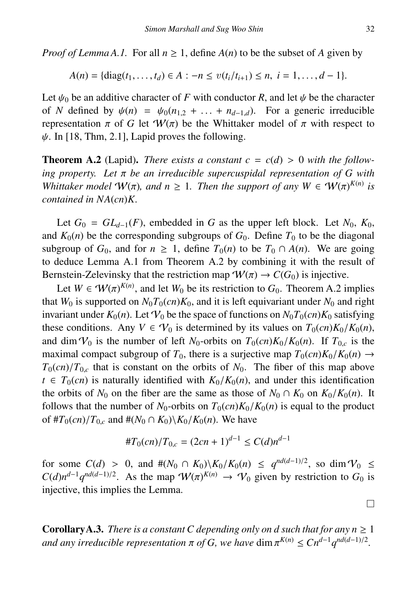*Proof of Lemma A.1.* For all  $n \geq 1$ , define  $A(n)$  to be the subset of A given by

$$
A(n) = \{ \text{diag}(t_1, \ldots, t_d) \in A : -n \leq v(t_i/t_{i+1}) \leq n, \ i = 1, \ldots, d-1 \}.
$$

Let  $\psi_0$  be an additive character of *F* with conductor *R*, and let  $\psi$  be the character of *N* defined by  $\psi(n) = \psi_0(n_{1,2} + \dots + n_{d-1,d})$ . For a generic irreducible representation π of *G* let  $W(π)$  be the Whittaker model of π with respect to  $\psi$ . In [18, Thm, 2.1], Lapid proves the following.

**Theorem A.2** (Lapid). *There exists a constant*  $c = c(d) > 0$  *with the following property. Let* π *be an irreducible supercuspidal representation of G with Whittaker model*  $W(\pi)$ *, and*  $n \geq 1$ *. Then the support of any*  $W \in W(\pi)^{K(n)}$  *is* contained in  $N\Delta(cn)K$ *contained in NA*(*cn*)*K.*

Let  $G_0 = GL_{d-1}(F)$ , embedded in *G* as the upper left block. Let  $N_0$ ,  $K_0$ , and  $K_0(n)$  be the corresponding subgroups of  $G_0$ . Define  $T_0$  to be the diagonal subgroup of  $G_0$ , and for  $n \geq 1$ , define  $T_0(n)$  to be  $T_0 \cap A(n)$ . We are going to deduce Lemma A.1 from Theorem A.2 by combining it with the result of Bernstein-Zelevinsky that the restriction map  $\mathcal{W}(\pi) \to C(G_0)$  is injective.

Let  $W \in \mathcal{W}(\pi)^{K(n)}$ , and let  $W_0$  be its restriction to  $G_0$ . Theorem A.2 implies  $W_0$  is supported on  $N_0T_0(\alpha)K_0$  and it is left equivariant under  $N_0$  and right that  $W_0$  is supported on  $N_0T_0$ (*cn*) $K_0$ , and it is left equivariant under  $N_0$  and right invariant under  $K_0(n)$ . Let  $V_0$  be the space of functions on  $N_0T_0(cn)K_0$  satisfying these conditions. Any  $V \in V_0$  is determined by its values on  $T_0(cn)K_0/K_0(n)$ , and dim  $V_0$  is the number of left *N*<sub>0</sub>-orbits on  $T_0$ (*cn*) $K_0/K_0(n)$ . If  $T_0$ <sub>*c*</sub> is the maximal compact subgroup of  $T_0$ , there is a surjective map  $T_0(cn)K_0/K_0(n) \rightarrow$  $T_0$ (*cn*)/ $T_0$ , that is constant on the orbits of  $N_0$ . The fiber of this map above  $t \in T_0(cn)$  is naturally identified with  $K_0/K_0(n)$ , and under this identification the orbits of  $N_0$  on the fiber are the same as those of  $N_0 \cap K_0$  on  $K_0/K_0(n)$ . It follows that the number of  $N_0$ -orbits on  $T_0(cn)K_0/K_0(n)$  is equal to the product of  $#T_0(cn)/T_{0,c}$  and  $#(N_0 \cap K_0) \setminus K_0/K_0(n)$ . We have

$$
\#T_0(cn)/T_{0,c} = (2cn+1)^{d-1} \le C(d)n^{d-1}
$$

for some  $C(d) > 0$ , and  $\#(N_0 \cap K_0) \setminus K_0/K_0(n) \leq q^{nd(d-1)/2}$ , so dim  $V_0 \leq C(d) n^{d-1} q^{nd(d-1)/2}$ . As the map  $\mathcal{W}(m)^{K(n)} \to \mathcal{U}$ , given by restriction to  $G_0$  is  $C(d)n^{d-1}q^{nd(d-1)/2}$ . As the map  $W(\pi)^{K(n)} \to V_0$  given by restriction to *G*<sub>0</sub> is injective this implies the Lemma injective, this implies the Lemma.

**Corollary A.3.** *There is a constant C depending only on d such that for any n*  $\geq 1$ *and any irreducible representation*  $\pi$  *of G, we have* dim  $\pi^{K(n)} \leq Cn^{d-1}q^{nd(d-1)/2}$ .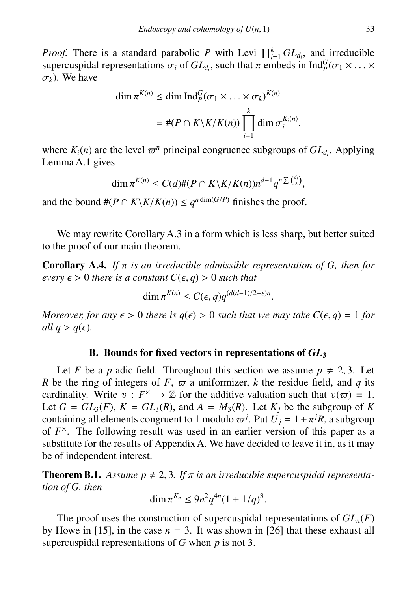*Proof.* There is a standard parabolic *P* with Levi  $\prod_{i=1}^{k} GL_{d_i}$ , and irreducible supercuspidal representations  $\sigma_i$  of  $GL_{d_i}$ , such that  $\pi$  embeds in  $\text{Ind}_P^G(\sigma_1 \times \ldots \times \sigma_k)$ . σ*<sup>k</sup>*). We have

$$
\dim \pi^{K(n)} \le \dim \operatorname{Ind}_P^G(\sigma_1 \times \ldots \times \sigma_k)^{K(n)}
$$

$$
= \#(P \cap K \backslash K / K(n)) \prod_{i=1}^k \dim \sigma_i^{K_i(n)},
$$

where  $K_i(n)$  are the level  $\varpi^n$  principal congruence subgroups of  $GL_{d_i}$ . Applying Lemma A 1 gives Lemma A.1 gives

$$
\dim \pi^{K(n)} \leq C(d) \#(P \cap K \backslash K / K(n)) n^{d-1} q^{n \sum {d_i \choose 2}},
$$

and the bound  $#(P \cap K \setminus K/K(n)) \le q^{n \dim(G/P)}$  finishes the proof.

We may rewrite Corollary A.3 in a form which is less sharp, but better suited to the proof of our main theorem.

**Corollary A.4.** *If*  $\pi$  *is an irreducible admissible representation of G, then for every*  $\epsilon > 0$  *there is a constant*  $C(\epsilon, q) > 0$  *such that* 

$$
\dim \pi^{K(n)} \le C(\epsilon, q) q^{(d(d-1)/2 + \epsilon)n}
$$

*Moreover, for any*  $\epsilon > 0$  *there is*  $q(\epsilon) > 0$  *such that we may take*  $C(\epsilon, q) = 1$  *for all*  $q > q(\epsilon)$ *.* 

## B. Bounds for fixed vectors in representations of *GL*<sup>3</sup>

Let *F* be a *p*-adic field. Throughout this section we assume  $p \neq 2, 3$ . Let *R* be the ring of integers of *F*,  $\varpi$  a uniformizer, *k* the residue field, and *q* its cardinality. Write  $v : F^{\times} \to \mathbb{Z}$  for the additive valuation such that  $v(\varpi) = 1$ .<br>Let  $G = GL_2(F)$ ,  $K = GL_2(R)$  and  $A = M_2(R)$ . Let K, be the subgroup of K Let  $G = GL_3(F)$ ,  $K = GL_3(R)$ , and  $A = M_3(R)$ . Let  $K_j$  be the subgroup of  $K$ containing all elements congruent to 1 modulo  $\varpi^{j}$ . Put  $U_j = 1 + \pi^{j}R$ , a subgroup of  $F^{\times}$ . The following result was used in an earlier version of this paper as a of  $F^{\times}$ . The following result was used in an earlier version of this paper as a substitute for the results of Appendix A. We have decided to leave it in, as it may be of independent interest.

**Theorem B.1.** Assume  $p \neq 2, 3$ . If  $\pi$  is an irreducible supercuspidal representa*tion of G, then*

$$
\dim \pi^{K_n} \le 9n^2 q^{4n} (1 + 1/q)^3.
$$

The proof uses the construction of supercuspidal representations of  $GL_n(F)$ by Howe in [15], in the case  $n = 3$ . It was shown in [26] that these exhaust all supercuspidal representations of *G* when *p* is not 3.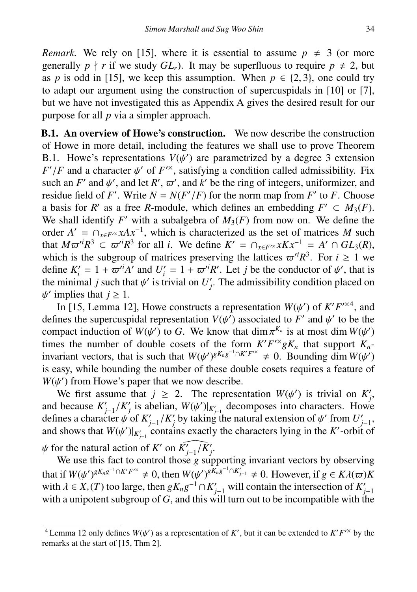*Remark.* We rely on [15], where it is essential to assume  $p \neq 3$  (or more generally  $p \nmid r$  if we study  $GL_r$ ). It may be superfluous to require  $p \neq 2$ , but as *p* is odd in [15], we keep this assumption. When  $p \in \{2, 3\}$ , one could try to adapt our argument using the construction of supercuspidals in [10] or [7], but we have not investigated this as Appendix A gives the desired result for our purpose for all *p* via a simpler approach.

B.1. An overview of Howe's construction. We now describe the construction of Howe in more detail, including the features we shall use to prove Theorem B.1. Howe's representations  $V(\psi')$  are parametrized by a degree 3 extension  $F'/F$  and a character  $\psi'$  of  $F'^{\times}$  satisfying a condition called admissibility. Fix  $F'/F$  and a character  $\psi'$  of  $F'^{\times}$ , satisfying a condition called admissibility. Fix such an  $F'$  and  $\psi'$  and let  $R'$   $\pi'$  and  $\psi'$  be the ring of integers uniformizer and such an *F'* and  $\psi'$ , and let *R'*,  $\varpi'$ , and *k'* be the ring of integers, uniformizer, and residue field of *F'*. Write  $N = N(F'/F)$  for the norm man from *F'* to *F*. Choose such an *F'* and  $\psi'$ , and let *R'*,  $\varpi'$ , and *k'* be the ring of integers, uniformizer, and residue field of *F'*. Write  $N = N(F'/F)$  for the norm map from *F'* to *F*. Choose *F* residue field of *F'*. Write  $N = N(F'/F)$  for the norm map from *F'* to *F*. Choose a basis for *R'* as a free *R*-module, which defines an embedding  $F' \subset M_3(F)$ . We shall identify  $F'$  with a subalgebra of  $M_3(F)$  from now on. We define the order  $A' = \bigcap_{x \in F^{\prime\prime}} xAx^{-1}$ , which is characterized as the set of matrices *M* such that  $M\varpi^{i}R^{3} \subset \varpi^{i}R^{3}$  for all *i*. We define  $K' = \bigcap_{x \in F^{\times}} xKx^{-1} = A' \cap GL_{3}(R)$ , which is the subgroup of matrices preserving the lattices  $\pi^{i}R^{3}$ . For  $i > 1$  we which is the subgroup of matrices preserving the lattices  $\varpi^{i}R^{3}$ . For  $i \ge 1$  we define  $K' = 1 + \pi^{i}A'$  and  $U' = 1 + \pi^{i}R'$ . Let *i* be the conductor of  $u'$  that is define  $K_i' = 1 + \varpi^{i'}A'$  and  $U_i' = 1 + \varpi^{i'}R'$ . Let *j* be the conductor of  $\psi'$ , that is the minimal *i* such that  $\psi'$  is trivial on *I'*. The admissibility condition placed on the minimal *j* such that  $\psi'$  is trivial on  $U'_j$ . The admissibility condition placed on  $\psi'$  implies that  $i > 1$ ' implies that  $j \geq 1$ .

ψ In [15, Lemma 12], Howe constructs a representation  $W(\psi')$  of  $K'F^{\times 4}$ , and nes the supercuspidal representation  $V(\psi')$  associated to  $F'$  and  $\psi'$  to be the defines the supercuspidal representation  $V(\psi')$  associated to *F'* and  $\psi'$  to be the compact induction of  $W(\psi')$  to *G*. We know that dim  $\pi^{K_n}$  is at most dim  $W(\psi')$ compact induction of  $W(\psi')$  to *G*. We know that dim  $\pi^{K_n}$  is at most dim  $W(\psi')$  times the number of double cosets of the form  $K'F^{\prime\lambda} \circ K$  that support  $K$ . times the number of double cosets of the form  $K'F^{\prime\prime}gK_n$  that support  $K_n$ invariant vectors, that is such that  $W(\psi')^{gK_n g^{-1} \cap K' F^{\prime\prime}} \neq 0$ . Bounding dim  $W(\psi')$ <br>is easy while bounding the number of these double cosets requires a feature of is easy, while bounding the number of these double cosets requires a feature of  $W(\psi)$ <sup>V</sup> ') from Howe's paper that we now describe.

We first assume that  $j \ge 2$ . The representation  $W(\psi')$  is trivial on  $K'_j$ , because  $K' = (K')$  is abelian  $W(\psi')|_{K'}$ , decomposes into characters. Howe and because  $K'_{j-1}/K'_{j}$  is abelian,  $W(\psi')|_{K'_{j-1}}$  decomposes into characters. Howe defines a character  $\psi$  of  $K'_{j-1}/K'_{j}$  by taking the natural extension of  $\psi'$  from  $U'_{j-1}$ , and shows that  $W(\psi')|_{K'_{j-1}}$  contains exactly the characters lying in the *K*'-orbit of  $\psi$  for the natural action of *K'* on  $\widehat{K'_{j-1}/K'_{j}}$ .<br>We use this fact to control those *a* sum

We use this fact to control those *g* supporting invariant vectors by observing that if  $W(\psi)$ <br>with  $\lambda \in Y$  $\left(\frac{gK_n g^{-1} \cap K'F^{\prime\prime}}{\sigma}\right) \neq 0$ , then  $W(\psi')^{gK_n g^{-1} \cap K'_{j-1}} \neq 0$ . However, if  $g \in K\lambda(\varpi)K$ <br>(*T*) too large then  $gK g^{-1} \cap K'$  will contain the intersection of K' with  $\lambda \in X_*(T)$  too large, then  $gK_n g^{-1} \cap K'_{j-1}$  will contain the intersection of  $K'_{j-1}$ <br>with a uninotent subgroup of  $G$  and this will turn out to be incompatible with the with a unipotent subgroup of  $\overline{G}$ , and this will turn out to be incompatible with the

<sup>&</sup>lt;sup>4</sup> Lemma 12 only defines  $W(\psi')$  as a representation of *K'*, but it can be extended to *K'F'*<sup> $\times$ </sup> by the remarks at the start of [15, Thm 2].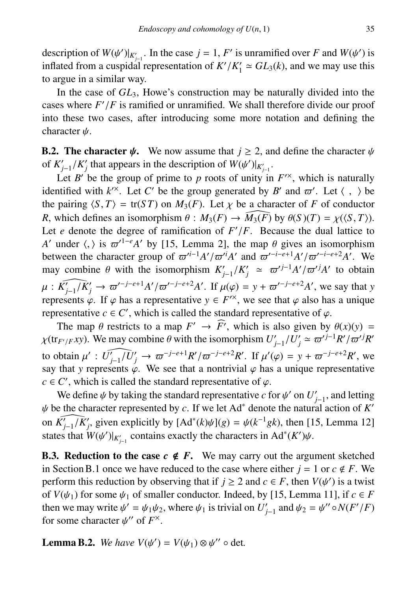description of  $W(\psi')|_{K'_{j-1}}$ . In the case  $j = 1, F'$  is unramified over *F* and  $W(\psi')$  is inflated from a cuspidal representation of  $K'/K' \approx GL_2(k)$  and we may use this inflated from a cuspidal representation of  $K'/K'_1 \simeq GL_3(k)$ , and we may use this to arque in a similar way to argue in a similar way.

In the case of  $GL_3$ , Howe's construction may be naturally divided into the cases where  $F'/F$  is ramified or unramified. We shall therefore divide our proof<br>into these two cases, after introducing some more notation and defining the into these two cases, after introducing some more notation and defining the character  $\psi$ .

**B.2. The character**  $\psi$ **.** We now assume that  $j \ge 2$ , and define the character  $\psi$ of  $K'_{j-1}/K'_{j}$  that appears in the description of  $W(\psi')|_{K'_{j-1}}$ .<br>Let  $P'$  be the group of prime to p roots of unity in

Let *B'* be the group of prime to *p* roots of unity in  $F^{\prime\prime}$ , which is naturally identified with  $k^{\prime\prime}$ . Let *C'* be the group generated by *B'* and  $\varpi'$ . Let  $\langle , \rangle$  be the pairing  $\langle S, T \rangle = \text{tr}(ST)$  on  $M_2(F)$ . Let  $\vee$  be a character of *F* of conductor the pairing  $\langle S, T \rangle = \text{tr}(ST)$  on  $M_3(F)$ . Let  $\chi$  be a character of *F* of conductor *R*, which defines an isomorphism  $\theta : M_3(F) \to \widehat{M_3(F)}$  by  $\theta(S)(T) = \chi(\langle S, T \rangle)$ . Let  $e$  denote the degree of ramification of  $F'$ Let *e* denote the degree of ramification of  $F'/F$ . Because the dual lattice to *A'* under  $\langle$ ,  $\rangle$  is  $\varpi'^{1-e}A'$  by [15, Lemma 2], the map  $\theta$  gives an isomorphism between the character group of  $\pi'^{i-1}A'/\pi'^{i}A'$ between the character group of  $\varpi^{i-1}A'/\varpi^{i}A'$  and  $\varpi^{i-i-e+1}A'/\varpi^{i-i-e+2}A'$ . We may combine  $A$  with the isomorphism  $K'/K' \approx \pi^{i-1}A'/\pi^{i}A'$  to obtain may combine  $\theta$  with the isomorphism  $K'_{j-1}/K'_{j} \approx \frac{\pi^{j-1}A'}{\pi^{j}A'}$  to obtain  $\mu : \widehat{K'_{j-1}/K'_{j}} \to \overline{\omega}'^{-j-e+1}A'/\overline{\omega}'^{-j-e+2}A'.$  If  $\mu(\varphi) = y + \overline{\omega}'^{-j-e+2}A'$ , we say that *y* represents  $\varphi$ . If  $\varphi$  has a representative  $y \in E'^{\times}$ , we see that  $\varphi$  also has a unique represents  $\varphi$ . If  $\varphi$  has a representative  $y \in F^{\prime\prime}$ , we see that  $\varphi$  also has a unique representative  $c \in C'$ , which is called the standard representative of  $\varphi$ . representative  $c \in C'$ , which is called the standard representative of  $\varphi$ .<br>The map  $\theta$  restricts to a map  $F' \rightarrow \widehat{F'}$ , which is also given by

The map  $\theta$  restricts to a map  $F' \to \widehat{F'}$ , which is also given by  $\theta(x)(y) =$ <br> $F(x) \cdot F(x)$ . We may combine  $\theta$  with the isomorphism  $U' = (U' \sim \pi^{t/2} R' / \pi^{t/2} R')$  $\chi(\text{tr}_{F'/F} xy)$ . We may combine  $\theta$  with the isomorphism  $U'_{j-1}/U'_{j} \approx \omega'^{j-1}R'/\omega'^{j}R'$ to obtain  $\mu' : \widehat{U'_{j-1}/U'_{j}} \to \overline{\omega}^{-j-e+1}R'/\overline{\omega}^{-j-e+2}R'$ . If  $\mu'(\varphi) = y + \overline{\omega}^{-j-e+2}R'$ , we say that y represents  $\varphi$ . We see that a nontrivial  $\varphi$  has a unique representative say that *y* represents  $\varphi$ . We see that a nontrivial  $\varphi$  has a unique representative  $c \in C'$ , which is called the standard representative of  $\varphi$ .<br>We define the virtual the standard representative cf

We define  $\psi$  by taking the standard representative *c* for  $\psi'$  on  $U'_{j-1}$ , and letting e the character represented by *c*. If we let  $Ad^*$  denote the natural action of  $K'$  $\psi$  be the character represented by *c*. If we let Ad<sup>∗</sup> denote the natural action of *K*<sup>*'*</sup> on  $\widehat{K'_{j-1}/K'_{j}}$ , given explicitly by  $[Ad^*(k)\psi](g) = \psi(k^{-1}gk)$ , then [15, Lemma 12] states that  $W(\psi')|_{K'_{j-1}}$  contains exactly the characters in Ad<sup>\*</sup>(*K'*) $\psi$ .

**B.3. Reduction to the case**  $c \notin F$ **.** We may carry out the argument sketched in Section B.1 once we have reduced to the case where either  $j = 1$  or  $c \notin F$ . We perform this reduction by observing that if  $j \ge 2$  and  $c \in F$ , then  $V(\psi')$  is a twist<br>of  $V(\psi_0)$  for some  $\psi_0$  of smaller conductor. Indeed, by [15, I emma 111, if  $c \in F$ of  $V(\psi_1)$  for some  $\psi_1$  of smaller conductor. Indeed, by [15, Lemma 11], if  $c \in F$ then we may write  $\psi' = \psi_1 \psi_2$ , where  $\psi_1$  is trivial on  $U'_{j-1}$  and  $\psi_2 = \psi'' \circ N(F'/F)$ <br>for some character  $\psi''$  of  $F^\times$ for some character  $\psi''$  of  $F^{\times}$ .

**Lemma B.2.** *We have*  $V(\psi') = V(\psi_1) \otimes \psi''$  o det.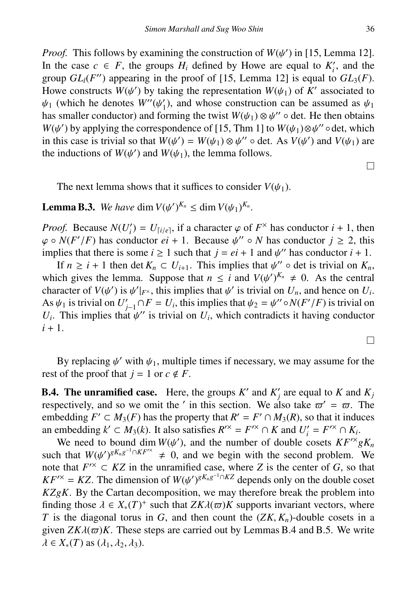*Proof.* This follows by examining the construction of  $W(\psi')$  in [15, Lemma 12].<br>In the case  $c \in F$ , the groups H, defined by Howe are equal to K', and the In the case  $c \in F$ , the groups  $H_i$  defined by Howe are equal to  $K'_i$ , and the group  $GL_l(F'')$  appearing in the proof of [15, Lemma 12] is equal to  $GL_3(F)$ . Howe constructs  $W(\psi')$  by taking the representation  $W(\psi_1)$  of  $K'$  associated to  $\psi_1$  (which he denotes  $W''(\psi')$  and whose construction can be assumed as  $\psi_1$  $\psi_1$  (which he denotes  $W''(\psi_1)$ , and whose construction can be assumed as  $\psi_1$ <br>has smaller conductor) and forming the twist  $W(\psi_1) \otimes \psi_1''$  o det. He then obtains has smaller conductor) and forming the twist  $W(\psi_1) \otimes \psi''$  o det. He then obtains  $W(\psi')$  by applying the correspondence of [15] Thm 11 to  $W(\psi_1) \otimes \psi''$  odet, which  $W(\psi')$  by applying the correspondence of [15, Thm 1] to  $W(\psi_1) \otimes \psi''$  odet, which in this case is trivial so that  $W(\psi') = W(\psi_1) \otimes \psi''$  odet. As  $V(\psi')$  and  $V(\psi_1)$  are in this case is trivial so that  $W(\psi') = W(\psi_1) \otimes \psi''$  o det. As  $V(\psi')$  and  $V(\psi_1)$  are the inductions of  $W(\psi')$  and  $W(\psi_1)$  the lemma follows the inductions of  $W(\psi')$  and  $W(\psi_1)$ , the lemma follows.

The next lemma shows that it suffices to consider  $V(\psi_1)$ .

**Lemma B.3.** We have dim  $V(\psi')^{K_n} \leq \dim V(\psi_1)^{K_n}$ .

*Proof.* Because  $N(U'_i) = U_{[i/e]}$ , if a character  $\varphi$  of  $F^{\times}$  has conductor  $i + 1$ , then  $\varphi \circ N(F'/F)$  has conductor  $e^{i} + 1$ . Because  $y'' \circ N$  has conductor  $i > 2$ , this  $\varphi \circ N(F'/F)$  has conductor  $ei + 1$ . Because  $\psi'' \circ N$  has conductor  $j \ge 2$ , this implies that there is some  $i > 1$  such that  $i = ei + 1$  and  $u''$  has conductor  $i + 1$ implies that there is some  $i \ge 1$  such that  $j = ei + 1$  and  $\psi''$  has conductor  $i + 1$ .<br>If  $n \ge i + 1$  then det  $K \subset U$ . This implies that  $\psi''$  o det is trivial on K

If  $n \geq i + 1$  then det  $K_n \subset U_{i+1}$ . This implies that  $\psi'' \circ \det$  is trivial on  $K_n$ , ch gives the lemma. Suppose that  $n \leq i$  and  $V(\psi')^{K_n} \neq 0$ . As the central which gives the lemma. Suppose that  $n \le i$  and  $V(\psi')^{K_n} \ne 0$ . As the central character of  $V(\psi')$  is  $\psi'|_{\infty}$ , this implies that  $\psi'$  is trivial on  $U$ , and hence on  $U$ . character of  $V(\psi')$  is  $\psi'|_{F^{\times}}$ , this implies that  $\psi'$  is trivial on  $U_n$ , and hence on  $U_i$ .<br>As  $\psi_{0}$  is trivial on  $U' \cap F = U_i$ , this implies that  $\psi_{0} = \psi'' \cap N(F'/F)$  is trivial on As  $\psi_1$  is trivial on  $U'_{j-1} \cap F = U_i$ , this implies that  $\psi_2 = \psi'' \circ N(F'/F)$  is trivial on *U*. This implies that  $\psi''$  is trivial on *U*, which contradicts it having conductor  $U_i$ . This implies that  $\psi''$  is trivial on  $U_i$ , which contradicts it having conductor  $i+1$  $i + 1$ .

By replacing  $\psi'$  with  $\psi_1$ , multiple times if necessary, we may assume for the of the proof that  $i = 1$  or  $c \notin F$ rest of the proof that  $j = 1$  or  $c \notin F$ .

**B.4. The unramified case.** Here, the groups  $K'$  and  $K'_j$  are equal to  $K$  and  $K_j$ respectively, and so we omit the ' in this section. We also take  $\varpi' = \varpi$ . The embedding  $F' \subset M_2(F)$  has the property that  $R' = F' \cap M_2(F)$  so that it induces embedding  $F' \subset M_3(F)$  has the property that  $R' = F' \cap M_3(R)$ , so that it induces an embedding  $k' \subset M_3(k)$ . It also satisfies  $R^{\prime\prime} = F^{\prime\prime} \cap K$  and  $U_i' = F^{\prime\prime} \cap K_i$ .

We need to bound dim  $W(\psi')$ , and the number of double cosets  $KF^{\gamma}gK_n$ <br>h that  $W(\psi')gK_ng^{-1}\cap KF^{\gamma} \neq 0$  and we begin with the second problem. We such that  $W(\psi')^{gK_n g^{-1} \cap K F^{/\times}} \neq 0$ , and we begin with the second problem. We note that  $F^{/\times} \subset KZ$  in the unramified case, where Z is the center of G, so that note that  $F^{\prime\prime} \subset KZ$  in the unramified case, where *Z* is the center of *G*, so that  $KF^{\prime\prime} = KZ$ . The dimension of  $W(\psi')^{gK_ng^{-1}\cap KZ}$  depends only on the double coset  $KZgK$ . By the Cartan decomposition, we may therefore break the problem into *KZgK*. By the Cartan decomposition, we may therefore break the problem into finding those  $\lambda \in X_*(T)^+$  such that  $ZK\lambda(\varpi)K$  supports invariant vectors, where *T* is the diagonal torus in *G* and then count the  $(ZK, K)$ -double cosets in a *<sup>T</sup>* is the diagonal torus in *<sup>G</sup>*, and then count the (*ZK*, *<sup>K</sup>n*)-double cosets in a given  $ZK\lambda(\varpi)K$ . These steps are carried out by Lemmas B.4 and B.5. We write  $\lambda \in X_*(T)$  as  $(\lambda_1, \lambda_2, \lambda_3)$ .

 $\Box$ 

П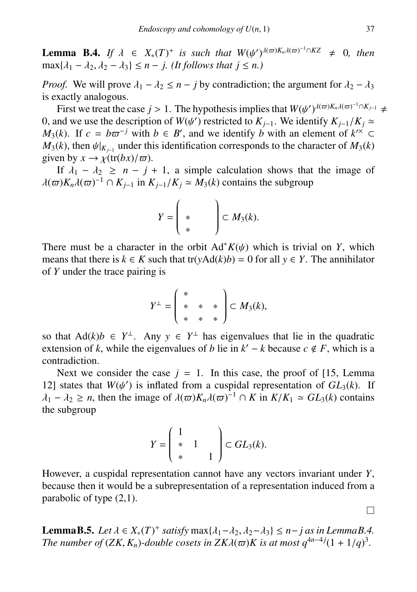**Lemma B.4.** *If*  $\lambda \in X_*(T)^+$  *is such that*  $W(\psi')^{\lambda(\varpi)K_n\lambda(\varpi)^{-1}\cap KZ} \neq 0$ , then  $\max\{\lambda_1 - \lambda_2, \lambda_2 - \lambda_3\} \leq n - i$  *(It follows that*  $i \leq n$ )  $\max\{\lambda_1 - \lambda_2, \lambda_2 - \lambda_3\} \leq n - j$ . (It follows that  $j \leq n$ .)

*Proof.* We will prove  $\lambda_1 - \lambda_2 \le n - j$  by contradiction; the argument for  $\lambda_2 - \lambda_3$ is exactly analogous.

First we treat the case *j* > 1. The hypothesis implies that  $W(\psi')^{\lambda(\varpi)K_n\lambda(\varpi)^{-1}\cap K_{j-1}} \neq$  nd we use the description of  $W(\psi')$  restricted to  $K_{j+1}$ . We identify  $K_{j+1}/K_j \simeq$ 0, and we use the description of  $W(\psi')$  restricted to  $K_{j-1}$ . We identify  $K_{j-1}/K_j \simeq M_2(k)$ . If  $c = h\pi^{-j}$  with  $h \in R'$  and we identify *h* with an element of  $k^{\prime\prime} \subset$ 0, and we use the description of  $W(\psi')$  restricted to  $K_{i-1}$ . We identify  $K_{i-1}/K_i \simeq$ *M*<sub>3</sub>(*k*). If  $c = b\varpi^{-j}$  with  $b \in B'$ , and we identify *b* with an element of  $k^{\prime\prime} \subset M_2(k)$  then  $y|_{k\prime}$  under this identification corresponds to the character of  $M_2(k)$  $M_3(k)$ , then  $\psi|_{K_{j-1}}$  under this identification corresponds to the character of  $M_3(k)$  given by  $x \to \sqrt{\text{tr}(hx)/\pi}$ given by  $x \to \chi(\text{tr}(bx)/\varpi)$ .

If  $\lambda_1 - \lambda_2 \geq n - j + 1$ , a simple calculation shows that the image of  $\lambda(\varpi)K_n\lambda(\varpi)^{-1} \cap K_{j-1}$  in  $K_{j-1}/K_j \simeq M_3(k)$  contains the subgroup

$$
Y=\left(\begin{array}{cc} \ast & \ast \\ \ast & \ast \end{array}\right)\subset M_3(k).
$$

There must be a character in the orbit  $Ad*K(\psi)$  which is trivial on *Y*, which means that there is  $k \in K$  such that tr( $yAd(k)b$ ) = 0 for all  $y \in Y$ . The annihilator of *Y* under the trace pairing is

$$
Y^{\perp} = \left(\begin{array}{ccc} * & & \\ * & * & * \\ * & * & * \end{array}\right) \subset M_3(k),
$$

so that  $\text{Ad}(k)b \in Y^{\perp}$ . Any  $y \in Y^{\perp}$  has eigenvalues that lie in the quadratic extension of *k*, while the eigenvalues of *b* lie in  $k' - k$  because  $c \notin F$ , which is a contradiction.

Next we consider the case  $j = 1$ . In this case, the proof of [15, Lemma 12] states that  $W(\psi')$  is inflated from a cuspidal representation of  $GL_3(k)$ . If  $\lambda_1 = \lambda_2 > n$  then the image of  $\lambda(\pi)K \lambda(\pi)^{-1} \cap K$  in  $K/K_1 \approx GL_3(k)$  contains  $\lambda_1 - \lambda_2 \ge n$ , then the image of  $\lambda(\varpi)K_n\lambda(\varpi)^{-1} \cap K$  in  $K/K_1 \simeq GL_3(k)$  contains the subgroup the subgroup

$$
Y = \left(\begin{array}{cc} 1 & & \\ * & 1 & \\ * & & 1 \end{array}\right) \subset GL_3(k).
$$

However, a cuspidal representation cannot have any vectors invariant under *Y*, because then it would be a subrepresentation of a representation induced from a parabolic of type (2,1).

**LemmaB.5.** *Let*  $\lambda \in X_*(T)^+$  *satisfy*  $\max{\lambda_1 - \lambda_2, \lambda_2 - \lambda_3} \le n - j$  *as in LemmaB.4.*<br>*The number of (ZK, K, and a cosets in ZK*  $\lambda(\pi)$ *)K is at most*  $a^{4n-4}i(1 + 1/a)^3$ *. The number of*  $(ZK, K_n)$ -double cosets in  $ZK\lambda(\varpi)K$  is at most  $q^{4n-4}i(1 + 1/q)^3$ .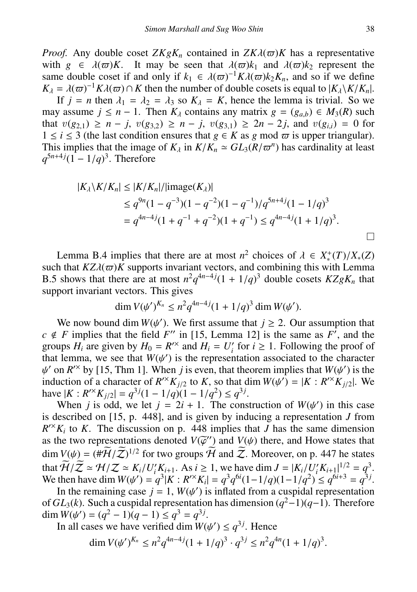*Proof.* Any double coset  $ZKgK_n$  contained in  $ZK\lambda(\omega)K$  has a representative with  $g \in \lambda(\omega)K$ . It may be seen that  $\lambda(\omega)k_1$  and  $\lambda(\omega)k_2$  represent the with  $g \in \lambda(\varpi)K$ . It may be seen that  $\lambda(\varpi)k_1$  and  $\lambda(\varpi)k_2$  represent the same double coset if and only if  $k_1 \in \lambda(\varpi)^{-1}K\lambda(\varpi)k_2K_1$  and so if we define same double coset if and only if  $k_1 \in \lambda(\varpi)^{-1} K\lambda(\varpi)k_2K_n$ , and so if we define  $K_1 = \lambda(\varpi)^{-1} K\lambda(\varpi) \cap K$  then the number of double cosets is equal to  $|K_1 \setminus K/K_n|$  $K_{\lambda} = \lambda(\varpi)^{-1} K \lambda(\varpi) \cap K$  then the number of double cosets is equal to  $|K_{\lambda} \setminus K/K_{n}|$ .<br>If  $i = n$  then  $\lambda_{1} = \lambda_{2} = \lambda_{2}$  so  $K_{\lambda} = K$ , hence the lemma is trivial. So we

If  $j = n$  then  $\lambda_1 = \lambda_2 = \lambda_3$  so  $K_\lambda = K$ , hence the lemma is trivial. So we assume  $j \leq n-1$  Then  $K_\lambda$  contains any matrix  $g = (g_{\lambda\lambda}) \in M_2(R)$  such may assume *j* ≤ *n* − 1. Then  $K_\lambda$  contains any matrix  $g = (g_{a,b}) \in M_3(R)$  such that  $y(g_{\lambda}) > n - i$ ,  $y(g_{\lambda}) > n - i$ ,  $y(g_{\lambda}) > 2n - 2i$ , and  $y(g_{\lambda}) = 0$  for that  $v(g_{2,1}) \ge n - j$ ,  $v(g_{3,2}) \ge n - j$ ,  $v(g_{3,1}) \ge 2n - 2j$ , and  $v(g_{ij}) = 0$  for 1 ≤ *i* ≤ 3 (the last condition ensures that *g* ∈ *K* as *g* mod  $\varpi$  is upper triangular). This implies that the image of  $K_\lambda$  in  $K/K_n \simeq GL_3(R/\varpi^n)$  has cardinality at least  $a^{5n+4}i(1-1/a)^3$ . Therefore  $q^{5n+4j}(1-1/q)^3$ . Therefore

$$
|K_{\lambda} \setminus K/K_n| \le |K/K_n|/|{\rm image}(K_{\lambda})|
$$
  
\n
$$
\le q^{9n}(1-q^{-3})(1-q^{-2})(1-q^{-1})/q^{5n+4}i(1-1/q)^3
$$
  
\n
$$
= q^{4n-4}i(1+q^{-1}+q^{-2})(1+q^{-1}) \le q^{4n-4}i(1+1/q)^3.
$$

Lemma B.4 implies that there are at most  $n^2$  choices of  $\lambda \in X^*$ ,<br>h that  $KZ\lambda(\pi)K$  supports invariant vectors, and combining this wi such that  $KZ\lambda(\varpi)K$  supports invariant vectors, and combining this with Lemma such that  $KZ\lambda(\varpi)K$  supports invariant vectors, and combining this with Lemma<br>B.5 shows that there are at most  $n^2q^{4n-4}j(1 + 1/q)^3$  double cosets  $KZgK_n$  that<br>support invariant vectors. This gives support invariant vectors. This gives

$$
\dim V(\psi')^{K_n} \le n^2 q^{4n-4j} (1 + 1/q)^3 \dim W(\psi').
$$

We now bound dim  $W(\psi')$ . We first assume that  $j \ge 2$ . Our assumption that *F* implies that the field *F''* in [15] Lemma 121 is the same as *F'* and the  $c \notin F$  implies that the field *F*<sup> $\prime\prime$ </sup> in [15, Lemma 12] is the same as *F*<sup> $\prime$ </sup>, and the groups  $H_i$  are given by  $H_0 = R^{\prime\prime}$  and  $H_i = U'_i$  for  $i \ge 1$ . Following the proof of that lemma, we see that  $W(\psi')$  is the representation associated to the character  $\psi'$  on  $R^{\prime\prime}$  by [15 Thm 1]. When *i* is even that theorem implies that  $W(\psi')$  is the induction of a character of  $R^{/x}K_{j/2}$  to *K*, so that dim  $W(\psi') = |K : R^{/x}K_{j/2}|$ . We have  $|K : R^{/x}K_{i/2}| = a^{3j}(1 - 1/a)(1 - 1/a^2) \le a^{3j}$ on  $R^x$  by [15, Thm 1]. When *j* is even, that theorem implies that  $W(\psi')$  is the duction of a character of  $R^xK_{\psi}$  to K so that dim  $W(\psi') = |K \cdot R^xK_{\psi}|\psi$ . have  $|K: R^{x}K_{j/2}| = q^{3j}(1 - 1/q)(1 - 1/q^2) \leq q^{3j}$ .<br>When *i* is odd, we let  $i = 2i + 1$ . The cons

When *j* is odd, we let  $j = 2i + 1$ . The construction of  $W(\psi')$  in this case<br>escribed on [15, n. 448], and is given by inducing a representation *I* from is described on [15, p. 448], and is given by inducing a representation *J* from  $R^{\prime\prime}(K_i)$  to *K*. The discussion on p. 448 implies that *J* has the same dimension as the two representations denoted  $V(\bar{\varphi}^{\prime\prime})$  and  $V(\psi)$  there, and Howe states that  $\dim V(\psi) = (\#\widetilde{U} / \widetilde{\gamma})^{1/2}$  for two groups  $\widetilde{U}$  and  $\widetilde{\gamma}$ . Moreover, on p. 447 be states dim  $V(\psi) = (\#H/\mathbb{Z})^{1/2}$  for two groups H and Z. Moreover, on p. 447 he states<br>that  $\widetilde{\mathcal{H}}/\widetilde{\mathcal{I}} \approx \mathcal{H}/\mathcal{I} \approx K/\mathcal{I}/K$ . As  $\widetilde{\mathcal{I}} > 1$ , we have dim  $I = |K/\mathcal{I}/K|^{1/2} = |A|^2 = \sigma^3$ . that  $\overline{H}/\overline{Z} \simeq H/\overline{Z} \simeq K_i/U_i' K_{i+1}$ . As  $i \ge 1$ , we have dim  $J = |K_i/U_i' K_{i+1}|^{1/2} = q^3$ .<br>We then have dim  $W(u') = q^3|K \cdot R'^* K| = q^3 q^{6i}(1 - 1/q)(1 - 1/q^2) < q^{6i+3} = q^{3j}$ . We then have dim  $W(\psi') = q^3 |K : R^{\prime\prime} K_i| = q^3 q^{6i} (1 - 1/q)(1 - 1/q^2) \le q^{6i+3} = q^{3j}$ .<br>In the remaining case  $j = 1$ ,  $W(\psi')$  is inflated from a cuspidal representation

In the remaining case *j* = 1, *W*( $\psi'$ ) is inflated from a cuspidal representation of *GL*<sub>3</sub>(*k*). Such a cuspidal representation has dimension ( $q^2-1$ )( $q-1$ ). Therefore 0 ) is inflated from a cuspidal representation  $\dim W(\psi') = (q^2 - 1)(q - 1) \le q^3 = q^{3j}.$ <br>In all cases we have verified dim W(i)

In all cases we have verified dim  $W(\psi') \le q^{3j}$ . Hence

$$
\dim V(\psi')^{K_n} \leq n^2 q^{4n-4j} (1+1/q)^3 \cdot q^{3j} \leq n^2 q^{4n} (1+1/q)^3.
$$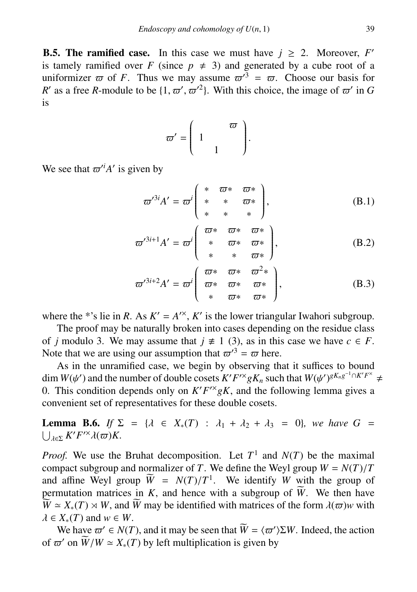**B.5. The ramified case.** In this case we must have  $j \ge 2$ . Moreover,  $F'$ is tamely ramified over *F* (since  $p \neq 3$ ) and generated by a cube root of a uniformizer  $\varpi$  of *F*. Thus we may assume  $\varpi^3 = \varpi$ . Choose our basis for *R*<sup>'</sup> as a free *R*-module to be  $\{1, \varpi', \varpi'^2\}$ . With this choice, the image of  $\varpi'$  in *G* is is

$$
\varpi' = \left(\begin{array}{cc} & \varpi \\ 1 & \\ & 1 \end{array}\right).
$$

We see that  $\varpi^i A'$  is given by

$$
\varpi^{\prime 3i} A' = \varpi^i \begin{pmatrix} * & \varpi * & \varpi * \\ * & * & \varpi * \\ * & * & * \end{pmatrix},\tag{B.1}
$$

$$
\varpi^{\prime 3i+1}A' = \varpi^i \left( \begin{array}{ccc} \varpi^* & \varpi^* & \varpi^* \\ * & \varpi^* & \varpi^* \\ * & * & \varpi^* \end{array} \right),\tag{B.2}
$$

$$
\varpi'^{3i+2}A' = \varpi^i \left( \begin{array}{ccc} \varpi^* & \varpi^* & \varpi^2* \\ \varpi^* & \varpi^* & \varpi^* \\ * & \varpi^* & \varpi^* \end{array} \right),\tag{B.3}
$$

where the \*'s lie in *R*. As  $K' = A^{\prime\prime}$ ,  $K'$  is the lower triangular Iwahori subgroup.

The proof may be naturally broken into cases depending on the residue class of *j* modulo 3. We may assume that  $j \neq 1$  (3), as in this case we have  $c \in F$ . Note that we are using our assumption that  $\varpi'^3 = \varpi$  here.

As in the unramified case, we begin by observing that it suffices to bound dim *W*( $\psi'$ ) and the number of double cosets *K'F<sup>'×</sup>gK<sub>n</sub>*</sub> such that *W*( $\psi'$ )<sup>*gK<sub>n</sub>g*<sup>-1</sup>∩*K'F<sup>×</sup></sup> ≠*<br>0. This condition depends only on *K'F'<sup>×</sup>gK<sub>n</sub>*</sub> and the following lemma gives a</sup> 0. This condition depends only on  $K'F^{\prime\prime}gK$ , and the following lemma gives a convenient set of representatives for these double cosets.

**Lemma B.6.** *If*  $\Sigma = {\lambda \in X_*(T) : \lambda_1 + \lambda_2 + \lambda_3 = 0}$ *, we have*  $G =$  $\lambda \in \Sigma$   $K'F'^\times \lambda(\varpi)K$ .

*Proof.* We use the Bruhat decomposition. Let  $T^1$  and  $N(T)$  be the maximal compact subgroup and normalizer of *T*. We define the Weyl group  $W = N(T)/T$ <br>and affine Weyl group  $\widetilde{W} = N(T)/T^1$  We identify *W* with the group of and affine Weyl group  $\overline{W} = N(T)/T^1$ . We identify *W* with the group of permutation matrices in *K* and hence with a subgroup of  $\widetilde{W}$ . We then have permutation matrices in  $K$ , and hence with a subgroup of  $\widetilde{W}$ . We then have  $\widetilde{W} \simeq X_*(T) \rtimes W$ , and  $\widetilde{W}$  may be identified with matrices of the form  $\lambda(\varpi)$ *w* with  $\lambda \in X_*(T)$  and  $w \in W$ .

We have  $\varpi \in N(T)$ , and it may be seen that  $\widetilde{W} = \langle \varpi' \rangle \Sigma W$ . Indeed, the action  $\pi'$  on  $\widetilde{W}/W \approx X(T)$  by left multiplication is given by of  $\overline{\omega}'$  on  $\widetilde{W}/W \simeq X_*(T)$  by left multiplication is given by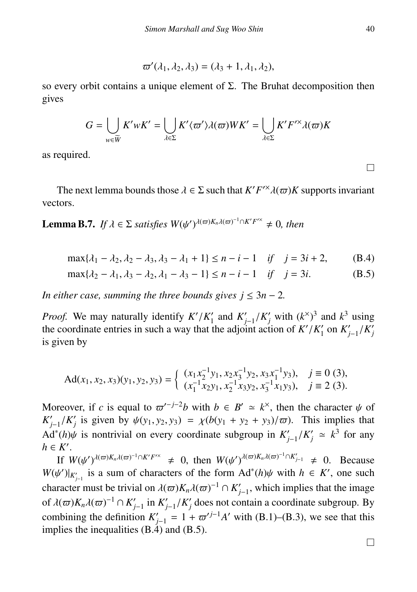$$
\varpi'(\lambda_1,\lambda_2,\lambda_3)=(\lambda_3+1,\lambda_1,\lambda_2),
$$

so every orbit contains a unique element of Σ. The Bruhat decomposition then gives

$$
G = \bigcup_{w \in \widetilde{W}} K'wK' = \bigcup_{\lambda \in \Sigma} K' \langle \varpi' \rangle \lambda(\varpi)WK' = \bigcup_{\lambda \in \Sigma} K'F'^{\times}\lambda(\varpi)K
$$

as required.

The next lemma bounds those  $\lambda \in \Sigma$  such that  $K'F'^{\times}\lambda(\varpi)K$  supports invariant tors vectors.

**Lemma B.7.** *If*  $\lambda \in \Sigma$  *satisfies*  $W(\psi')^{\lambda(\varpi)K_n\lambda(\varpi)^{-1}\cap K'F'^{\times}} \neq 0$ *, then* 

$$
\max\{\lambda_1 - \lambda_2, \lambda_2 - \lambda_3, \lambda_3 - \lambda_1 + 1\} \le n - i - 1 \quad \text{if} \quad j = 3i + 2,\tag{B.4}
$$

$$
\max\{\lambda_2 - \lambda_1, \lambda_3 - \lambda_2, \lambda_1 - \lambda_3 - 1\} \le n - i - 1 \quad \text{if} \quad j = 3i. \tag{B.5}
$$

*In either case, summing the three bounds gives*  $j \leq 3n - 2$ *.* 

*Proof.* We may naturally identify  $K'/K'_{1}$  and  $K'_{j-1}/K'_{j}$  with  $(k^{\times})^{3}$  and  $k^{3}$  using the coordinate entries in such a way that the adjoint action of  $K'/K'$  on  $K'$  / $K'$ the coordinate entries in such a way that the adjoint action of  $K'/K'_1$  on  $K'_{j-1}/K'_j$ <br>is given by is given by

$$
\mathrm{Ad}(x_1, x_2, x_3)(y_1, y_2, y_3) = \begin{cases} (x_1 x_2^{-1} y_1, x_2 x_3^{-1} y_2, x_3 x_1^{-1} y_3), & j \equiv 0 \ (3), \\ (x_1^{-1} x_2 y_1, x_2^{-1} x_3 y_2, x_3^{-1} x_1 y_3), & j \equiv 2 \ (3). \end{cases}
$$

Moreover, if *c* is equal to  $\varpi^{(-j-2)}$ *b* with  $b \in B' \simeq k^{\times}$ , then the character  $\psi$  of  $K' \times K'$  is given by  $\psi(x, y_2, y_2) = \psi(b(x, +y_2 + y_2)/\pi)$ . This implies that  $K'_{j-1}/K'_{j}$  is given by  $\psi(y_1, y_2, y_3) = \chi(b(y_1 + y_2 + y_3)/\varpi)$ . This implies that Ad<sup>\*</sup>(*h*) $\psi$  is nontrivial on every coordinate subgroup in  $K'_{j-1}/K'_j \simeq k^3$  for any  $h \in K'$  $h \in K'$ .

If  $W(\psi')^{\lambda(\varpi)K_n\lambda(\varpi)^{-1}\cap K'F'^{\times}} \neq 0$ , then  $W(\psi')^{\lambda(\varpi)K_n\lambda(\varpi)^{-1}\cap K'_{j-1}} \neq 0$ . Because  $\psi'$ <sup>1</sup><sub>j</sub><sup>1</sup> is a sum of characters of the form  $Ad^*(h)\psi$  with  $h \in K'$  one such  $W(\psi')|_{K'_{j-1}}$  is a sum of characters of the form  $Ad^*(h)\psi$  with  $h \in K'$ , one such the property were the trivial on  $l(\neg K/\neg z^{-1} \cap K')$  with invaling that the invasion character must be trivial on  $\lambda(\varpi)K_n\lambda(\varpi)^{-1} \cap K'_{j-1}$ , which implies that the image of  $\lambda(\varpi)K_n\lambda(\varpi)^{-1} \cap K'_{j-1}$  in  $K'_{j-1}/K'_{j}$  does not contain a coordinate subgroup. By combining the definition  $K'_{j-1} = 1 + \varpi^{j-1}A'$  with (B.1)–(B.3), we see that this implies the inequalities (B.4) and (B.5) implies the inequalities  $(B.\dot{4})$  and  $(B.5)$ .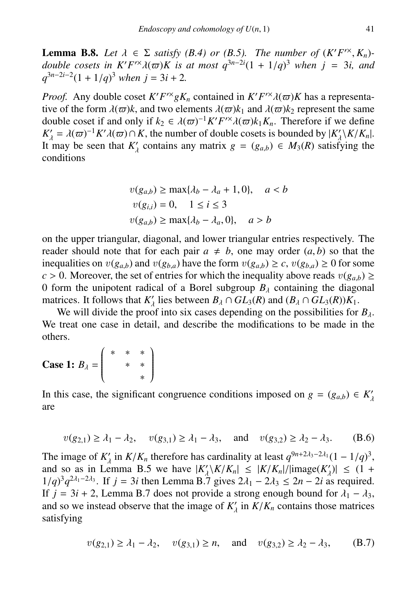**Lemma B.8.** Let  $\lambda \in \Sigma$  satisfy (B.4) or (B.5). The number of  $(K'F^{\prime\ast}, K_n)$ -<br>double cosets in  $K'F'^{\times}\lambda(\varpi)K$  is at most  $q^{3n-2i}(1 + 1/q)^3$  when  $j = 3i$ , and  $q^{3n-2i-2}(1 + 1/q)^3$  when  $i = 3i + 2$  $\overline{F}^{\prime\prime}$  $q^{3n-2i-2}(1+1/q)^3$  *when*  $j = 3i + 2$ *.* 

*Proof.* Any double coset  $K'F'^{\times}gK_n$  contained in  $K'F'^{\times}(\omega)K$  has a representative of the form  $\lambda(\omega)k$  and two elements  $\lambda(\omega)k$ , and  $\lambda(\omega)k_0$  represent the same tive of the form  $\lambda(\varpi)k$ , and two elements  $\lambda(\varpi)k_1$  and  $\lambda(\varpi)k_2$  represent the same<br>double coset if and only if  $k_2 \in \lambda(\varpi)^{-1} K' F'^{\times} \lambda(\varpi) k_1 K$ . Therefore if we define double coset if and only if  $k_2 \in \lambda(\varpi)^{-1} K' F'^{\times} \lambda(\varpi) k_1 K_n$ . Therefore if we define  $K' = \lambda(\varpi)^{-1} K' \lambda(\varpi) \cap K$  the number of double cosets is bounded by  $|K' \setminus K/K|$ .  $K'_{\lambda} = \lambda(\varpi)^{-1} K' \lambda(\varpi) \cap K$ , the number of double cosets is bounded by  $|K'_{\lambda} \setminus K/K_n|$ .<br>It may be seen that K' contains any matrix  $g = (g_{\lambda}) \in M_2(R)$  satisfying the It may be seen that  $K'_{\lambda}$  contains any matrix  $g = (g_{a,b}) \in M_3(R)$  satisfying the conditions conditions

$$
v(g_{a,b}) \ge \max\{\lambda_b - \lambda_a + 1, 0\}, \quad a < b
$$
\n
$$
v(g_{i,i}) = 0, \quad 1 \le i \le 3
$$
\n
$$
v(g_{a,b}) \ge \max\{\lambda_b - \lambda_a, 0\}, \quad a > b
$$

on the upper triangular, diagonal, and lower triangular entries respectively. The reader should note that for each pair  $a \neq b$ , one may order  $(a, b)$  so that the inequalities on  $v(g_{a,b})$  and  $v(g_{b,a})$  have the form  $v(g_{a,b}) \ge c$ ,  $v(g_{b,a}) \ge 0$  for some *c* > 0. Moreover, the set of entries for which the inequality above reads  $v(g_{a,b})$  ≥ 0 form the unipotent radical of a Borel subgroup  $B_\lambda$  containing the diagonal matrices. It follows that  $K'_{\lambda}$  lies between  $B_{\lambda} \cap GL_3(R)$  and  $(B_{\lambda} \cap GL_3(R))K_1$ .<br>We will divide the proof into six cases depending on the possibilities for

We will divide the proof into six cases depending on the possibilities for  $B_\lambda$ . We treat one case in detail, and describe the modifications to be made in the others.

Case 1: 
$$
B_{\lambda} = \begin{pmatrix} * & * & * \\ & * & * \\ & & * \end{pmatrix}
$$

In this case, the significant congruence conditions imposed on  $g = (g_{a,b}) \in K'_a$ are

$$
v(g_{2,1}) \ge \lambda_1 - \lambda_2
$$
,  $v(g_{3,1}) \ge \lambda_1 - \lambda_3$ , and  $v(g_{3,2}) \ge \lambda_2 - \lambda_3$ . (B.6)

The image of  $K'_{\lambda}$  in  $K/K_n$  therefore has cardinality at least  $q^{9n+2\lambda_3-2\lambda_1}(1-1/q)^3$ , and so as in Lemma B.5 we have  $K' \setminus K/K \setminus (-K/K)$  limage $(K') \setminus (-1, 1)$ and so as in Lemma B.5 we have  $|K'_{\lambda} \setminus K/k'_{n}| \leq |K/K_{n}|/|\text{image}(K'_{\lambda})| \leq (1 + 1/a)^{3}a^{2\lambda_{1}-2\lambda_{3}}$ . If  $i = 3i$  then Lemma B.7 gives  $2\lambda_{1} - 2\lambda_{2} \leq 2n - 2i$  as required  $1/q$ <sup>3</sup> $q^{2\lambda_1-2\lambda_3}$ . If *j* = 3*i* then Lemma B.7 gives  $2\lambda_1 - 2\lambda_3 \le 2n - 2i$  as required.<br>If *i* = 3*i* + 2 I emma B.7 does not provide a strong enough bound for  $\lambda_1 - \lambda_2$ If  $j = 3i + 2$ , Lemma B.7 does not provide a strong enough bound for  $\lambda_1 - \lambda_3$ , and so we instead observe that the image of  $K'_{\lambda}$  in  $K/K_n$  contains those matrices satisfying

$$
v(g_{2,1}) \ge \lambda_1 - \lambda_2
$$
,  $v(g_{3,1}) \ge n$ , and  $v(g_{3,2}) \ge \lambda_2 - \lambda_3$ , (B.7)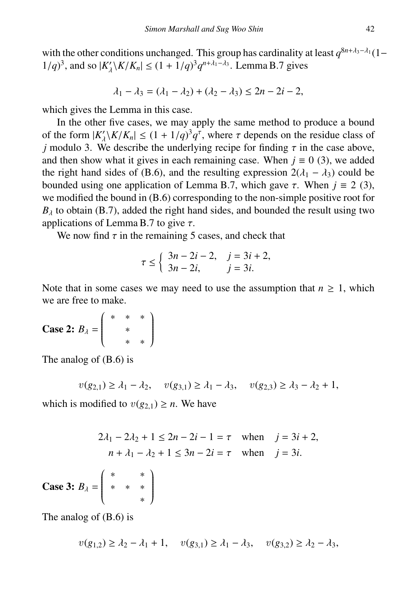with the other conditions unchanged. This group has cardinality at least  $q^{8n+\lambda_3-\lambda_1}(1-q)$  $1/q$ <sup>3</sup>, and so  $|K'_{\lambda} \setminus K/K_n| \le (1 + 1/q)^3 q^{n + \lambda_1 - \lambda_3}$ . Lemma B.7 gives

$$
\lambda_1 - \lambda_3 = (\lambda_1 - \lambda_2) + (\lambda_2 - \lambda_3) \le 2n - 2i - 2,
$$

which gives the Lemma in this case.

In the other five cases, we may apply the same method to produce a bound of the form  $|K'_{\lambda}|K/K_{n}| \leq (1 + 1/q)^{3}q^{\tau}$ , where  $\tau$  depends on the residue class of *i* modulo 3. We describe the underlying recipe for finding  $\tau$  in the case above *j* modulo 3. We describe the underlying recipe for finding  $\tau$  in the case above, and then show what it gives in each remaining case. When  $i = 0$  (3) we added and then show what it gives in each remaining case. When  $j \equiv 0$  (3), we added the right hand sides of (B.6), and the resulting expression  $2(\lambda_1 - \lambda_3)$  could be bounded using one application of Lemma B.7, which gave  $\tau$ . When  $j \equiv 2$  (3), we modified the bound in (B.6) corresponding to the non-simple positive root for  $B_{\lambda}$  to obtain (B.7), added the right hand sides, and bounded the result using two applications of Lemma B.7 to give  $\tau$ .

We now find  $\tau$  in the remaining 5 cases, and check that

$$
\tau \le \begin{cases} 3n - 2i - 2, & j = 3i + 2, \\ 3n - 2i, & j = 3i. \end{cases}
$$

Note that in some cases we may need to use the assumption that  $n \geq 1$ , which we are free to make.

Case 2:  $B_\lambda =$  ∗ ∗ ∗  $\overline{\phantom{a}}$ ∗ ∗ ∗  $\lambda$  $\begin{array}{c} \hline \end{array}$ 

The analog of (B.6) is

$$
v(g_{2,1}) \ge \lambda_1 - \lambda_2
$$
,  $v(g_{3,1}) \ge \lambda_1 - \lambda_3$ ,  $v(g_{2,3}) \ge \lambda_3 - \lambda_2 + 1$ ,

which is modified to  $v(g_{2,1}) \geq n$ . We have

$$
2\lambda_1 - 2\lambda_2 + 1 \le 2n - 2i - 1 = \tau \quad \text{when} \quad j = 3i + 2,
$$
  

$$
n + \lambda_1 - \lambda_2 + 1 \le 3n - 2i = \tau \quad \text{when} \quad j = 3i.
$$

Case 3:  $B_\lambda$  = ∗ ∗  $\overline{\phantom{a}}$ ∗ ∗ ∗ ∗  $\lambda$  $\begin{array}{c} \hline \end{array}$ 

The analog of (B.6) is

$$
v(g_{1,2}) \ge \lambda_2 - \lambda_1 + 1
$$
,  $v(g_{3,1}) \ge \lambda_1 - \lambda_3$ ,  $v(g_{3,2}) \ge \lambda_2 - \lambda_3$ ,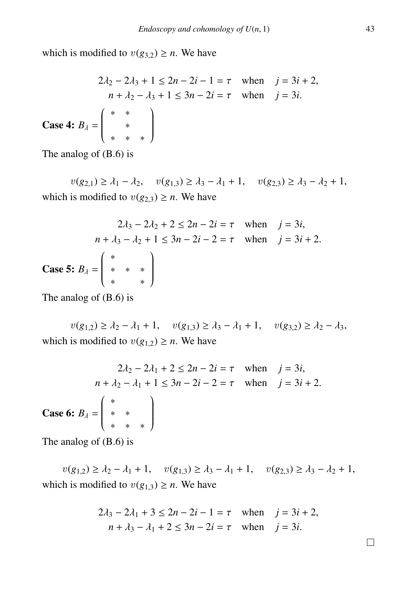which is modified to  $v(g_{3,2}) \ge n$ . We have

$$
2\lambda_2 - 2\lambda_3 + 1 \le 2n - 2i - 1 = \tau \quad \text{when} \quad j = 3i + 2,
$$
  
\n
$$
n + \lambda_2 - \lambda_3 + 1 \le 3n - 2i = \tau \quad \text{when} \quad j = 3i.
$$
  
\n**Case 4:**  $B_{\lambda} = \begin{pmatrix} * & * & * \\ * & * & * \\ * & * & * \end{pmatrix}$ 

The analog of (B.6) is

 $v(g_{2,1})$  ≥  $\lambda_1 - \lambda_2$ ,  $v(g_{1,3})$  ≥  $\lambda_3 - \lambda_1 + 1$ ,  $v(g_{2,3})$  ≥  $\lambda_3 - \lambda_2 + 1$ , which is modified to  $v(g_{2,3}) \ge n$ . We have

$$
2\lambda_3 - 2\lambda_2 + 2 \le 2n - 2i = \tau \quad \text{when} \quad j = 3i,
$$
  
\n
$$
n + \lambda_3 - \lambda_2 + 1 \le 3n - 2i - 2 = \tau \quad \text{when} \quad j = 3i + 2.
$$
  
\n**Case 5:**  $B_{\lambda} = \begin{pmatrix} * & & * \\ * & * & * \\ * & & * \end{pmatrix}$ 

The analog of (B.6) is

 $v(g_{1,2})$  ≥  $\lambda_2 - \lambda_1 + 1$ ,  $v(g_{1,3})$  ≥  $\lambda_3 - \lambda_1 + 1$ ,  $v(g_{3,2})$  ≥  $\lambda_2 - \lambda_3$ , which is modified to  $v(g_{1,2}) \ge n$ . We have

$$
2\lambda_2 - 2\lambda_1 + 2 \le 2n - 2i = \tau \quad \text{when} \quad j = 3i,
$$
  
\n
$$
n + \lambda_2 - \lambda_1 + 1 \le 3n - 2i - 2 = \tau \quad \text{when} \quad j = 3i + 2.
$$
  
\n**Case 6:**  $B_{\lambda} = \begin{pmatrix} * & & & \\ * & * & & \\ * & * & * & \end{pmatrix}$ 

The analog of (B.6) is

 $v(g_{1,2})$  ≥  $\lambda_2 - \lambda_1 + 1$ ,  $v(g_{1,3})$  ≥  $\lambda_3 - \lambda_1 + 1$ ,  $v(g_{2,3})$  ≥  $\lambda_3 - \lambda_2 + 1$ , which is modified to  $v(g_{1,3}) \ge n$ . We have

$$
2\lambda_3 - 2\lambda_1 + 3 \le 2n - 2i - 1 = \tau
$$
 when  $j = 3i + 2$ ,  
\n $n + \lambda_3 - \lambda_1 + 2 \le 3n - 2i = \tau$  when  $j = 3i$ .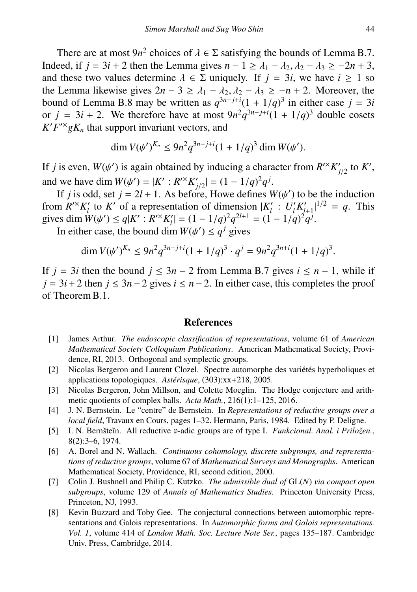There are at most  $9n^2$  choices of  $\lambda \in \Sigma$  satisfying the bounds of Lemma B.7.<br>eed if  $i = 3i + 2$  then the Lemma gives  $n - 1 \ge \lambda_1 - \lambda_2$ ,  $\lambda_2 - \lambda_3 \ge -2n + 3$ . Indeed, if  $j = 3i + 2$  then the Lemma gives  $n - 1 \ge \lambda_1 - \lambda_2, \lambda_2 - \lambda_3 \ge -2n + 3$ , and these two values determine  $\lambda \in \Sigma$  uniquely. If  $j = 3i$ , we have  $i \ge 1$  so the Lemma likewise gives  $2n - 3 \ge \lambda_1 - \lambda_2, \lambda_2 - \lambda_3 \ge -n + 2$ . Moreover, the bound of Lemma B.8 may be written as  $q^{3n-j+i}(1+1/q)^3$  in either case  $j = 3i$ bound of Lemma B.8 may be written as  $q^{3n-j+i}(1 + 1/q)^3$  in either case  $j = 3i$ <br>or  $j = 3i + 2$ . We therefore have at most  $9n^2q^{3n-j+i}(1 + 1/q)^3$  double cosets<br> $K'F^{\times} \circ K$  that support invariant vectors and  $K'F^{\prime\prime}gK_n$  that support invariant vectors, and

$$
\dim V(\psi')^{K_n} \le 9n^2 q^{3n-j+i} (1+1/q)^3 \dim W(\psi').
$$

If *j* is even,  $W(\psi')$  is again obtained by inducing a character from  $R^{\prime\prime}K_{j/2}'$  to  $K'$ ,<br>and we have dim  $W(\psi') = |K' \cdot R^{\prime\prime}K_{j'}'| = (1 - 1/\alpha)^2 \alpha^j$ . *j*/2 and we have dim  $W(\psi') = |K' : R'^{\times} K'_{j/2}| = (1 - 1/q)^2 q^j$ .<br>If *j* is odd, set  $j = 2l + 1$ . As before, Howe defines  $W(\psi')$  to be the induction

If *j* is odd, set  $j = 2l + 1$ . As before, Howe defines  $W(\psi')$  to be the induction<br>from  $R^{\prime\prime}K_l'$  to K' of a representation of dimension  $|K_l' : U_l'K_{l+1}'|^{1/2} = q$ . This gives dim  $W(\psi') \le q|K': R^{\prime\prime}K_{l'}'| = (1 - 1/q)^{2}q^{2l+1} = (1 - 1/q)^{2}q^{j}$ .<br>In either case, the bound dim  $W(\psi') \le q^{j}$  gives

In either case, the bound dim  $W(\psi') \le q^j$  gives

$$
\dim V(\psi')^{K_n} \le 9n^2 q^{3n-j+i} (1+1/q)^3 \cdot q^j = 9n^2 q^{3n+i} (1+1/q)^3.
$$

If *j* = 3*i* then the bound *j* ≤ 3*n* − 2 from Lemma B.7 gives *i* ≤ *n* − 1, while if  $j = 3i + 2$  then  $j \le 3n - 2$  gives  $i \le n - 2$ . In either case, this completes the proof of Theorem B.1.

#### References

- [1] James Arthur. *The endoscopic classification of representations*, volume 61 of *American Mathematical Society Colloquium Publications*. American Mathematical Society, Providence, RI, 2013. Orthogonal and symplectic groups.
- [2] Nicolas Bergeron and Laurent Clozel. Spectre automorphe des variétés hyperboliques et applications topologiques. *Astérisque*, (303):xx+218, 2005.
- [3] Nicolas Bergeron, John Millson, and Colette Moeglin. The Hodge conjecture and arithmetic quotients of complex balls. *Acta Math.*, 216(1):1–125, 2016.
- [4] J. N. Bernstein. Le "centre" de Bernstein. In *Representations of reductive groups over a local field*, Travaux en Cours, pages 1–32. Hermann, Paris, 1984. Edited by P. Deligne.
- [5] I. N. Bernšteĭn. All reductive p-adic groups are of type I. *Funkcional. Anal. i Priložen.*, 8(2):3–6, 1974.
- [6] A. Borel and N. Wallach. *Continuous cohomology, discrete subgroups, and representations of reductive groups*, volume 67 of *Mathematical Surveys and Monographs*. American Mathematical Society, Providence, RI, second edition, 2000.
- [7] Colin J. Bushnell and Philip C. Kutzko. *The admissible dual of* GL(*N*) *via compact open subgroups*, volume 129 of *Annals of Mathematics Studies*. Princeton University Press, Princeton, NJ, 1993.
- [8] Kevin Buzzard and Toby Gee. The conjectural connections between automorphic representations and Galois representations. In *Automorphic forms and Galois representations. Vol. 1*, volume 414 of *London Math. Soc. Lecture Note Ser.*, pages 135–187. Cambridge Univ. Press, Cambridge, 2014.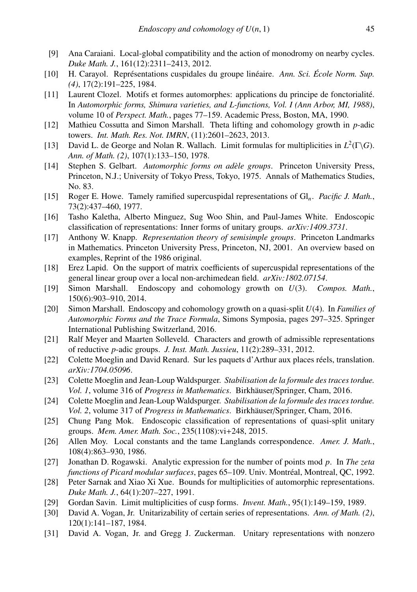- [9] Ana Caraiani. Local-global compatibility and the action of monodromy on nearby cycles. *Duke Math. J.*, 161(12):2311–2413, 2012.
- [10] H. Carayol. Représentations cuspidales du groupe linéaire. *Ann. Sci. École Norm. Sup. (4)*, 17(2):191–225, 1984.
- [11] Laurent Clozel. Motifs et formes automorphes: applications du principe de fonctorialite.´ In *Automorphic forms, Shimura varieties, and L-functions, Vol. I (Ann Arbor, MI, 1988)*, volume 10 of *Perspect. Math.*, pages 77–159. Academic Press, Boston, MA, 1990.
- [12] Mathieu Cossutta and Simon Marshall. Theta lifting and cohomology growth in *p*-adic towers. *Int. Math. Res. Not. IMRN*, (11):2601–2623, 2013.
- [13] David L. de George and Nolan R. Wallach. Limit formulas for multiplicities in  $L^2(\Gamma \backslash G)$ . *Ann. of Math. (2)*, 107(1):133–150, 1978.
- [14] Stephen S. Gelbart. *Automorphic forms on adèle groups*. Princeton University Press, Princeton, N.J.; University of Tokyo Press, Tokyo, 1975. Annals of Mathematics Studies, No. 83.
- [15] Roger E. Howe. Tamely ramified supercuspidal representations of Gl*n*. *Pacific J. Math.*, 73(2):437–460, 1977.
- [16] Tasho Kaletha, Alberto Minguez, Sug Woo Shin, and Paul-James White. Endoscopic classification of representations: Inner forms of unitary groups. *arXiv:1409.3731*.
- [17] Anthony W. Knapp. *Representation theory of semisimple groups*. Princeton Landmarks in Mathematics. Princeton University Press, Princeton, NJ, 2001. An overview based on examples, Reprint of the 1986 original.
- [18] Erez Lapid. On the support of matrix coefficients of supercuspidal representations of the general linear group over a local non-archimedean field. *arXiv:1802.07154*.
- [19] Simon Marshall. Endoscopy and cohomology growth on *U*(3). *Compos. Math.*, 150(6):903–910, 2014.
- [20] Simon Marshall. Endoscopy and cohomology growth on a quasi-split *U*(4). In *Families of Automorphic Forms and the Trace Formula*, Simons Symposia, pages 297–325. Springer International Publishing Switzerland, 2016.
- [21] Ralf Meyer and Maarten Solleveld. Characters and growth of admissible representations of reductive *p*-adic groups. *J. Inst. Math. Jussieu*, 11(2):289–331, 2012.
- [22] Colette Moeglin and David Renard. Sur les paquets d'Arthur aux places reels, translation. ´ *arXiv:1704.05096*.
- [23] Colette Moeglin and Jean-Loup Waldspurger. *Stabilisation de la formule des traces tordue. Vol. 1*, volume 316 of *Progress in Mathematics*. Birkhäuser/Springer, Cham, 2016.
- [24] Colette Moeglin and Jean-Loup Waldspurger. *Stabilisation de la formule des traces tordue. Vol. 2*, volume 317 of *Progress in Mathematics*. Birkhäuser/Springer, Cham, 2016.
- [25] Chung Pang Mok. Endoscopic classification of representations of quasi-split unitary groups. *Mem. Amer. Math. Soc.*, 235(1108):vi+248, 2015.
- [26] Allen Moy. Local constants and the tame Langlands correspondence. *Amer. J. Math.*, 108(4):863–930, 1986.
- [27] Jonathan D. Rogawski. Analytic expression for the number of points mod *p*. In *The zeta functions of Picard modular surfaces*, pages 65–109. Univ. Montreal, Montreal, QC, 1992. ´
- [28] Peter Sarnak and Xiao Xi Xue. Bounds for multiplicities of automorphic representations. *Duke Math. J.*, 64(1):207–227, 1991.
- [29] Gordan Savin. Limit multiplicities of cusp forms. *Invent. Math.*, 95(1):149–159, 1989.
- [30] David A. Vogan, Jr. Unitarizability of certain series of representations. *Ann. of Math. (2)*, 120(1):141–187, 1984.
- [31] David A. Vogan, Jr. and Gregg J. Zuckerman. Unitary representations with nonzero